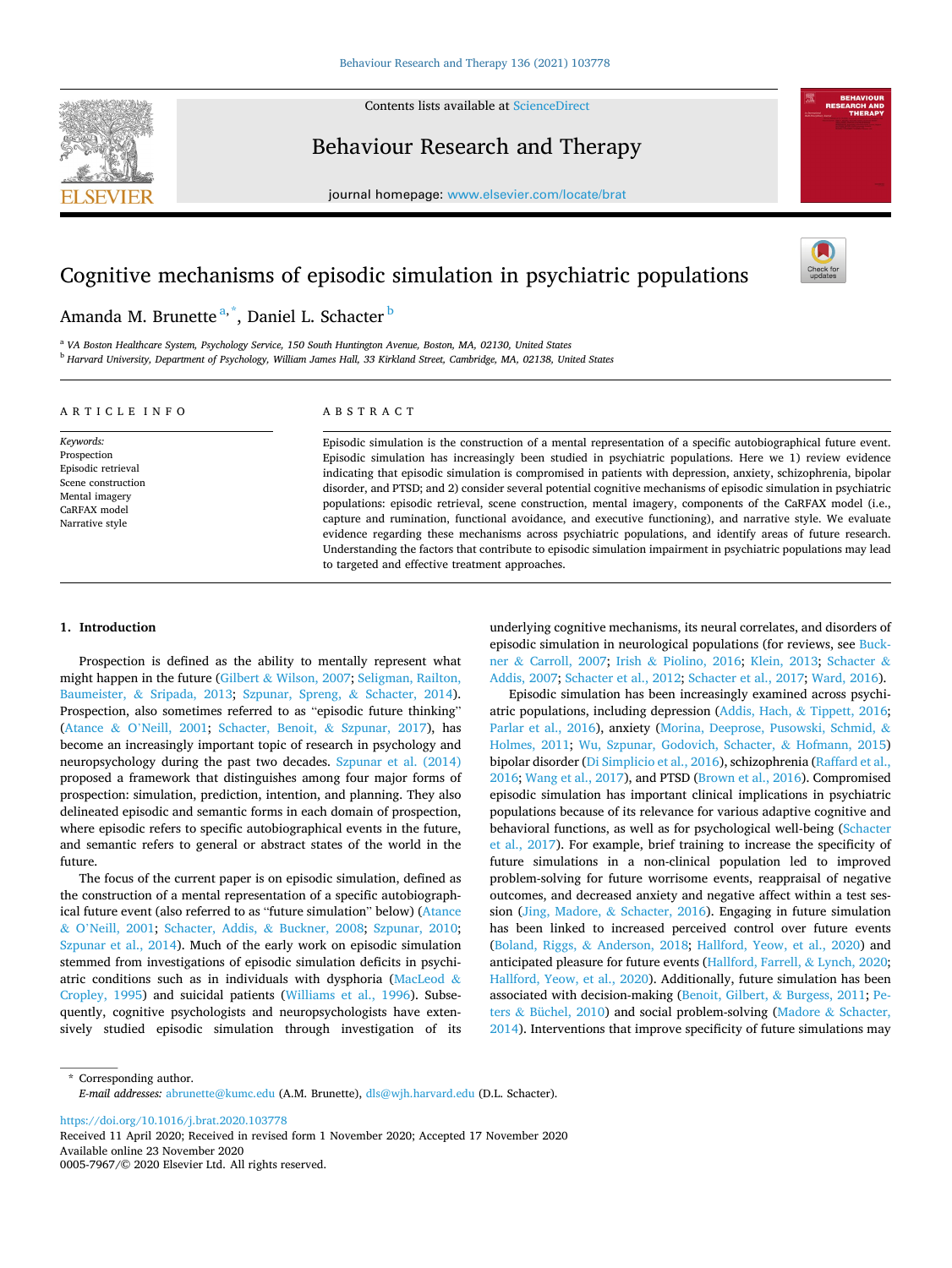

Contents lists available at [ScienceDirect](www.sciencedirect.com/science/journal/00057967)

Behaviour Research and Therapy



# Cognitive mechanisms of episodic simulation in psychiatric populations



# Amanda M. Brunette<sup>a,\*</sup>, Daniel L. Schacter <sup>b</sup>

<sup>a</sup> *VA Boston Healthcare System, Psychology Service, 150 South Huntington Avenue, Boston, MA, 02130, United States* <sup>b</sup> *Harvard University, Department of Psychology, William James Hall, 33 Kirkland Street, Cambridge, MA, 02138, United States* 

## ARTICLE INFO

*Keywords:*  Prospection Episodic retrieval Scene construction Mental imagery CaRFAX model Narrative style

# ABSTRACT

Episodic simulation is the construction of a mental representation of a specific autobiographical future event. Episodic simulation has increasingly been studied in psychiatric populations. Here we 1) review evidence indicating that episodic simulation is compromised in patients with depression, anxiety, schizophrenia, bipolar disorder, and PTSD; and 2) consider several potential cognitive mechanisms of episodic simulation in psychiatric populations: episodic retrieval, scene construction, mental imagery, components of the CaRFAX model (i.e., capture and rumination, functional avoidance, and executive functioning), and narrative style. We evaluate evidence regarding these mechanisms across psychiatric populations, and identify areas of future research. Understanding the factors that contribute to episodic simulation impairment in psychiatric populations may lead to targeted and effective treatment approaches.

## **1. Introduction**

Prospection is defined as the ability to mentally represent what might happen in the future (Gilbert & [Wilson, 2007;](#page-16-0) [Seligman, Railton,](#page-17-0)  Baumeister, & [Sripada, 2013;](#page-17-0) [Szpunar, Spreng,](#page-17-0) & Schacter, 2014). Prospection, also sometimes referred to as "episodic future thinking" (Atance & O'[Neill, 2001](#page-15-0); [Schacter, Benoit,](#page-17-0) & Szpunar, 2017), has become an increasingly important topic of research in psychology and neuropsychology during the past two decades. [Szpunar et al. \(2014\)](#page-17-0)  proposed a framework that distinguishes among four major forms of prospection: simulation, prediction, intention, and planning. They also delineated episodic and semantic forms in each domain of prospection, where episodic refers to specific autobiographical events in the future, and semantic refers to general or abstract states of the world in the future.

The focus of the current paper is on episodic simulation, defined as the construction of a mental representation of a specific autobiographical future event (also referred to as "future simulation" below) [\(Atance](#page-15-0)  & O'[Neill, 2001;](#page-15-0) [Schacter, Addis,](#page-17-0) & Buckner, 2008; [Szpunar, 2010](#page-17-0); [Szpunar et al., 2014\)](#page-17-0). Much of the early work on episodic simulation stemmed from investigations of episodic simulation deficits in psychiatric conditions such as in individuals with dysphoria ([MacLeod](#page-16-0) & [Cropley, 1995](#page-16-0)) and suicidal patients ([Williams et al., 1996\)](#page-18-0). Subsequently, cognitive psychologists and neuropsychologists have extensively studied episodic simulation through investigation of its underlying cognitive mechanisms, its neural correlates, and disorders of episodic simulation in neurological populations (for reviews, see [Buck](#page-15-0)ner & [Carroll, 2007;](#page-15-0) Irish & [Piolino, 2016;](#page-16-0) [Klein, 2013;](#page-16-0) [Schacter](#page-17-0) & [Addis, 2007](#page-17-0); [Schacter et al., 2012](#page-17-0); [Schacter et al., 2017](#page-17-0); [Ward, 2016\)](#page-18-0).

Episodic simulation has been increasingly examined across psychiatric populations, including depression [\(Addis, Hach,](#page-15-0) & Tippett, 2016; [Parlar et al., 2016\)](#page-17-0), anxiety [\(Morina, Deeprose, Pusowski, Schmid,](#page-17-0) & [Holmes, 2011;](#page-17-0) [Wu, Szpunar, Godovich, Schacter,](#page-18-0) & Hofmann, 2015) bipolar disorder [\(Di Simplicio et al., 2016](#page-15-0)), schizophrenia ([Raffard et al.,](#page-17-0)  [2016;](#page-17-0) [Wang et al., 2017\)](#page-18-0), and PTSD [\(Brown et al., 2016\)](#page-15-0). Compromised episodic simulation has important clinical implications in psychiatric populations because of its relevance for various adaptive cognitive and behavioral functions, as well as for psychological well-being ([Schacter](#page-17-0)  [et al., 2017](#page-17-0)). For example, brief training to increase the specificity of future simulations in a non-clinical population led to improved problem-solving for future worrisome events, reappraisal of negative outcomes, and decreased anxiety and negative affect within a test session (Jing, Madore, & [Schacter, 2016\)](#page-16-0). Engaging in future simulation has been linked to increased perceived control over future events (Boland, Riggs, & [Anderson, 2018;](#page-15-0) [Hallford, Yeow, et al., 2020](#page-16-0)) and anticipated pleasure for future events ([Hallford, Farrell,](#page-16-0) & Lynch, 2020; [Hallford, Yeow, et al., 2020\)](#page-16-0). Additionally, future simulation has been associated with decision-making ([Benoit, Gilbert,](#page-15-0) & Burgess, 2011; [Pe](#page-17-0)ters & [Büchel, 2010\)](#page-17-0) and social problem-solving (Madore & [Schacter,](#page-16-0)  [2014\)](#page-16-0). Interventions that improve specificity of future simulations may

\* Corresponding author. *E-mail addresses:* [abrunette@kumc.edu](mailto:abrunette@kumc.edu) (A.M. Brunette), [dls@wjh.harvard.edu](mailto:dls@wjh.harvard.edu) (D.L. Schacter).

<https://doi.org/10.1016/j.brat.2020.103778>

Available online 23 November 2020 0005-7967/© 2020 Elsevier Ltd. All rights reserved. Received 11 April 2020; Received in revised form 1 November 2020; Accepted 17 November 2020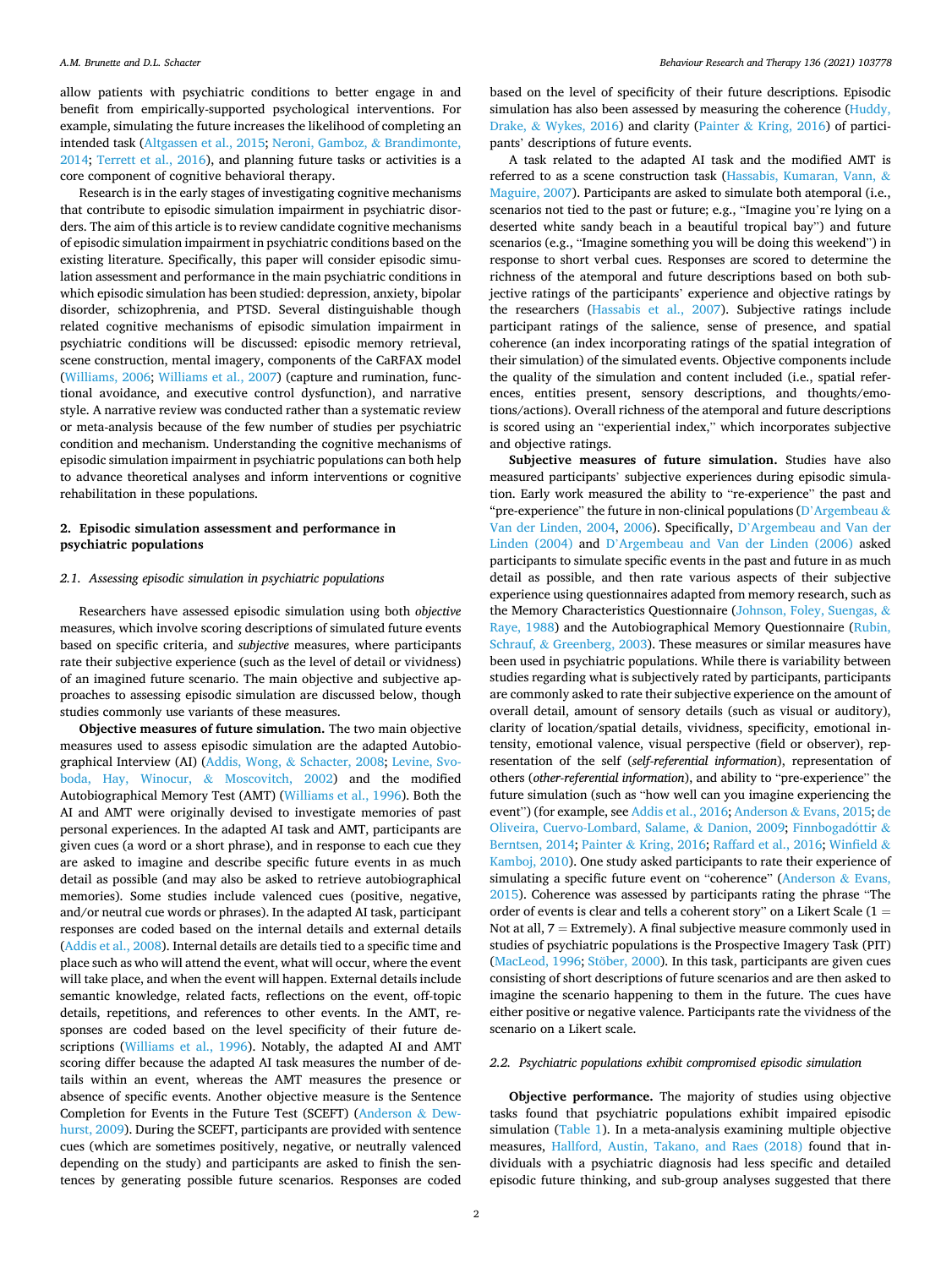allow patients with psychiatric conditions to better engage in and benefit from empirically-supported psychological interventions. For example, simulating the future increases the likelihood of completing an intended task [\(Altgassen et al., 2015;](#page-15-0) [Neroni, Gamboz,](#page-17-0) & Brandimonte, [2014;](#page-17-0) [Terrett et al., 2016\)](#page-17-0), and planning future tasks or activities is a core component of cognitive behavioral therapy.

Research is in the early stages of investigating cognitive mechanisms that contribute to episodic simulation impairment in psychiatric disorders. The aim of this article is to review candidate cognitive mechanisms of episodic simulation impairment in psychiatric conditions based on the existing literature. Specifically, this paper will consider episodic simulation assessment and performance in the main psychiatric conditions in which episodic simulation has been studied: depression, anxiety, bipolar disorder, schizophrenia, and PTSD. Several distinguishable though related cognitive mechanisms of episodic simulation impairment in psychiatric conditions will be discussed: episodic memory retrieval, scene construction, mental imagery, components of the CaRFAX model ([Williams, 2006](#page-18-0); [Williams et al., 2007](#page-18-0)) (capture and rumination, functional avoidance, and executive control dysfunction), and narrative style. A narrative review was conducted rather than a systematic review or meta-analysis because of the few number of studies per psychiatric condition and mechanism. Understanding the cognitive mechanisms of episodic simulation impairment in psychiatric populations can both help to advance theoretical analyses and inform interventions or cognitive rehabilitation in these populations.

# **2. Episodic simulation assessment and performance in psychiatric populations**

## *2.1. Assessing episodic simulation in psychiatric populations*

Researchers have assessed episodic simulation using both *objective*  measures, which involve scoring descriptions of simulated future events based on specific criteria, and *subjective* measures, where participants rate their subjective experience (such as the level of detail or vividness) of an imagined future scenario. The main objective and subjective approaches to assessing episodic simulation are discussed below, though studies commonly use variants of these measures.

**Objective measures of future simulation.** The two main objective measures used to assess episodic simulation are the adapted Autobiographical Interview (AI) (Addis, Wong, & [Schacter, 2008;](#page-15-0) [Levine, Svo](#page-16-0)[boda, Hay, Winocur,](#page-16-0) & Moscovitch, 2002) and the modified Autobiographical Memory Test (AMT) ([Williams et al., 1996](#page-18-0)). Both the AI and AMT were originally devised to investigate memories of past personal experiences. In the adapted AI task and AMT, participants are given cues (a word or a short phrase), and in response to each cue they are asked to imagine and describe specific future events in as much detail as possible (and may also be asked to retrieve autobiographical memories). Some studies include valenced cues (positive, negative, and/or neutral cue words or phrases). In the adapted AI task, participant responses are coded based on the internal details and external details ([Addis et al., 2008](#page-15-0)). Internal details are details tied to a specific time and place such as who will attend the event, what will occur, where the event will take place, and when the event will happen. External details include semantic knowledge, related facts, reflections on the event, off-topic details, repetitions, and references to other events. In the AMT, responses are coded based on the level specificity of their future descriptions [\(Williams et al., 1996\)](#page-18-0). Notably, the adapted AI and AMT scoring differ because the adapted AI task measures the number of details within an event, whereas the AMT measures the presence or absence of specific events. Another objective measure is the Sentence Completion for Events in the Future Test (SCEFT) ([Anderson](#page-15-0) & Dew[hurst, 2009\)](#page-15-0). During the SCEFT, participants are provided with sentence cues (which are sometimes positively, negative, or neutrally valenced depending on the study) and participants are asked to finish the sentences by generating possible future scenarios. Responses are coded based on the level of specificity of their future descriptions. Episodic simulation has also been assessed by measuring the coherence (Huddy, Drake, & [Wykes, 2016](#page-16-0)) and clarity (Painter & [Kring, 2016\)](#page-17-0) of participants' descriptions of future events.

A task related to the adapted AI task and the modified AMT is referred to as a scene construction task ([Hassabis, Kumaran, Vann,](#page-16-0) & [Maguire, 2007](#page-16-0)). Participants are asked to simulate both atemporal (i.e., scenarios not tied to the past or future; e.g., "Imagine you're lying on a deserted white sandy beach in a beautiful tropical bay") and future scenarios (e.g., "Imagine something you will be doing this weekend") in response to short verbal cues. Responses are scored to determine the richness of the atemporal and future descriptions based on both subjective ratings of the participants' experience and objective ratings by the researchers [\(Hassabis et al., 2007](#page-16-0)). Subjective ratings include participant ratings of the salience, sense of presence, and spatial coherence (an index incorporating ratings of the spatial integration of their simulation) of the simulated events. Objective components include the quality of the simulation and content included (i.e., spatial references, entities present, sensory descriptions, and thoughts/emotions/actions). Overall richness of the atemporal and future descriptions is scored using an "experiential index," which incorporates subjective and objective ratings.

**Subjective measures of future simulation.** Studies have also measured participants' subjective experiences during episodic simulation. Early work measured the ability to "re-experience" the past and "pre-experience" the future in non-clinical populations (D'[Argembeau](#page-16-0)  $\&$ [Van der Linden, 2004](#page-16-0), [2006](#page-16-0)). Specifically, D'[Argembeau and Van der](#page-16-0)  [Linden \(2004\)](#page-16-0) and D'[Argembeau and Van der Linden \(2006\)](#page-16-0) asked participants to simulate specific events in the past and future in as much detail as possible, and then rate various aspects of their subjective experience using questionnaires adapted from memory research, such as the Memory Characteristics Questionnaire ([Johnson, Foley, Suengas,](#page-16-0) & [Raye, 1988\)](#page-16-0) and the Autobiographical Memory Questionnaire [\(Rubin,](#page-17-0)  Schrauf, & [Greenberg, 2003](#page-17-0)). These measures or similar measures have been used in psychiatric populations. While there is variability between studies regarding what is subjectively rated by participants, participants are commonly asked to rate their subjective experience on the amount of overall detail, amount of sensory details (such as visual or auditory), clarity of location/spatial details, vividness, specificity, emotional intensity, emotional valence, visual perspective (field or observer), representation of the self (*self-referential information*), representation of others (*other-referential information*), and ability to "pre-experience" the future simulation (such as "how well can you imagine experiencing the event") (for example, see [Addis et al., 2016;](#page-15-0) Anderson & [Evans, 2015](#page-15-0); [de](#page-17-0)  [Oliveira, Cuervo-Lombard, Salame,](#page-17-0) & Danion, 2009; Finnbogadóttir & [Berntsen, 2014;](#page-16-0) Painter & [Kring, 2016; Raffard et al., 2016;](#page-17-0) [Winfield](#page-18-0) & [Kamboj, 2010\)](#page-18-0). One study asked participants to rate their experience of simulating a specific future event on "coherence" [\(Anderson](#page-15-0) & Evans, [2015\)](#page-15-0). Coherence was assessed by participants rating the phrase "The order of events is clear and tells a coherent story" on a Likert Scale  $(1 =$ Not at all,  $7 =$  Extremely). A final subjective measure commonly used in studies of psychiatric populations is the Prospective Imagery Task (PIT) ([MacLeod, 1996;](#page-16-0) Stöber, 2000). In this task, participants are given cues consisting of short descriptions of future scenarios and are then asked to imagine the scenario happening to them in the future. The cues have either positive or negative valence. Participants rate the vividness of the scenario on a Likert scale.

#### *2.2. Psychiatric populations exhibit compromised episodic simulation*

**Objective performance.** The majority of studies using objective tasks found that psychiatric populations exhibit impaired episodic simulation ([Table 1\)](#page-2-0). In a meta-analysis examining multiple objective measures, [Hallford, Austin, Takano, and Raes \(2018\)](#page-16-0) found that individuals with a psychiatric diagnosis had less specific and detailed episodic future thinking, and sub-group analyses suggested that there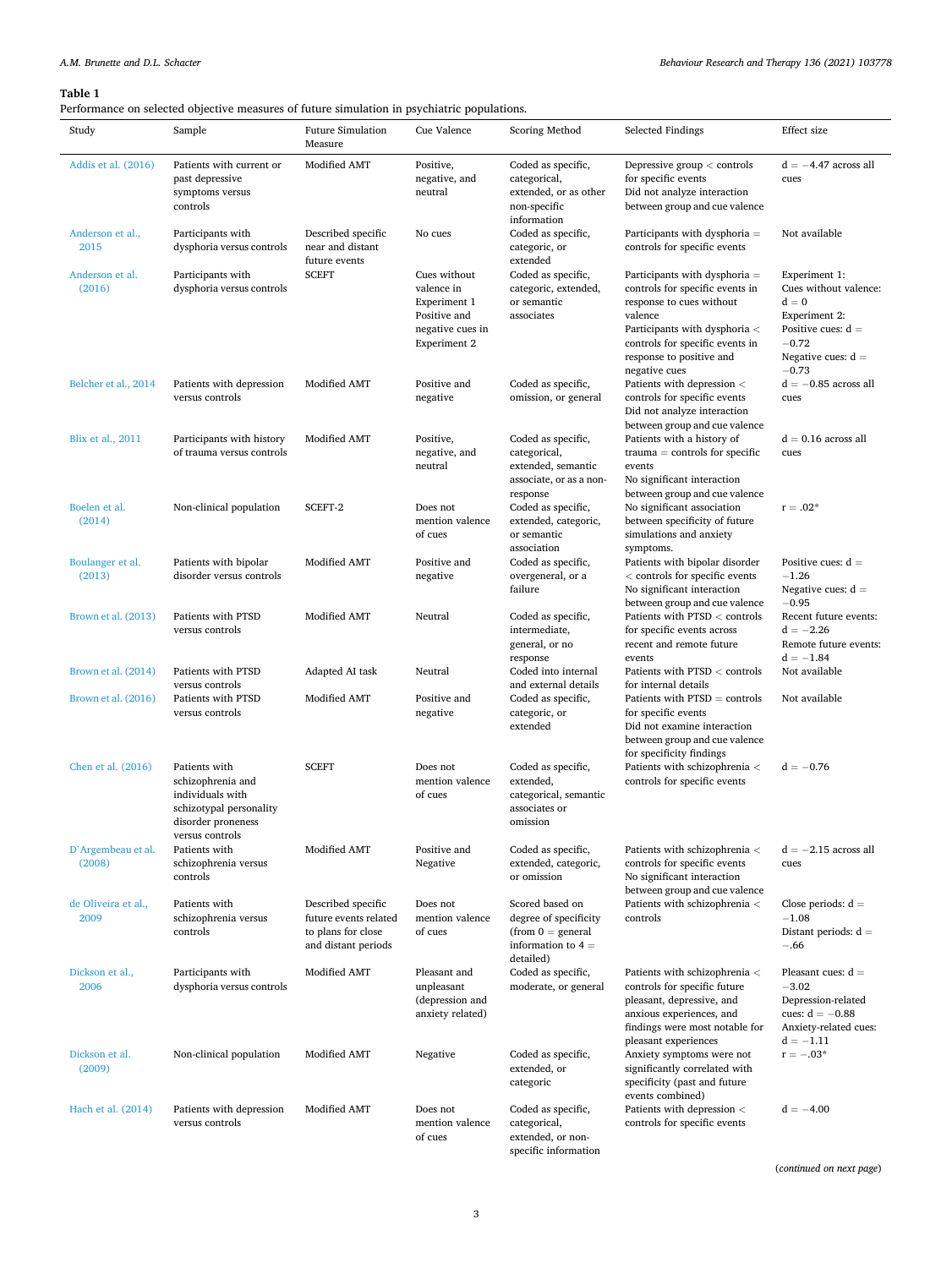## <span id="page-2-0"></span>**Table 1**

Performance on selected objective measures of future simulation in psychiatric populations.

| Study                        | Sample                                                                                                                     | <b>Future Simulation</b><br>Measure                                                      | Cue Valence                                                                                    | Scoring Method                                                                                       | <b>Selected Findings</b>                                                                                                                                                                                                 | <b>Effect</b> size                                                                                                                       |
|------------------------------|----------------------------------------------------------------------------------------------------------------------------|------------------------------------------------------------------------------------------|------------------------------------------------------------------------------------------------|------------------------------------------------------------------------------------------------------|--------------------------------------------------------------------------------------------------------------------------------------------------------------------------------------------------------------------------|------------------------------------------------------------------------------------------------------------------------------------------|
| Addis et al. (2016)          | Patients with current or<br>past depressive<br>symptoms versus<br>controls                                                 | Modified AMT                                                                             | Positive,<br>negative, and<br>neutral                                                          | Coded as specific,<br>categorical,<br>extended, or as other<br>non-specific<br>information           | Depressive group $<$ controls<br>for specific events<br>Did not analyze interaction<br>between group and cue valence                                                                                                     | $d = -4.47$ across all<br>cues                                                                                                           |
| Anderson et al.,<br>2015     | Participants with<br>dysphoria versus controls                                                                             | Described specific<br>near and distant<br>future events                                  | No cues                                                                                        | Coded as specific,<br>categoric, or<br>extended                                                      | Participants with dysphoria $=$<br>controls for specific events                                                                                                                                                          | Not available                                                                                                                            |
| Anderson et al.<br>(2016)    | Participants with<br>dysphoria versus controls                                                                             | <b>SCEFT</b>                                                                             | Cues without<br>valence in<br>Experiment 1<br>Positive and<br>negative cues in<br>Experiment 2 | Coded as specific,<br>categoric, extended,<br>or semantic<br>associates                              | Participants with dysphoria =<br>controls for specific events in<br>response to cues without<br>valence<br>Participants with dysphoria <<br>controls for specific events in<br>response to positive and<br>negative cues | Experiment 1:<br>Cues without valence:<br>$d = 0$<br>Experiment 2:<br>Positive cues: $d =$<br>$-0.72$<br>Negative cues: $d =$<br>$-0.73$ |
| Belcher et al., 2014         | Patients with depression<br>versus controls                                                                                | Modified AMT                                                                             | Positive and<br>negative                                                                       | Coded as specific,<br>omission, or general                                                           | Patients with depression <<br>controls for specific events<br>Did not analyze interaction<br>between group and cue valence                                                                                               | $d = -0.85$ across all<br>cues                                                                                                           |
| Blix et al., 2011            | Participants with history<br>of trauma versus controls                                                                     | Modified AMT                                                                             | Positive,<br>negative, and<br>neutral                                                          | Coded as specific,<br>categorical,<br>extended, semantic<br>associate, or as a non-<br>response      | Patients with a history of<br>trauma $=$ controls for specific<br>events<br>No significant interaction<br>between group and cue valence                                                                                  | $d = 0.16$ across all<br>cues                                                                                                            |
| Boelen et al.<br>(2014)      | Non-clinical population                                                                                                    | SCEFT-2                                                                                  | Does not<br>mention valence<br>of cues                                                         | Coded as specific,<br>extended, categoric,<br>or semantic<br>association                             | No significant association<br>between specificity of future<br>simulations and anxiety<br>symptoms.                                                                                                                      | $r = .02*$                                                                                                                               |
| Boulanger et al.<br>(2013)   | Patients with bipolar<br>disorder versus controls                                                                          | Modified AMT                                                                             | Positive and<br>negative                                                                       | Coded as specific,<br>overgeneral, or a<br>failure                                                   | Patients with bipolar disorder<br>$<$ controls for specific events<br>No significant interaction<br>between group and cue valence                                                                                        | Positive cues: $d =$<br>$-1.26$<br>Negative cues: $d =$<br>$-0.95$                                                                       |
| Brown et al. (2013)          | Patients with PTSD<br>versus controls                                                                                      | Modified AMT                                                                             | Neutral                                                                                        | Coded as specific,<br>intermediate,<br>general, or no<br>response                                    | Patients with PTSD < controls<br>for specific events across<br>recent and remote future<br>events                                                                                                                        | Recent future events:<br>$d = -2.26$<br>Remote future events:<br>$d = -1.84$                                                             |
| Brown et al. (2014)          | Patients with PTSD<br>versus controls                                                                                      | Adapted AI task                                                                          | Neutral                                                                                        | Coded into internal<br>and external details                                                          | Patients with PTSD < controls<br>for internal details                                                                                                                                                                    | Not available                                                                                                                            |
| Brown et al. (2016)          | Patients with PTSD<br>versus controls                                                                                      | Modified AMT                                                                             | Positive and<br>negative                                                                       | Coded as specific,<br>categoric, or<br>extended                                                      | Patients with $PTSD = controls$<br>for specific events<br>Did not examine interaction<br>between group and cue valence<br>for specificity findings                                                                       | Not available                                                                                                                            |
| Chen et al. (2016)           | Patients with<br>schizophrenia and<br>individuals with<br>schizotypal personality<br>disorder proneness<br>versus controls | <b>SCEFT</b>                                                                             | Does not<br>mention valence<br>of cues                                                         | Coded as specific,<br>extended,<br>categorical, semantic<br>associates or<br>omission                | Patients with schizophrenia <<br>controls for specific events                                                                                                                                                            | $d = -0.76$                                                                                                                              |
| D'Argembeau et al.<br>(2008) | Patients with<br>schizophrenia versus<br>controls                                                                          | Modified AMT                                                                             | Positive and<br>Negative                                                                       | Coded as specific,<br>extended, categoric,<br>or omission                                            | Patients with schizophrenia <<br>controls for specific events<br>No significant interaction<br>between group and cue valence                                                                                             | $d = -2.15$ across all<br>cues                                                                                                           |
| de Oliveira et al.,<br>2009  | Patients with<br>schizophrenia versus<br>controls                                                                          | Described specific<br>future events related<br>to plans for close<br>and distant periods | Does not<br>mention valence<br>of cues                                                         | Scored based on<br>degree of specificity<br>$(from 0 = general$<br>information to $4 =$<br>detailed) | Patients with schizophrenia <<br>controls                                                                                                                                                                                | Close periods: $d =$<br>$-1.08$<br>Distant periods: $d =$<br>$-.66$                                                                      |
| Dickson et al.,<br>2006      | Participants with<br>dysphoria versus controls                                                                             | Modified AMT                                                                             | Pleasant and<br>unpleasant<br>(depression and<br>anxiety related)                              | Coded as specific,<br>moderate, or general                                                           | Patients with schizophrenia <<br>controls for specific future<br>pleasant, depressive, and<br>anxious experiences, and<br>findings were most notable for<br>pleasant experiences                                         | Pleasant cues: $d =$<br>$-3.02$<br>Depression-related<br>cues: $d = -0.88$<br>Anxiety-related cues:<br>$d = -1.11$                       |
| Dickson et al.<br>(2009)     | Non-clinical population                                                                                                    | Modified AMT                                                                             | Negative                                                                                       | Coded as specific,<br>extended, or<br>categoric                                                      | Anxiety symptoms were not<br>significantly correlated with<br>specificity (past and future<br>events combined)                                                                                                           | $r = -.03*$                                                                                                                              |
| Hach et al. (2014)           | Patients with depression<br>versus controls                                                                                | Modified AMT                                                                             | Does not<br>mention valence<br>of cues                                                         | Coded as specific,<br>categorical,<br>extended, or non-<br>specific information                      | Patients with depression <<br>controls for specific events                                                                                                                                                               | $d = -4.00$                                                                                                                              |

(*continued on next page*)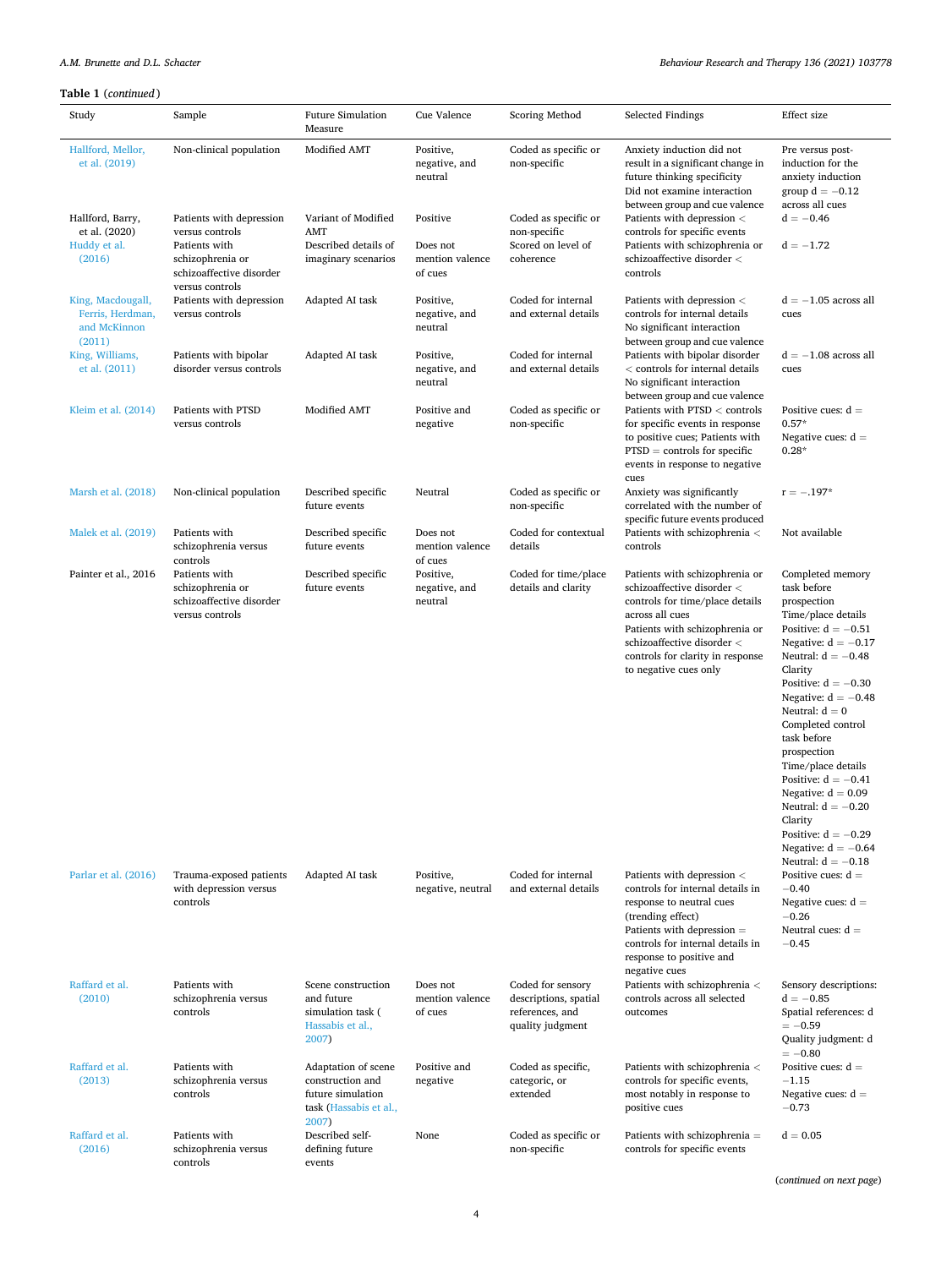# **Table 1** (*continued* )

| rapic 1 (continueu)<br>Study                                    | Sample                                                                           | <b>Future Simulation</b><br>Measure                                                    | Cue Valence                            | Scoring Method                                                                    | Selected Findings                                                                                                                                                                                                                                       | Effect size                                                                                                                                                                                                                                                                                                                                                                                                                                                            |
|-----------------------------------------------------------------|----------------------------------------------------------------------------------|----------------------------------------------------------------------------------------|----------------------------------------|-----------------------------------------------------------------------------------|---------------------------------------------------------------------------------------------------------------------------------------------------------------------------------------------------------------------------------------------------------|------------------------------------------------------------------------------------------------------------------------------------------------------------------------------------------------------------------------------------------------------------------------------------------------------------------------------------------------------------------------------------------------------------------------------------------------------------------------|
| Hallford, Mellor,<br>et al. (2019)                              | Non-clinical population                                                          | Modified AMT                                                                           | Positive,<br>negative, and<br>neutral  | Coded as specific or<br>non-specific                                              | Anxiety induction did not<br>result in a significant change in<br>future thinking specificity<br>Did not examine interaction<br>between group and cue valence                                                                                           | Pre versus post-<br>induction for the<br>anxiety induction<br>group $d = -0.12$<br>across all cues                                                                                                                                                                                                                                                                                                                                                                     |
| Hallford, Barry,<br>et al. (2020)                               | Patients with depression<br>versus controls                                      | Variant of Modified<br>AMT                                                             | Positive                               | Coded as specific or<br>non-specific                                              | Patients with depression <<br>controls for specific events                                                                                                                                                                                              | $d = -0.46$                                                                                                                                                                                                                                                                                                                                                                                                                                                            |
| Huddy et al.<br>(2016)                                          | Patients with<br>schizophrenia or<br>schizoaffective disorder<br>versus controls | Described details of<br>imaginary scenarios                                            | Does not<br>mention valence<br>of cues | Scored on level of<br>coherence                                                   | Patients with schizophrenia or<br>schizoaffective disorder <<br>controls                                                                                                                                                                                | $d = -1.72$                                                                                                                                                                                                                                                                                                                                                                                                                                                            |
| King, Macdougall,<br>Ferris, Herdman,<br>and McKinnon<br>(2011) | Patients with depression<br>versus controls                                      | Adapted AI task                                                                        | Positive,<br>negative, and<br>neutral  | Coded for internal<br>and external details                                        | Patients with depression <<br>controls for internal details<br>No significant interaction                                                                                                                                                               | $d = -1.05$ across all<br>cues                                                                                                                                                                                                                                                                                                                                                                                                                                         |
| King, Williams,<br>et al. (2011)                                | Patients with bipolar<br>disorder versus controls                                | Adapted AI task                                                                        | Positive,<br>negative, and<br>neutral  | Coded for internal<br>and external details                                        | between group and cue valence<br>Patients with bipolar disorder<br>$<$ controls for internal details<br>No significant interaction                                                                                                                      | $d = -1.08$ across all<br>cues                                                                                                                                                                                                                                                                                                                                                                                                                                         |
| Kleim et al. (2014)                                             | Patients with PTSD<br>versus controls                                            | Modified AMT                                                                           | Positive and<br>negative               | Coded as specific or<br>non-specific                                              | between group and cue valence<br>Patients with PTSD < controls<br>for specific events in response<br>to positive cues; Patients with<br>$PTSD = controls for specific$<br>events in response to negative<br>cues                                        | Positive cues: $d =$<br>$0.57*$<br>Negative cues: $d =$<br>$0.28*$                                                                                                                                                                                                                                                                                                                                                                                                     |
| Marsh et al. (2018)                                             | Non-clinical population                                                          | Described specific<br>future events                                                    | Neutral                                | Coded as specific or<br>non-specific                                              | Anxiety was significantly<br>correlated with the number of<br>specific future events produced                                                                                                                                                           | $r = -.197*$                                                                                                                                                                                                                                                                                                                                                                                                                                                           |
| Malek et al. (2019)                                             | Patients with<br>schizophrenia versus<br>controls                                | Described specific<br>future events                                                    | Does not<br>mention valence<br>of cues | Coded for contextual<br>details                                                   | Patients with schizophrenia <<br>controls                                                                                                                                                                                                               | Not available                                                                                                                                                                                                                                                                                                                                                                                                                                                          |
| Painter et al., 2016                                            | Patients with<br>schizophrenia or<br>schizoaffective disorder<br>versus controls | Described specific<br>future events                                                    | Positive,<br>negative, and<br>neutral  | Coded for time/place<br>details and clarity                                       | Patients with schizophrenia or<br>schizoaffective disorder $<\,$<br>controls for time/place details<br>across all cues<br>Patients with schizophrenia or<br>schizoaffective disorder $<\,$<br>controls for clarity in response<br>to negative cues only | Completed memory<br>task before<br>prospection<br>Time/place details<br>Positive: $d = -0.51$<br>Negative: $d = -0.17$<br>Neutral: $d = -0.48$<br>Clarity<br>Positive: $d = -0.30$<br>Negative: $d = -0.48$<br>Neutral: $d = 0$<br>Completed control<br>task before<br>prospection<br>Time/place details<br>Positive: $d = -0.41$<br>Negative: $d = 0.09$<br>Neutral: $d = -0.20$<br>Clarity<br>Positive: $d = -0.29$<br>Negative: $d = -0.64$<br>Neutral: $d = -0.18$ |
| Parlar et al. (2016)                                            | Trauma-exposed patients<br>with depression versus<br>controls                    | Adapted AI task                                                                        | Positive,<br>negative, neutral         | Coded for internal<br>and external details                                        | Patients with depression <<br>controls for internal details in<br>response to neutral cues<br>(trending effect)<br>Patients with depression =<br>controls for internal details in<br>response to positive and<br>negative cues                          | Positive cues: $d =$<br>$-0.40$<br>Negative cues: $d =$<br>$-0.26$<br>Neutral cues: $d =$<br>$-0.45$                                                                                                                                                                                                                                                                                                                                                                   |
| Raffard et al.<br>(2010)                                        | Patients with<br>schizophrenia versus<br>controls                                | Scene construction<br>and future<br>simulation task (<br>Hassabis et al.,<br>2007)     | Does not<br>mention valence<br>of cues | Coded for sensory<br>descriptions, spatial<br>references, and<br>quality judgment | Patients with schizophrenia <<br>controls across all selected<br>outcomes                                                                                                                                                                               | Sensory descriptions:<br>$d = -0.85$<br>Spatial references: d<br>$=-0.59$<br>Quality judgment: d<br>$=-0.80$                                                                                                                                                                                                                                                                                                                                                           |
| Raffard et al.<br>(2013)                                        | Patients with<br>schizophrenia versus<br>controls                                | Adaptation of scene<br>construction and<br>future simulation<br>task (Hassabis et al., | Positive and<br>negative               | Coded as specific,<br>categoric, or<br>extended                                   | Patients with schizophrenia <<br>controls for specific events,<br>most notably in response to<br>positive cues                                                                                                                                          | Positive cues: $d =$<br>$-1.15$<br>Negative cues: $d =$<br>$-0.73$                                                                                                                                                                                                                                                                                                                                                                                                     |
| Raffard et al.<br>(2016)                                        | Patients with<br>schizophrenia versus<br>controls                                | 2007)<br>Described self-<br>defining future<br>events                                  | None                                   | Coded as specific or<br>non-specific                                              | Patients with schizophrenia =<br>controls for specific events                                                                                                                                                                                           | $d = 0.05$                                                                                                                                                                                                                                                                                                                                                                                                                                                             |

(*continued on next page*)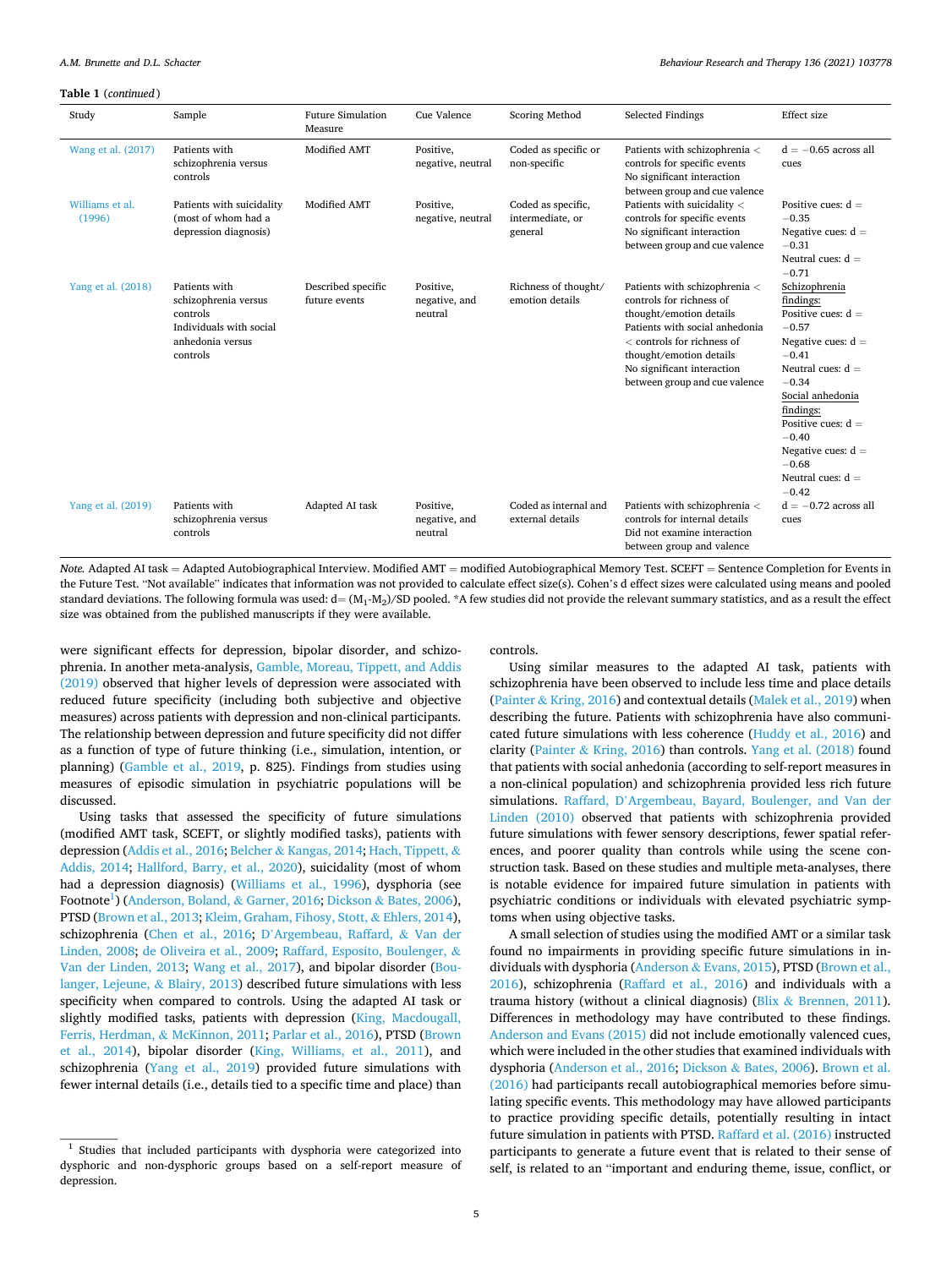| Table 1 (continued)       |                                                                                                              |                                     |                                       |                                                   |                                                                                                                                                                                                                                                  |                                                                                                                                                                                                                                                                             |
|---------------------------|--------------------------------------------------------------------------------------------------------------|-------------------------------------|---------------------------------------|---------------------------------------------------|--------------------------------------------------------------------------------------------------------------------------------------------------------------------------------------------------------------------------------------------------|-----------------------------------------------------------------------------------------------------------------------------------------------------------------------------------------------------------------------------------------------------------------------------|
| Study                     | Sample                                                                                                       | <b>Future Simulation</b><br>Measure | Cue Valence                           | Scoring Method                                    | <b>Selected Findings</b>                                                                                                                                                                                                                         | Effect size                                                                                                                                                                                                                                                                 |
| Wang et al. (2017)        | Patients with<br>schizophrenia versus<br>controls                                                            | <b>Modified AMT</b>                 | Positive,<br>negative, neutral        | Coded as specific or<br>non-specific              | Patients with schizophrenia <<br>controls for specific events<br>No significant interaction<br>between group and cue valence                                                                                                                     | $d = -0.65$ across all<br>cues                                                                                                                                                                                                                                              |
| Williams et al.<br>(1996) | Patients with suicidality<br>(most of whom had a<br>depression diagnosis)                                    | Modified AMT                        | Positive,<br>negative, neutral        | Coded as specific,<br>intermediate, or<br>general | Patients with suicidality <<br>controls for specific events<br>No significant interaction<br>between group and cue valence                                                                                                                       | Positive cues: $d =$<br>$-0.35$<br>Negative cues: $d =$<br>$-0.31$<br>Neutral cues: $d =$<br>$-0.71$                                                                                                                                                                        |
| Yang et al. (2018)        | Patients with<br>schizophrenia versus<br>controls<br>Individuals with social<br>anhedonia versus<br>controls | Described specific<br>future events | Positive,<br>negative, and<br>neutral | Richness of thought/<br>emotion details           | Patients with schizophrenia <<br>controls for richness of<br>thought/emotion details<br>Patients with social anhedonia<br>$<$ controls for richness of<br>thought/emotion details<br>No significant interaction<br>between group and cue valence | Schizophrenia<br>findings:<br>Positive cues: $d =$<br>$-0.57$<br>Negative cues: $d =$<br>$-0.41$<br>Neutral cues: $d =$<br>$-0.34$<br>Social anhedonia<br>findings:<br>Positive cues: $d =$<br>$-0.40$<br>Negative cues: $d =$<br>$-0.68$<br>Neutral cues: $d =$<br>$-0.42$ |
| Yang et al. (2019)        | Patients with<br>schizophrenia versus<br>controls                                                            | Adapted AI task                     | Positive,<br>negative, and<br>neutral | Coded as internal and<br>external details         | Patients with schizophrenia <<br>controls for internal details<br>Did not examine interaction<br>between group and valence                                                                                                                       | $d = -0.72$ across all<br>cues                                                                                                                                                                                                                                              |

*Note.* Adapted AI task = Adapted Autobiographical Interview. Modified AMT = modified Autobiographical Memory Test. SCEFT = Sentence Completion for Events in the Future Test. "Not available" indicates that information was not provided to calculate effect size(s). Cohen's d effect sizes were calculated using means and pooled standard deviations. The following formula was used:  $d = (M_1 \cdot M_2)/SD$  pooled. \*A few studies did not provide the relevant summary statistics, and as a result the effect size was obtained from the published manuscripts if they were available.

were significant effects for depression, bipolar disorder, and schizophrenia. In another meta-analysis, [Gamble, Moreau, Tippett, and Addis](#page-16-0)  [\(2019\)](#page-16-0) observed that higher levels of depression were associated with reduced future specificity (including both subjective and objective measures) across patients with depression and non-clinical participants. The relationship between depression and future specificity did not differ as a function of type of future thinking (i.e., simulation, intention, or planning) [\(Gamble et al., 2019,](#page-16-0) p. 825). Findings from studies using measures of episodic simulation in psychiatric populations will be discussed.

Using tasks that assessed the specificity of future simulations (modified AMT task, SCEFT, or slightly modified tasks), patients with depression ([Addis et al., 2016](#page-15-0); Belcher & [Kangas, 2014](#page-15-0); [Hach, Tippett,](#page-16-0) & [Addis, 2014;](#page-16-0) [Hallford, Barry, et al., 2020](#page-16-0)), suicidality (most of whom had a depression diagnosis) ([Williams et al., 1996](#page-18-0)), dysphoria (see Footnote<sup>1</sup>) [\(Anderson, Boland,](#page-15-0) & Garner, 2016; Dickson & [Bates, 2006](#page-16-0)), PTSD [\(Brown et al., 2013;](#page-15-0) [Kleim, Graham, Fihosy, Stott,](#page-16-0) & Ehlers, 2014), schizophrenia [\(Chen et al., 2016;](#page-15-0) D'[Argembeau, Raffard,](#page-15-0) & Van der [Linden, 2008;](#page-15-0) [de Oliveira et al., 2009](#page-17-0); [Raffard, Esposito, Boulenger,](#page-17-0) & [Van der Linden, 2013;](#page-17-0) [Wang et al., 2017](#page-18-0)), and bipolar disorder [\(Bou](#page-15-0)[langer, Lejeune,](#page-15-0) & Blairy, 2013) described future simulations with less specificity when compared to controls. Using the adapted AI task or slightly modified tasks, patients with depression ([King, Macdougall,](#page-16-0)  [Ferris, Herdman,](#page-16-0) & McKinnon, 2011; [Parlar et al., 2016\)](#page-17-0), PTSD ([Brown](#page-15-0)  [et al., 2014\)](#page-15-0), bipolar disorder [\(King, Williams, et al., 2011\)](#page-16-0), and schizophrenia ([Yang et al., 2019\)](#page-18-0) provided future simulations with fewer internal details (i.e., details tied to a specific time and place) than

controls.

Using similar measures to the adapted AI task, patients with schizophrenia have been observed to include less time and place details (Painter & [Kring, 2016\)](#page-17-0) and contextual details ([Malek et al., 2019\)](#page-16-0) when describing the future. Patients with schizophrenia have also communicated future simulations with less coherence [\(Huddy et al., 2016\)](#page-16-0) and clarity (Painter & [Kring, 2016](#page-17-0)) than controls. [Yang et al. \(2018\)](#page-18-0) found that patients with social anhedonia (according to self-report measures in a non-clinical population) and schizophrenia provided less rich future simulations. Raffard, D'[Argembeau, Bayard, Boulenger, and Van der](#page-17-0)  [Linden \(2010\)](#page-17-0) observed that patients with schizophrenia provided future simulations with fewer sensory descriptions, fewer spatial references, and poorer quality than controls while using the scene construction task. Based on these studies and multiple meta-analyses, there is notable evidence for impaired future simulation in patients with psychiatric conditions or individuals with elevated psychiatric symptoms when using objective tasks.

A small selection of studies using the modified AMT or a similar task found no impairments in providing specific future simulations in individuals with dysphoria (Anderson & [Evans, 2015](#page-15-0)), PTSD ([Brown et al.,](#page-15-0)  [2016\)](#page-15-0), schizophrenia [\(Raffard et al., 2016](#page-17-0)) and individuals with a trauma history (without a clinical diagnosis) (Blix & [Brennen, 2011](#page-15-0)). Differences in methodology may have contributed to these findings. [Anderson and Evans \(2015\)](#page-15-0) did not include emotionally valenced cues, which were included in the other studies that examined individuals with dysphoria ([Anderson et al., 2016;](#page-15-0) Dickson & [Bates, 2006](#page-16-0)). [Brown et al.](#page-15-0)  [\(2016\)](#page-15-0) had participants recall autobiographical memories before simulating specific events. This methodology may have allowed participants to practice providing specific details, potentially resulting in intact future simulation in patients with PTSD. [Raffard et al. \(2016\)](#page-17-0) instructed participants to generate a future event that is related to their sense of self, is related to an "important and enduring theme, issue, conflict, or

 $1$  Studies that included participants with dysphoria were categorized into dysphoric and non-dysphoric groups based on a self-report measure of depression.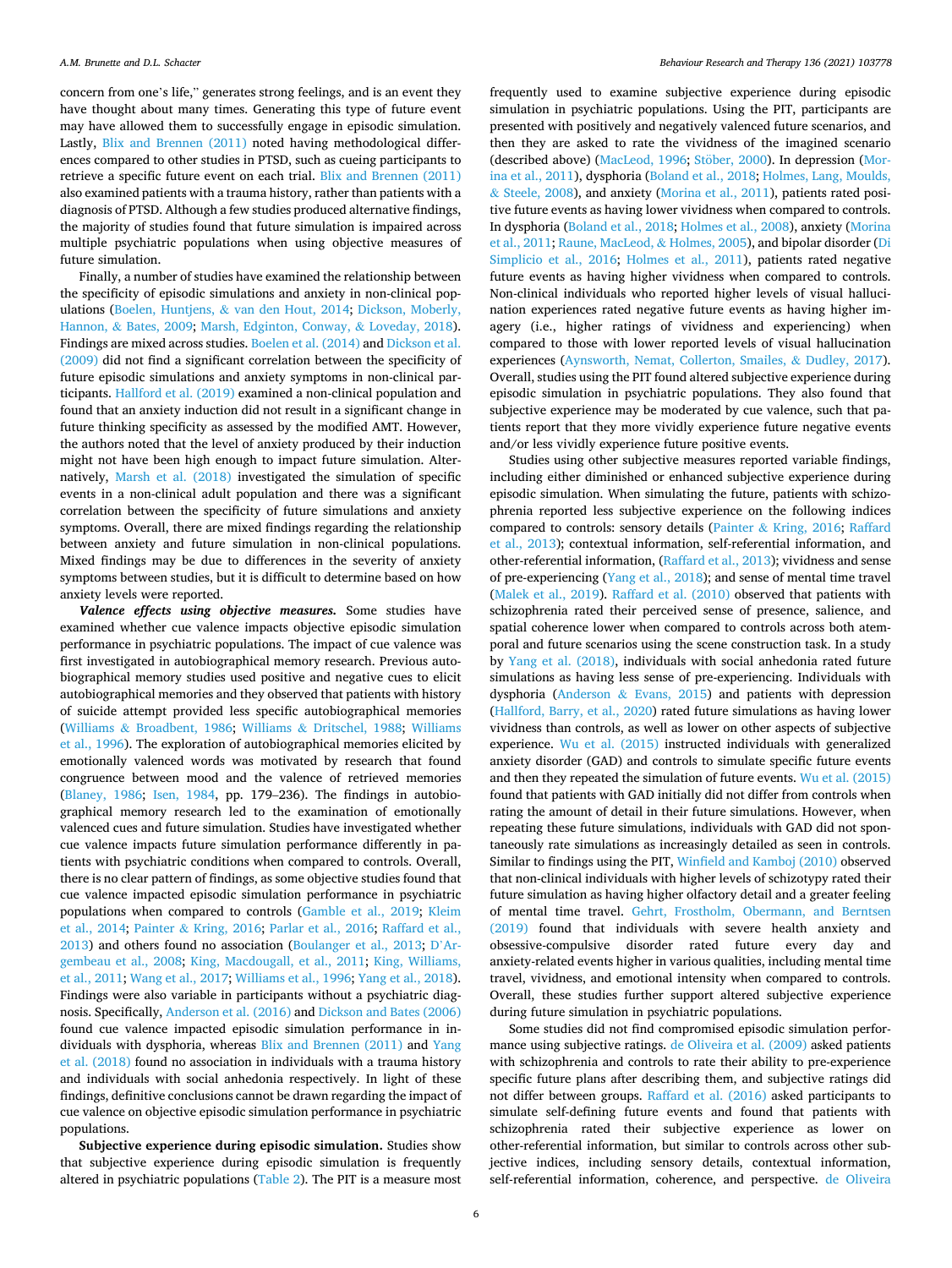concern from one's life," generates strong feelings, and is an event they have thought about many times. Generating this type of future event may have allowed them to successfully engage in episodic simulation. Lastly, [Blix and Brennen \(2011\)](#page-15-0) noted having methodological differences compared to other studies in PTSD, such as cueing participants to retrieve a specific future event on each trial. [Blix and Brennen \(2011\)](#page-15-0)  also examined patients with a trauma history, rather than patients with a diagnosis of PTSD. Although a few studies produced alternative findings, the majority of studies found that future simulation is impaired across multiple psychiatric populations when using objective measures of future simulation.

Finally, a number of studies have examined the relationship between the specificity of episodic simulations and anxiety in non-clinical populations (Boelen, Huntjens, & [van den Hout, 2014;](#page-15-0) [Dickson, Moberly,](#page-16-0)  Hannon, & [Bates, 2009;](#page-16-0) [Marsh, Edginton, Conway,](#page-16-0) & Loveday, 2018). Findings are mixed across studies. [Boelen et al. \(2014\)](#page-15-0) and [Dickson et al.](#page-16-0)  [\(2009\)](#page-16-0) did not find a significant correlation between the specificity of future episodic simulations and anxiety symptoms in non-clinical participants. [Hallford et al. \(2019\)](#page-16-0) examined a non-clinical population and found that an anxiety induction did not result in a significant change in future thinking specificity as assessed by the modified AMT. However, the authors noted that the level of anxiety produced by their induction might not have been high enough to impact future simulation. Alternatively, [Marsh et al. \(2018\)](#page-16-0) investigated the simulation of specific events in a non-clinical adult population and there was a significant correlation between the specificity of future simulations and anxiety symptoms. Overall, there are mixed findings regarding the relationship between anxiety and future simulation in non-clinical populations. Mixed findings may be due to differences in the severity of anxiety symptoms between studies, but it is difficult to determine based on how anxiety levels were reported.

*Valence effects using objective measures.* Some studies have examined whether cue valence impacts objective episodic simulation performance in psychiatric populations. The impact of cue valence was first investigated in autobiographical memory research. Previous autobiographical memory studies used positive and negative cues to elicit autobiographical memories and they observed that patients with history of suicide attempt provided less specific autobiographical memories (Williams & [Broadbent, 1986;](#page-18-0) Williams & [Dritschel, 1988;](#page-18-0) [Williams](#page-18-0)  [et al., 1996\)](#page-18-0). The exploration of autobiographical memories elicited by emotionally valenced words was motivated by research that found congruence between mood and the valence of retrieved memories ([Blaney, 1986](#page-15-0); [Isen, 1984,](#page-16-0) pp. 179–236). The findings in autobiographical memory research led to the examination of emotionally valenced cues and future simulation. Studies have investigated whether cue valence impacts future simulation performance differently in patients with psychiatric conditions when compared to controls. Overall, there is no clear pattern of findings, as some objective studies found that cue valence impacted episodic simulation performance in psychiatric populations when compared to controls [\(Gamble et al., 2019](#page-16-0); [Kleim](#page-16-0)  [et al., 2014;](#page-16-0) Painter & [Kring, 2016;](#page-17-0) [Parlar et al., 2016](#page-17-0); [Raffard et al.,](#page-17-0)  [2013\)](#page-17-0) and others found no association [\(Boulanger et al., 2013](#page-15-0); D'[Ar](#page-15-0)[gembeau et al., 2008;](#page-15-0) [King, Macdougall, et al., 2011;](#page-16-0) [King, Williams,](#page-16-0)  [et al., 2011](#page-16-0); [Wang et al., 2017](#page-18-0); [Williams et al., 1996; Yang et al., 2018](#page-18-0)). Findings were also variable in participants without a psychiatric diagnosis. Specifically, [Anderson et al. \(2016\)](#page-15-0) and [Dickson and Bates \(2006\)](#page-16-0)  found cue valence impacted episodic simulation performance in individuals with dysphoria, whereas [Blix and Brennen \(2011\)](#page-15-0) and [Yang](#page-18-0)  [et al. \(2018\)](#page-18-0) found no association in individuals with a trauma history and individuals with social anhedonia respectively. In light of these findings, definitive conclusions cannot be drawn regarding the impact of cue valence on objective episodic simulation performance in psychiatric populations.

**Subjective experience during episodic simulation.** Studies show that subjective experience during episodic simulation is frequently altered in psychiatric populations [\(Table 2\)](#page-6-0). The PIT is a measure most frequently used to examine subjective experience during episodic simulation in psychiatric populations. Using the PIT, participants are presented with positively and negatively valenced future scenarios, and then they are asked to rate the vividness of the imagined scenario (described above) [\(MacLeod, 1996;](#page-16-0) Stöber, 2000). In depression ([Mor](#page-17-0)[ina et al., 2011](#page-17-0)), dysphoria ([Boland et al., 2018](#page-15-0); [Holmes, Lang, Moulds,](#page-16-0)  & [Steele, 2008\)](#page-16-0), and anxiety ([Morina et al., 2011\)](#page-17-0), patients rated positive future events as having lower vividness when compared to controls. In dysphoria ([Boland et al., 2018;](#page-15-0) [Holmes et al., 2008](#page-16-0)), anxiety [\(Morina](#page-17-0)  [et al., 2011](#page-17-0); [Raune, MacLeod,](#page-17-0) & Holmes, 2005), and bipolar disorder ([Di](#page-15-0)  [Simplicio et al., 2016](#page-15-0); [Holmes et al., 2011](#page-16-0)), patients rated negative future events as having higher vividness when compared to controls. Non-clinical individuals who reported higher levels of visual hallucination experiences rated negative future events as having higher imagery (i.e., higher ratings of vividness and experiencing) when compared to those with lower reported levels of visual hallucination experiences ([Aynsworth, Nemat, Collerton, Smailes,](#page-15-0) & Dudley, 2017). Overall, studies using the PIT found altered subjective experience during episodic simulation in psychiatric populations. They also found that subjective experience may be moderated by cue valence, such that patients report that they more vividly experience future negative events and/or less vividly experience future positive events.

Studies using other subjective measures reported variable findings, including either diminished or enhanced subjective experience during episodic simulation. When simulating the future, patients with schizophrenia reported less subjective experience on the following indices compared to controls: sensory details (Painter & [Kring, 2016](#page-17-0); [Raffard](#page-17-0)  [et al., 2013](#page-17-0)); contextual information, self-referential information, and other-referential information, [\(Raffard et al., 2013](#page-17-0)); vividness and sense of pre-experiencing [\(Yang et al., 2018\)](#page-18-0); and sense of mental time travel ([Malek et al., 2019](#page-16-0)). [Raffard et al. \(2010\)](#page-17-0) observed that patients with schizophrenia rated their perceived sense of presence, salience, and spatial coherence lower when compared to controls across both atemporal and future scenarios using the scene construction task. In a study by [Yang et al. \(2018\),](#page-18-0) individuals with social anhedonia rated future simulations as having less sense of pre-experiencing. Individuals with dysphoria (Anderson & [Evans, 2015\)](#page-15-0) and patients with depression ([Hallford, Barry, et al., 2020](#page-16-0)) rated future simulations as having lower vividness than controls, as well as lower on other aspects of subjective experience. [Wu et al. \(2015\)](#page-18-0) instructed individuals with generalized anxiety disorder (GAD) and controls to simulate specific future events and then they repeated the simulation of future events. [Wu et al. \(2015\)](#page-18-0)  found that patients with GAD initially did not differ from controls when rating the amount of detail in their future simulations. However, when repeating these future simulations, individuals with GAD did not spontaneously rate simulations as increasingly detailed as seen in controls. Similar to findings using the PIT, [Winfield and Kamboj \(2010\)](#page-18-0) observed that non-clinical individuals with higher levels of schizotypy rated their future simulation as having higher olfactory detail and a greater feeling of mental time travel. [Gehrt, Frostholm, Obermann, and Berntsen](#page-16-0)  [\(2019\)](#page-16-0) found that individuals with severe health anxiety and obsessive-compulsive disorder rated future every day and anxiety-related events higher in various qualities, including mental time travel, vividness, and emotional intensity when compared to controls. Overall, these studies further support altered subjective experience during future simulation in psychiatric populations.

Some studies did not find compromised episodic simulation performance using subjective ratings. [de Oliveira et al. \(2009\)](#page-17-0) asked patients with schizophrenia and controls to rate their ability to pre-experience specific future plans after describing them, and subjective ratings did not differ between groups. [Raffard et al. \(2016\)](#page-17-0) asked participants to simulate self-defining future events and found that patients with schizophrenia rated their subjective experience as lower on other-referential information, but similar to controls across other subjective indices, including sensory details, contextual information, self-referential information, coherence, and perspective. [de Oliveira](#page-17-0)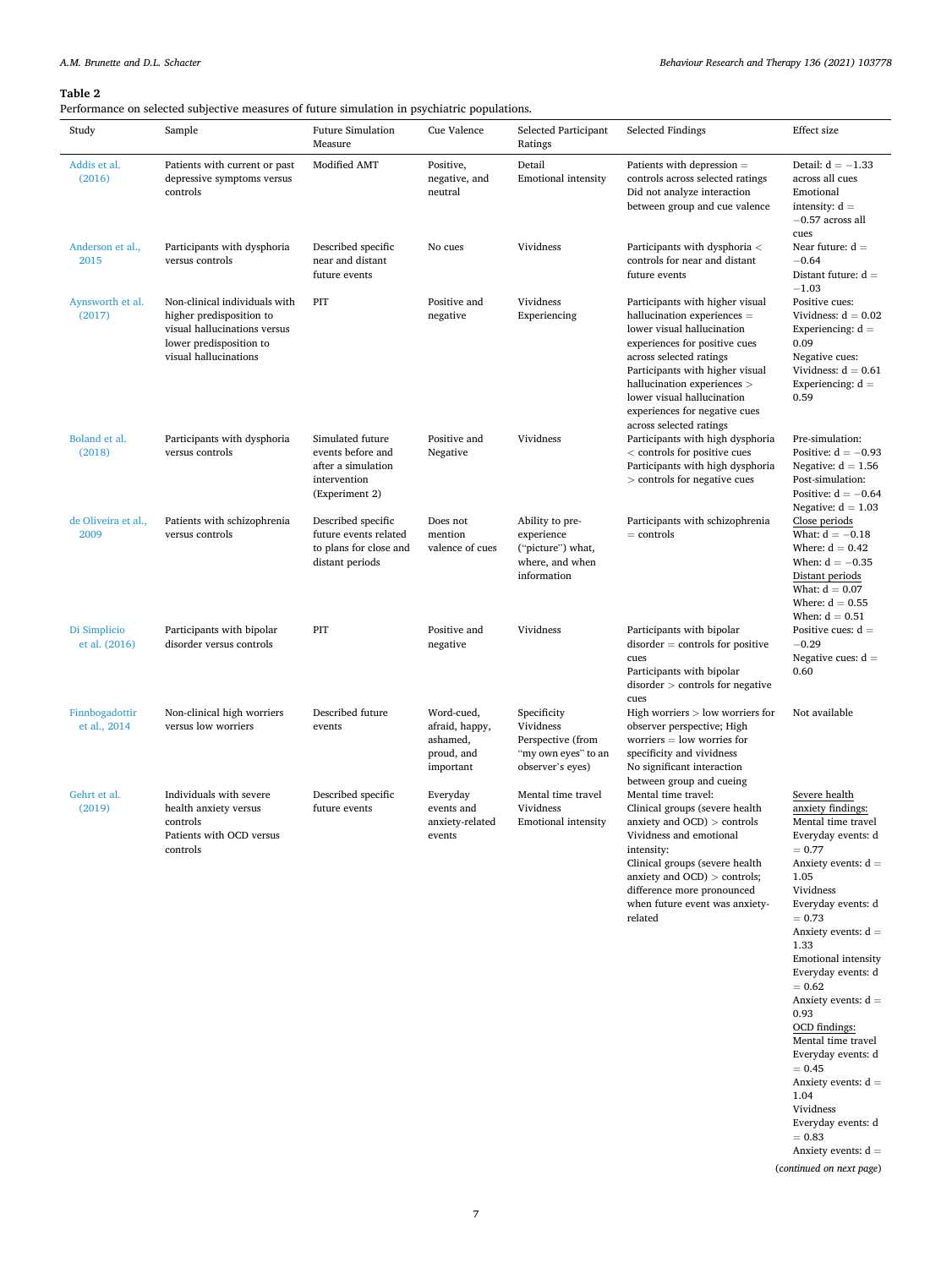## <span id="page-6-0"></span>**Table 2**

Performance on selected subjective measures of future simulation in psychiatric populations.

| Study                          | Sample                                                                                                                                        | <b>Future Simulation</b><br>Measure                                                           | Cue Valence                                                         | Selected Participant<br>Ratings                                                          | Selected Findings                                                                                                                                                                                                                                                                                                    | Effect size                                                                                                                                                                                                                                                                                                                                                                    |
|--------------------------------|-----------------------------------------------------------------------------------------------------------------------------------------------|-----------------------------------------------------------------------------------------------|---------------------------------------------------------------------|------------------------------------------------------------------------------------------|----------------------------------------------------------------------------------------------------------------------------------------------------------------------------------------------------------------------------------------------------------------------------------------------------------------------|--------------------------------------------------------------------------------------------------------------------------------------------------------------------------------------------------------------------------------------------------------------------------------------------------------------------------------------------------------------------------------|
| Addis et al.<br>(2016)         | Patients with current or past<br>depressive symptoms versus<br>controls                                                                       | Modified AMT                                                                                  | Positive,<br>negative, and<br>neutral                               | Detail<br><b>Emotional intensity</b>                                                     | Patients with depression =<br>controls across selected ratings<br>Did not analyze interaction<br>between group and cue valence                                                                                                                                                                                       | Detail: $d = -1.33$<br>across all cues<br>Emotional<br>intensity: $d =$<br>$-0.57$ across all<br>cues                                                                                                                                                                                                                                                                          |
| Anderson et al.,<br>2015       | Participants with dysphoria<br>versus controls                                                                                                | Described specific<br>near and distant<br>future events                                       | No cues                                                             | Vividness                                                                                | Participants with dysphoria <<br>controls for near and distant<br>future events                                                                                                                                                                                                                                      | Near future: $d =$<br>$-0.64$<br>Distant future: $d =$<br>$-1.03$                                                                                                                                                                                                                                                                                                              |
| Aynsworth et al.<br>(2017)     | Non-clinical individuals with<br>higher predisposition to<br>visual hallucinations versus<br>lower predisposition to<br>visual hallucinations | PIT                                                                                           | Positive and<br>negative                                            | Vividness<br>Experiencing                                                                | Participants with higher visual<br>hallucination experiences =<br>lower visual hallucination<br>experiences for positive cues<br>across selected ratings<br>Participants with higher visual<br>hallucination experiences ><br>lower visual hallucination<br>experiences for negative cues<br>across selected ratings | Positive cues:<br>Vividness: $d = 0.02$<br>Experiencing: $d =$<br>0.09<br>Negative cues:<br>Vividness: $d = 0.61$<br>Experiencing: $d =$<br>0.59                                                                                                                                                                                                                               |
| Boland et al.<br>(2018)        | Participants with dysphoria<br>versus controls                                                                                                | Simulated future<br>events before and<br>after a simulation<br>intervention<br>(Experiment 2) | Positive and<br>Negative                                            | Vividness                                                                                | Participants with high dysphoria<br>< controls for positive cues<br>Participants with high dysphoria<br>> controls for negative cues                                                                                                                                                                                 | Pre-simulation:<br>Positive: $d = -0.93$<br>Negative: $d = 1.56$<br>Post-simulation:<br>Positive: $d = -0.64$<br>Negative: $d = 1.03$                                                                                                                                                                                                                                          |
| de Oliveira et al.,<br>2009    | Patients with schizophrenia<br>versus controls                                                                                                | Described specific<br>future events related<br>to plans for close and<br>distant periods      | Does not<br>mention<br>valence of cues                              | Ability to pre-<br>experience<br>("picture") what,<br>where, and when<br>information     | Participants with schizophrenia<br>$=$ controls                                                                                                                                                                                                                                                                      | Close periods<br>What: $d = -0.18$<br>Where: $d = 0.42$<br>When: $d = -0.35$<br>Distant periods<br>What: $d = 0.07$<br>Where: $d = 0.55$<br>When: $d = 0.51$                                                                                                                                                                                                                   |
| Di Simplicio<br>et al. (2016)  | Participants with bipolar<br>disorder versus controls                                                                                         | PIT                                                                                           | Positive and<br>negative                                            | Vividness                                                                                | Participants with bipolar<br>$disorder = controls for positive$<br>cues<br>Participants with bipolar<br>disorder > controls for negative<br>cues                                                                                                                                                                     | Positive cues: $d =$<br>$-0.29$<br>Negative cues: $d =$<br>0.60                                                                                                                                                                                                                                                                                                                |
| Finnbogadottir<br>et al., 2014 | Non-clinical high worriers<br>versus low worriers                                                                                             | Described future<br>events                                                                    | Word-cued,<br>afraid, happy,<br>ashamed,<br>proud, and<br>important | Specificity<br>Vividness<br>Perspective (from<br>"my own eyes" to an<br>observer's eyes) | High worriers $>$ low worriers for<br>observer perspective; High<br>worriers $=$ low worries for<br>specificity and vividness<br>No significant interaction<br>between group and cueing                                                                                                                              | Not available                                                                                                                                                                                                                                                                                                                                                                  |
| Gehrt et al.<br>(2019)         | Individuals with severe<br>health anxiety versus<br>controls<br>Patients with OCD versus<br>controls                                          | Described specific<br>future events                                                           | Everyday<br>events and<br>anxiety-related<br>events                 | Mental time travel<br>Vividness<br><b>Emotional intensity</b>                            | Mental time travel:<br>Clinical groups (severe health<br>anxiety and $OCD$ ) $>$ controls<br>Vividness and emotional<br>intensity:<br>Clinical groups (severe health<br>anxiety and $OCD$ $>$ controls;<br>difference more pronounced<br>when future event was anxiety-<br>related                                   | Severe health<br>anxiety findings:<br>Mental time travel<br>Everyday events: d<br>$= 0.77$<br>Anxiety events: $d =$<br>1.05<br>Vividness<br>Everyday events: d<br>$= 0.73$<br>Anxiety events: $d =$<br>1.33<br>Emotional intensity<br>Everyday events: d<br>$= 0.62$<br>Anxiety events: $d =$<br>0.93<br>OCD findings:<br>Mental time travel<br>Everyday events: d<br>$= 0.45$ |

Anxiety events:  $d =$ 1.04 Vividness

Everyday events: d  $= 0.83$ Anxiety events:  $\mathbf{d} =$ 

(*continued on next page*)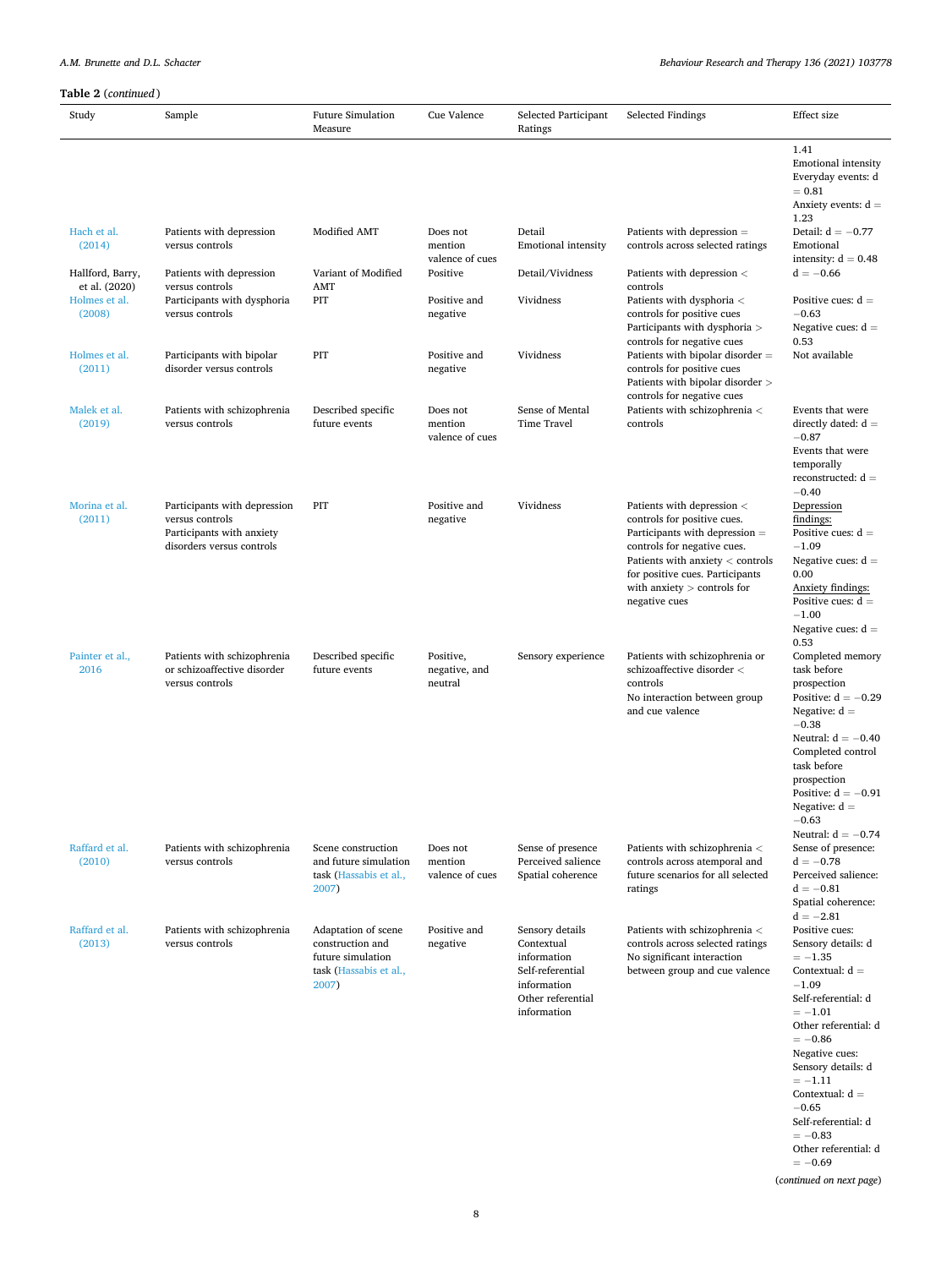| Study                             | Sample                                                                                                    | <b>Future Simulation</b><br>Measure                                                             | Cue Valence                            | Selected Participant<br>Ratings                                                                                     | Selected Findings                                                                                                                                                                                                                                   | Effect size                                                                                                                                                                                                                                                                                                           |
|-----------------------------------|-----------------------------------------------------------------------------------------------------------|-------------------------------------------------------------------------------------------------|----------------------------------------|---------------------------------------------------------------------------------------------------------------------|-----------------------------------------------------------------------------------------------------------------------------------------------------------------------------------------------------------------------------------------------------|-----------------------------------------------------------------------------------------------------------------------------------------------------------------------------------------------------------------------------------------------------------------------------------------------------------------------|
|                                   |                                                                                                           |                                                                                                 |                                        |                                                                                                                     |                                                                                                                                                                                                                                                     | 1.41<br><b>Emotional intensity</b><br>Everyday events: d<br>$= 0.81$<br>Anxiety events: $d =$                                                                                                                                                                                                                         |
| Hach et al.<br>(2014)             | Patients with depression<br>versus controls                                                               | Modified AMT                                                                                    | Does not<br>mention                    | Detail<br>Emotional intensity                                                                                       | Patients with depression =<br>controls across selected ratings                                                                                                                                                                                      | 1.23<br>Detail: $d = -0.77$<br>Emotional                                                                                                                                                                                                                                                                              |
| Hallford, Barry,<br>et al. (2020) | Patients with depression<br>versus controls                                                               | Variant of Modified<br>AMT                                                                      | valence of cues<br>Positive            | Detail/Vividness                                                                                                    | Patients with depression <<br>controls                                                                                                                                                                                                              | intensity: $d = 0.48$<br>$d = -0.66$                                                                                                                                                                                                                                                                                  |
| Holmes et al.<br>(2008)           | Participants with dysphoria<br>versus controls                                                            | PIT                                                                                             | Positive and<br>negative               | Vividness                                                                                                           | Patients with dysphoria <<br>controls for positive cues<br>Participants with dysphoria ><br>controls for negative cues                                                                                                                              | Positive cues: $d =$<br>$-0.63$<br>Negative cues: $d =$<br>0.53                                                                                                                                                                                                                                                       |
| Holmes et al.<br>(2011)           | Participants with bipolar<br>disorder versus controls                                                     | PIT                                                                                             | Positive and<br>negative               | Vividness                                                                                                           | Patients with bipolar disorder =<br>controls for positive cues<br>Patients with bipolar disorder >                                                                                                                                                  | Not available                                                                                                                                                                                                                                                                                                         |
| Malek et al.<br>(2019)            | Patients with schizophrenia<br>versus controls                                                            | Described specific<br>future events                                                             | Does not<br>mention<br>valence of cues | Sense of Mental<br>Time Travel                                                                                      | controls for negative cues<br>Patients with schizophrenia <<br>controls                                                                                                                                                                             | Events that were<br>directly dated: $d =$<br>$-0.87$<br>Events that were<br>temporally<br>reconstructed: $d =$<br>$-0.40$                                                                                                                                                                                             |
| Morina et al.<br>(2011)           | Participants with depression<br>versus controls<br>Participants with anxiety<br>disorders versus controls | PIT                                                                                             | Positive and<br>negative               | Vividness                                                                                                           | Patients with depression <<br>controls for positive cues.<br>Participants with depression =<br>controls for negative cues.<br>Patients with anxiety < controls<br>for positive cues. Participants<br>with anxiety $>$ controls for<br>negative cues | Depression<br>findings:<br>Positive cues: $d =$<br>$-1.09$<br>Negative cues: $d =$<br>0.00<br>Anxiety findings:<br>Positive cues: $d =$<br>$-1.00$<br>Negative cues: $d =$                                                                                                                                            |
| Painter et al.,<br>2016           | Patients with schizophrenia<br>or schizoaffective disorder<br>versus controls                             | Described specific<br>future events                                                             | Positive,<br>negative, and<br>neutral  | Sensory experience                                                                                                  | Patients with schizophrenia or<br>schizoaffective disorder <<br>controls<br>No interaction between group<br>and cue valence                                                                                                                         | 0.53<br>Completed memory<br>task before<br>prospection<br>Positive: $d = -0.29$<br>Negative: $d =$<br>$-0.38$<br>Neutral: $d = -0.40$<br>Completed control<br>task before<br>prospection<br>Positive: $d = -0.91$<br>Negative: $d =$<br>$-0.63$<br>Neutral: $d = -0.74$                                               |
| Raffard et al.<br>(2010)          | Patients with schizophrenia<br>versus controls                                                            | Scene construction<br>and future simulation<br>task (Hassabis et al.,<br>2007)                  | Does not<br>mention<br>valence of cues | Sense of presence<br>Perceived salience<br>Spatial coherence                                                        | Patients with schizophrenia <<br>controls across atemporal and<br>future scenarios for all selected<br>ratings                                                                                                                                      | Sense of presence:<br>$d = -0.78$<br>Perceived salience:<br>$d = -0.81$<br>Spatial coherence:                                                                                                                                                                                                                         |
| Raffard et al.<br>(2013)          | Patients with schizophrenia<br>versus controls                                                            | Adaptation of scene<br>construction and<br>future simulation<br>task (Hassabis et al.,<br>2007) | Positive and<br>negative               | Sensory details<br>Contextual<br>information<br>Self-referential<br>information<br>Other referential<br>information | Patients with schizophrenia <<br>controls across selected ratings<br>No significant interaction<br>between group and cue valence                                                                                                                    | $d = -2.81$<br>Positive cues:<br>Sensory details: d<br>$=-1.35$<br>Contextual: $d =$<br>$-1.09$<br>Self-referential: d<br>$=-1.01$<br>Other referential: d<br>$=-0.86$<br>Negative cues:<br>Sensory details: d<br>$=-1.11$<br>Contextual: $d =$<br>$-0.65$<br>Self-referential: d<br>$=-0.83$<br>Other referential: d |

(*continued on next page*)

 $= -0.69$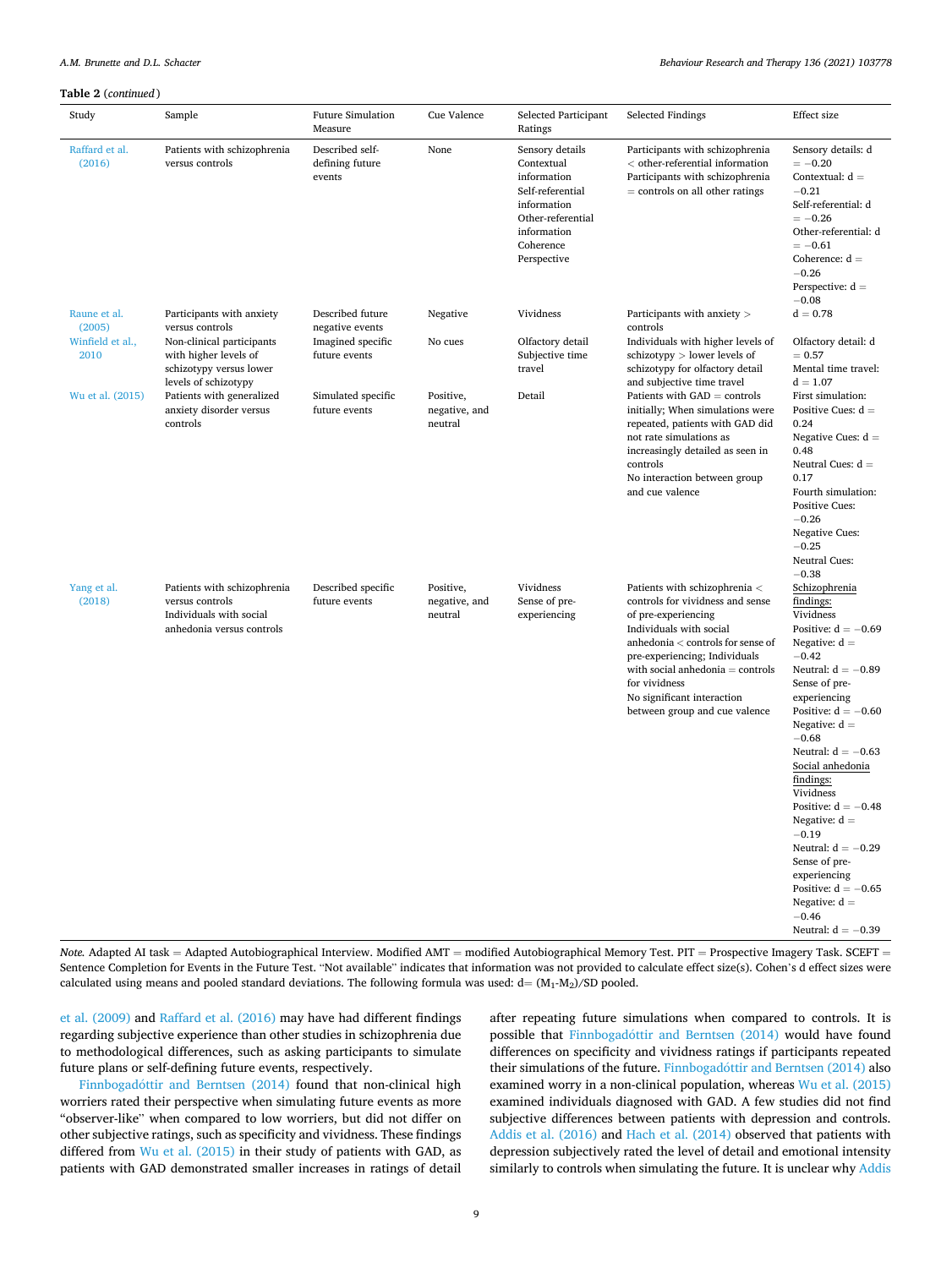# **Table 2** (*continued* )

| Study<br>Raffard et al.<br>(2016) | Sample<br>Patients with schizophrenia<br>versus controls                                               | <b>Future Simulation</b><br>Measure<br>Described self- | Cue Valence                           | Selected Participant<br>Ratings                                                                                                                 | Selected Findings                                                                                                                                                                                                                                                                                               | Effect size                                                                                                                                                                                                                                                                                                                                                                                                                                                                         |
|-----------------------------------|--------------------------------------------------------------------------------------------------------|--------------------------------------------------------|---------------------------------------|-------------------------------------------------------------------------------------------------------------------------------------------------|-----------------------------------------------------------------------------------------------------------------------------------------------------------------------------------------------------------------------------------------------------------------------------------------------------------------|-------------------------------------------------------------------------------------------------------------------------------------------------------------------------------------------------------------------------------------------------------------------------------------------------------------------------------------------------------------------------------------------------------------------------------------------------------------------------------------|
|                                   |                                                                                                        |                                                        |                                       |                                                                                                                                                 |                                                                                                                                                                                                                                                                                                                 |                                                                                                                                                                                                                                                                                                                                                                                                                                                                                     |
|                                   |                                                                                                        | defining future<br>events                              | None                                  | Sensory details<br>Contextual<br>information<br>Self-referential<br>information<br>Other-referential<br>information<br>Coherence<br>Perspective | Participants with schizophrenia<br>$<$ other-referential information<br>Participants with schizophrenia<br>$=$ controls on all other ratings                                                                                                                                                                    | Sensory details: d<br>$=-0.20$<br>Contextual: $d =$<br>$-0.21$<br>Self-referential: d<br>$=-0.26$<br>Other-referential: d<br>$=-0.61$<br>Coherence: $d =$<br>$-0.26$<br>Perspective: $d =$<br>$-0.08$                                                                                                                                                                                                                                                                               |
| Raune et al.<br>(2005)            | Participants with anxiety<br>versus controls                                                           | Described future<br>negative events                    | Negative                              | Vividness                                                                                                                                       | Participants with anxiety ><br>controls                                                                                                                                                                                                                                                                         | $d = 0.78$                                                                                                                                                                                                                                                                                                                                                                                                                                                                          |
| Winfield et al.,<br>2010          | Non-clinical participants<br>with higher levels of                                                     | Imagined specific<br>future events                     | No cues                               | Olfactory detail<br>Subjective time                                                                                                             | Individuals with higher levels of<br>schizotypy $>$ lower levels of                                                                                                                                                                                                                                             | Olfactory detail: d<br>$= 0.57$                                                                                                                                                                                                                                                                                                                                                                                                                                                     |
|                                   | schizotypy versus lower<br>levels of schizotypy                                                        |                                                        |                                       | travel                                                                                                                                          | schizotypy for olfactory detail<br>and subjective time travel                                                                                                                                                                                                                                                   | Mental time travel:<br>$d = 1.07$                                                                                                                                                                                                                                                                                                                                                                                                                                                   |
| Wu et al. (2015)                  | Patients with generalized<br>anxiety disorder versus<br>controls                                       | Simulated specific<br>future events                    | Positive,<br>negative, and<br>neutral | Detail                                                                                                                                          | Patients with $GAD =$ controls<br>initially; When simulations were<br>repeated, patients with GAD did<br>not rate simulations as<br>increasingly detailed as seen in<br>controls<br>No interaction between group<br>and cue valence                                                                             | First simulation:<br>Positive Cues: $d =$<br>0.24<br>Negative Cues: $d =$<br>0.48<br>Neutral Cues: $d =$<br>0.17<br>Fourth simulation:<br><b>Positive Cues:</b><br>$-0.26$<br><b>Negative Cues:</b><br>$-0.25$<br><b>Neutral Cues:</b><br>$-0.38$                                                                                                                                                                                                                                   |
| Yang et al.<br>(2018)             | Patients with schizophrenia<br>versus controls<br>Individuals with social<br>anhedonia versus controls | Described specific<br>future events                    | Positive,<br>negative, and<br>neutral | Vividness<br>Sense of pre-<br>experiencing                                                                                                      | Patients with schizophrenia <<br>controls for vividness and sense<br>of pre-experiencing<br>Individuals with social<br>anhedonia < controls for sense of<br>pre-experiencing; Individuals<br>with social anhedonia $=$ controls<br>for vividness<br>No significant interaction<br>between group and cue valence | Schizophrenia<br>findings:<br>Vividness<br>Positive: $d = -0.69$<br>Negative: $d =$<br>$-0.42$<br>Neutral: $d = -0.89$<br>Sense of pre-<br>experiencing<br>Positive: $d = -0.60$<br>Negative: $d =$<br>$-0.68$<br>Neutral: $d = -0.63$<br>Social anhedonia<br>findings:<br>Vividness<br>Positive: $d = -0.48$<br>Negative: $d =$<br>$-0.19$<br>Neutral: $d = -0.29$<br>Sense of pre-<br>experiencing<br>Positive: $d = -0.65$<br>Negative: $d =$<br>$-0.46$<br>Neutral: $d = -0.39$ |

*Note.* Adapted AI task = Adapted Autobiographical Interview. Modified AMT = modified Autobiographical Memory Test. PIT = Prospective Imagery Task. SCEFT = Sentence Completion for Events in the Future Test. "Not available" indicates that information was not provided to calculate effect size(s). Cohen's d effect sizes were calculated using means and pooled standard deviations. The following formula was used:  $d = (M_1 - M_2)/SD$  pooled.

[et al. \(2009\)](#page-17-0) and [Raffard et al. \(2016\)](#page-17-0) may have had different findings regarding subjective experience than other studies in schizophrenia due to methodological differences, such as asking participants to simulate future plans or self-defining future events, respectively.

Finnbogadóttir [and Berntsen \(2014\)](#page-16-0) found that non-clinical high worriers rated their perspective when simulating future events as more "observer-like" when compared to low worriers, but did not differ on other subjective ratings, such as specificity and vividness. These findings differed from [Wu et al. \(2015\)](#page-18-0) in their study of patients with GAD, as patients with GAD demonstrated smaller increases in ratings of detail after repeating future simulations when compared to controls. It is possible that Finnbogadóttir [and Berntsen \(2014\)](#page-16-0) would have found differences on specificity and vividness ratings if participants repeated their simulations of the future. Finnbogadóttir [and Berntsen \(2014\)](#page-16-0) also examined worry in a non-clinical population, whereas [Wu et al. \(2015\)](#page-18-0)  examined individuals diagnosed with GAD. A few studies did not find subjective differences between patients with depression and controls. [Addis et al. \(2016\)](#page-15-0) and [Hach et al. \(2014\)](#page-16-0) observed that patients with depression subjectively rated the level of detail and emotional intensity similarly to controls when simulating the future. It is unclear why [Addis](#page-15-0)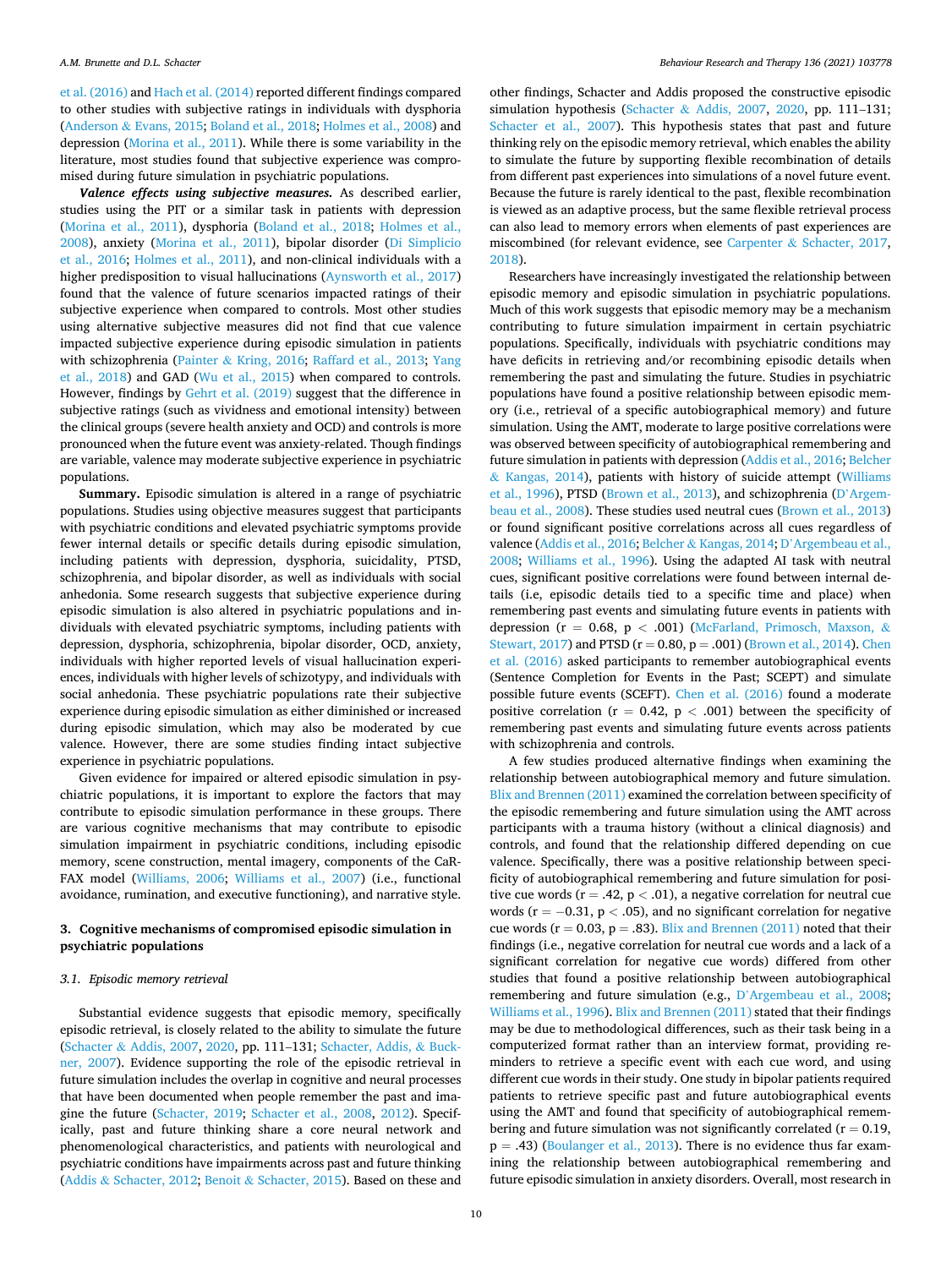[et al. \(2016\)](#page-15-0) and [Hach et al. \(2014\)](#page-16-0) reported different findings compared to other studies with subjective ratings in individuals with dysphoria (Anderson & [Evans, 2015](#page-15-0); [Boland et al., 2018;](#page-15-0) [Holmes et al., 2008\)](#page-16-0) and depression ([Morina et al., 2011\)](#page-17-0). While there is some variability in the literature, most studies found that subjective experience was compromised during future simulation in psychiatric populations.

*Valence effects using subjective measures.* As described earlier, studies using the PIT or a similar task in patients with depression ([Morina et al., 2011\)](#page-17-0), dysphoria ([Boland et al., 2018](#page-15-0); [Holmes et al.,](#page-16-0)  [2008\)](#page-16-0), anxiety [\(Morina et al., 2011\)](#page-17-0), bipolar disorder ([Di Simplicio](#page-15-0)  [et al., 2016](#page-15-0); [Holmes et al., 2011\)](#page-16-0), and non-clinical individuals with a higher predisposition to visual hallucinations [\(Aynsworth et al., 2017\)](#page-15-0) found that the valence of future scenarios impacted ratings of their subjective experience when compared to controls. Most other studies using alternative subjective measures did not find that cue valence impacted subjective experience during episodic simulation in patients with schizophrenia (Painter & [Kring, 2016;](#page-17-0) [Raffard et al., 2013;](#page-17-0) [Yang](#page-18-0)  [et al., 2018](#page-18-0)) and GAD [\(Wu et al., 2015](#page-18-0)) when compared to controls. However, findings by [Gehrt et al. \(2019\)](#page-16-0) suggest that the difference in subjective ratings (such as vividness and emotional intensity) between the clinical groups (severe health anxiety and OCD) and controls is more pronounced when the future event was anxiety-related. Though findings are variable, valence may moderate subjective experience in psychiatric populations.

**Summary.** Episodic simulation is altered in a range of psychiatric populations. Studies using objective measures suggest that participants with psychiatric conditions and elevated psychiatric symptoms provide fewer internal details or specific details during episodic simulation, including patients with depression, dysphoria, suicidality, PTSD, schizophrenia, and bipolar disorder, as well as individuals with social anhedonia. Some research suggests that subjective experience during episodic simulation is also altered in psychiatric populations and individuals with elevated psychiatric symptoms, including patients with depression, dysphoria, schizophrenia, bipolar disorder, OCD, anxiety, individuals with higher reported levels of visual hallucination experiences, individuals with higher levels of schizotypy, and individuals with social anhedonia. These psychiatric populations rate their subjective experience during episodic simulation as either diminished or increased during episodic simulation, which may also be moderated by cue valence. However, there are some studies finding intact subjective experience in psychiatric populations.

Given evidence for impaired or altered episodic simulation in psychiatric populations, it is important to explore the factors that may contribute to episodic simulation performance in these groups. There are various cognitive mechanisms that may contribute to episodic simulation impairment in psychiatric conditions, including episodic memory, scene construction, mental imagery, components of the CaR-FAX model [\(Williams, 2006;](#page-18-0) [Williams et al., 2007\)](#page-18-0) (i.e., functional avoidance, rumination, and executive functioning), and narrative style.

## **3. Cognitive mechanisms of compromised episodic simulation in psychiatric populations**

### *3.1. Episodic memory retrieval*

Substantial evidence suggests that episodic memory, specifically episodic retrieval, is closely related to the ability to simulate the future (Schacter & [Addis, 2007](#page-17-0), [2020,](#page-17-0) pp. 111–131; [Schacter, Addis,](#page-17-0) & Buck[ner, 2007\)](#page-17-0). Evidence supporting the role of the episodic retrieval in future simulation includes the overlap in cognitive and neural processes that have been documented when people remember the past and imagine the future [\(Schacter, 2019;](#page-17-0) [Schacter et al., 2008,](#page-17-0) [2012](#page-17-0)). Specifically, past and future thinking share a core neural network and phenomenological characteristics, and patients with neurological and psychiatric conditions have impairments across past and future thinking (Addis & [Schacter, 2012;](#page-15-0) Benoit & [Schacter, 2015\)](#page-15-0). Based on these and

other findings, Schacter and Addis proposed the constructive episodic simulation hypothesis (Schacter & [Addis, 2007,](#page-17-0) [2020,](#page-17-0) pp. 111–131; [Schacter et al., 2007\)](#page-17-0). This hypothesis states that past and future thinking rely on the episodic memory retrieval, which enables the ability to simulate the future by supporting flexible recombination of details from different past experiences into simulations of a novel future event. Because the future is rarely identical to the past, flexible recombination is viewed as an adaptive process, but the same flexible retrieval process can also lead to memory errors when elements of past experiences are miscombined (for relevant evidence, see Carpenter & [Schacter, 2017](#page-15-0), [2018\)](#page-15-0).

Researchers have increasingly investigated the relationship between episodic memory and episodic simulation in psychiatric populations. Much of this work suggests that episodic memory may be a mechanism contributing to future simulation impairment in certain psychiatric populations. Specifically, individuals with psychiatric conditions may have deficits in retrieving and/or recombining episodic details when remembering the past and simulating the future. Studies in psychiatric populations have found a positive relationship between episodic memory (i.e., retrieval of a specific autobiographical memory) and future simulation. Using the AMT, moderate to large positive correlations were was observed between specificity of autobiographical remembering and future simulation in patients with depression ([Addis et al., 2016](#page-15-0); [Belcher](#page-15-0)  & [Kangas, 2014](#page-15-0)), patients with history of suicide attempt ([Williams](#page-18-0)  [et al., 1996](#page-18-0)), PTSD ([Brown et al., 2013\)](#page-15-0), and schizophrenia (D'[Argem](#page-15-0)[beau et al., 2008\)](#page-15-0). These studies used neutral cues [\(Brown et al., 2013\)](#page-15-0) or found significant positive correlations across all cues regardless of valence ([Addis et al., 2016](#page-15-0); Belcher & [Kangas, 2014;](#page-15-0) D'[Argembeau et al.,](#page-15-0)  [2008;](#page-15-0) [Williams et al., 1996](#page-18-0)). Using the adapted AI task with neutral cues, significant positive correlations were found between internal details (i.e, episodic details tied to a specific time and place) when remembering past events and simulating future events in patients with depression (r = 0.68, p *<* .001) [\(McFarland, Primosch, Maxson,](#page-17-0) & [Stewart, 2017](#page-17-0)) and PTSD ( $r = 0.80$ ,  $p = .001$ ) ([Brown et al., 2014\)](#page-15-0). Chen [et al. \(2016\)](#page-15-0) asked participants to remember autobiographical events (Sentence Completion for Events in the Past; SCEPT) and simulate possible future events (SCEFT). [Chen et al. \(2016\)](#page-15-0) found a moderate positive correlation ( $r = 0.42$ ,  $p < .001$ ) between the specificity of remembering past events and simulating future events across patients with schizophrenia and controls.

A few studies produced alternative findings when examining the relationship between autobiographical memory and future simulation. [Blix and Brennen \(2011\)](#page-15-0) examined the correlation between specificity of the episodic remembering and future simulation using the AMT across participants with a trauma history (without a clinical diagnosis) and controls, and found that the relationship differed depending on cue valence. Specifically, there was a positive relationship between specificity of autobiographical remembering and future simulation for positive cue words  $(r = .42, p < .01)$ , a negative correlation for neutral cue words (r = − 0.31, p *<* .05), and no significant correlation for negative cue words ( $r = 0.03$ ,  $p = .83$ ). [Blix and Brennen \(2011\)](#page-15-0) noted that their findings (i.e., negative correlation for neutral cue words and a lack of a significant correlation for negative cue words) differed from other studies that found a positive relationship between autobiographical remembering and future simulation (e.g., D'[Argembeau et al., 2008](#page-15-0); [Williams et al., 1996](#page-18-0)). [Blix and Brennen \(2011\)](#page-15-0) stated that their findings may be due to methodological differences, such as their task being in a computerized format rather than an interview format, providing reminders to retrieve a specific event with each cue word, and using different cue words in their study. One study in bipolar patients required patients to retrieve specific past and future autobiographical events using the AMT and found that specificity of autobiographical remembering and future simulation was not significantly correlated ( $r = 0.19$ ,  $p = .43$ ) [\(Boulanger et al., 2013\)](#page-15-0). There is no evidence thus far examining the relationship between autobiographical remembering and future episodic simulation in anxiety disorders. Overall, most research in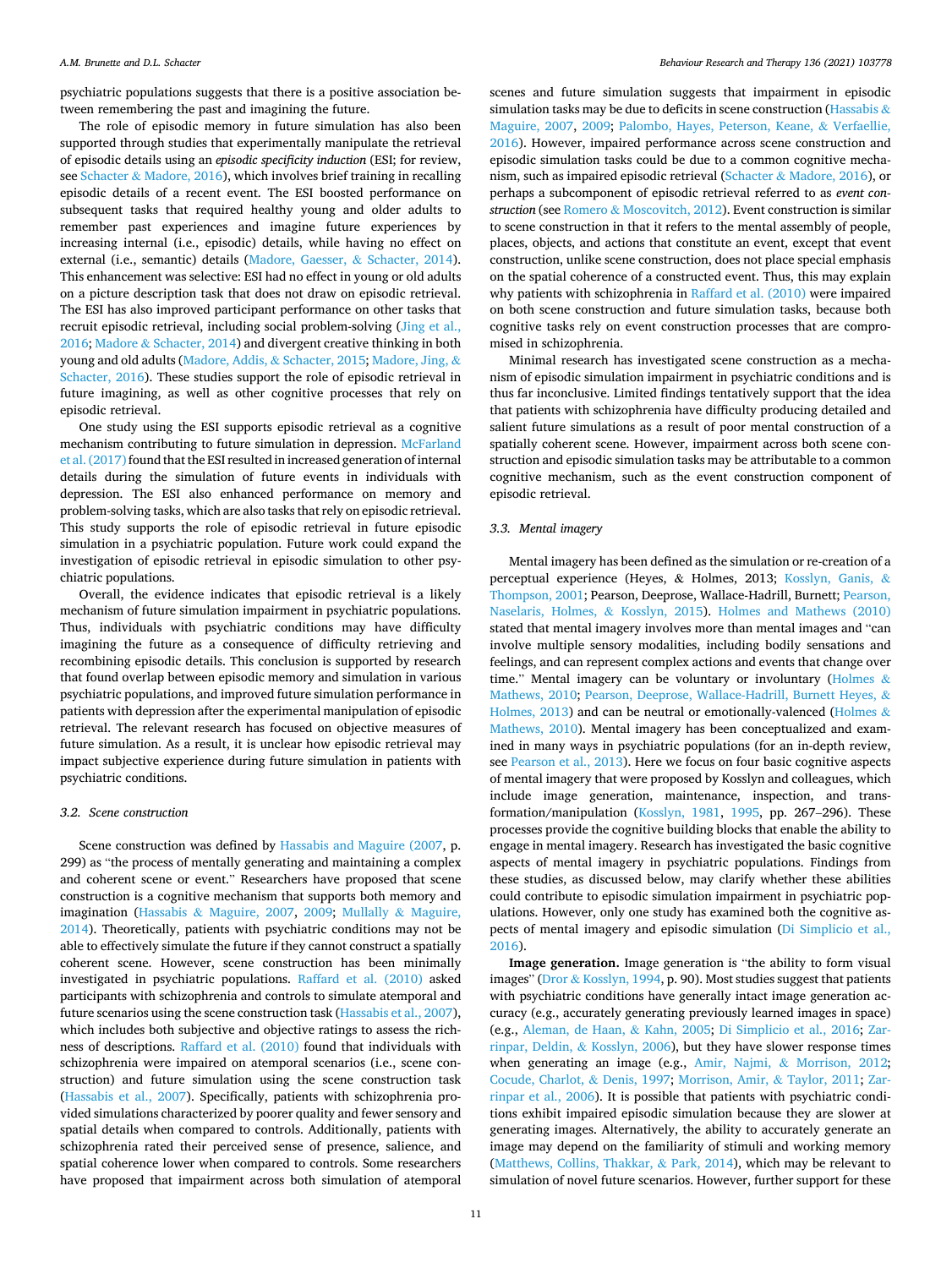psychiatric populations suggests that there is a positive association between remembering the past and imagining the future.

The role of episodic memory in future simulation has also been supported through studies that experimentally manipulate the retrieval of episodic details using an *episodic specificity induction* (ESI; for review, see Schacter & [Madore, 2016](#page-17-0)), which involves brief training in recalling episodic details of a recent event. The ESI boosted performance on subsequent tasks that required healthy young and older adults to remember past experiences and imagine future experiences by increasing internal (i.e., episodic) details, while having no effect on external (i.e., semantic) details ([Madore, Gaesser,](#page-16-0) & Schacter, 2014). This enhancement was selective: ESI had no effect in young or old adults on a picture description task that does not draw on episodic retrieval. The ESI has also improved participant performance on other tasks that recruit episodic retrieval, including social problem-solving [\(Jing et al.,](#page-16-0)  [2016;](#page-16-0) Madore & [Schacter, 2014](#page-16-0)) and divergent creative thinking in both young and old adults ([Madore, Addis,](#page-16-0) & Schacter, 2015; [Madore, Jing,](#page-16-0) & [Schacter, 2016](#page-16-0)). These studies support the role of episodic retrieval in future imagining, as well as other cognitive processes that rely on episodic retrieval.

One study using the ESI supports episodic retrieval as a cognitive mechanism contributing to future simulation in depression. [McFarland](#page-17-0)  [et al. \(2017\)](#page-17-0) found that the ESI resulted in increased generation of internal details during the simulation of future events in individuals with depression. The ESI also enhanced performance on memory and problem-solving tasks, which are also tasks that rely on episodic retrieval. This study supports the role of episodic retrieval in future episodic simulation in a psychiatric population. Future work could expand the investigation of episodic retrieval in episodic simulation to other psychiatric populations.

Overall, the evidence indicates that episodic retrieval is a likely mechanism of future simulation impairment in psychiatric populations. Thus, individuals with psychiatric conditions may have difficulty imagining the future as a consequence of difficulty retrieving and recombining episodic details. This conclusion is supported by research that found overlap between episodic memory and simulation in various psychiatric populations, and improved future simulation performance in patients with depression after the experimental manipulation of episodic retrieval. The relevant research has focused on objective measures of future simulation. As a result, it is unclear how episodic retrieval may impact subjective experience during future simulation in patients with psychiatric conditions.

## *3.2. Scene construction*

Scene construction was defined by [Hassabis and Maguire \(2007](#page-16-0), p. 299) as "the process of mentally generating and maintaining a complex and coherent scene or event." Researchers have proposed that scene construction is a cognitive mechanism that supports both memory and imagination (Hassabis & [Maguire, 2007](#page-16-0), [2009](#page-16-0); [Mullally](#page-17-0) & Maguire, [2014\)](#page-17-0). Theoretically, patients with psychiatric conditions may not be able to effectively simulate the future if they cannot construct a spatially coherent scene. However, scene construction has been minimally investigated in psychiatric populations. [Raffard et al. \(2010\)](#page-17-0) asked participants with schizophrenia and controls to simulate atemporal and future scenarios using the scene construction task ([Hassabis et al., 2007](#page-16-0)), which includes both subjective and objective ratings to assess the richness of descriptions. [Raffard et al. \(2010\)](#page-17-0) found that individuals with schizophrenia were impaired on atemporal scenarios (i.e., scene construction) and future simulation using the scene construction task ([Hassabis et al., 2007\)](#page-16-0). Specifically, patients with schizophrenia provided simulations characterized by poorer quality and fewer sensory and spatial details when compared to controls. Additionally, patients with schizophrenia rated their perceived sense of presence, salience, and spatial coherence lower when compared to controls. Some researchers have proposed that impairment across both simulation of atemporal

scenes and future simulation suggests that impairment in episodic simulation tasks may be due to deficits in scene construction [\(Hassabis](#page-16-0) & [Maguire, 2007,](#page-16-0) [2009](#page-16-0); [Palombo, Hayes, Peterson, Keane,](#page-17-0) & Verfaellie, [2016\)](#page-17-0). However, impaired performance across scene construction and episodic simulation tasks could be due to a common cognitive mechanism, such as impaired episodic retrieval (Schacter & [Madore, 2016](#page-17-0)), or perhaps a subcomponent of episodic retrieval referred to as *event construction* (see Romero & [Moscovitch, 2012\)](#page-17-0). Event construction is similar to scene construction in that it refers to the mental assembly of people, places, objects, and actions that constitute an event, except that event construction, unlike scene construction, does not place special emphasis on the spatial coherence of a constructed event. Thus, this may explain why patients with schizophrenia in [Raffard et al. \(2010\)](#page-17-0) were impaired on both scene construction and future simulation tasks, because both cognitive tasks rely on event construction processes that are compromised in schizophrenia.

Minimal research has investigated scene construction as a mechanism of episodic simulation impairment in psychiatric conditions and is thus far inconclusive. Limited findings tentatively support that the idea that patients with schizophrenia have difficulty producing detailed and salient future simulations as a result of poor mental construction of a spatially coherent scene. However, impairment across both scene construction and episodic simulation tasks may be attributable to a common cognitive mechanism, such as the event construction component of episodic retrieval.

## *3.3. Mental imagery*

Mental imagery has been defined as the simulation or re-creation of a perceptual experience (Heyes, & Holmes, 2013; [Kosslyn, Ganis,](#page-16-0) & [Thompson, 2001;](#page-16-0) Pearson, Deeprose, Wallace-Hadrill, Burnett; [Pearson,](#page-17-0)  [Naselaris, Holmes,](#page-17-0) & Kosslyn, 2015). [Holmes and Mathews \(2010\)](#page-16-0)  stated that mental imagery involves more than mental images and "can involve multiple sensory modalities, including bodily sensations and feelings, and can represent complex actions and events that change over time." Mental imagery can be voluntary or involuntary ([Holmes](#page-16-0)  $\&$ [Mathews, 2010](#page-16-0); [Pearson, Deeprose, Wallace-Hadrill, Burnett Heyes,](#page-17-0) & [Holmes, 2013\)](#page-17-0) and can be neutral or emotionally-valenced [\(Holmes](#page-16-0) & [Mathews, 2010\)](#page-16-0). Mental imagery has been conceptualized and examined in many ways in psychiatric populations (for an in-depth review, see [Pearson et al., 2013\)](#page-17-0). Here we focus on four basic cognitive aspects of mental imagery that were proposed by Kosslyn and colleagues, which include image generation, maintenance, inspection, and transformation/manipulation ([Kosslyn, 1981,](#page-16-0) [1995](#page-16-0), pp. 267–296). These processes provide the cognitive building blocks that enable the ability to engage in mental imagery. Research has investigated the basic cognitive aspects of mental imagery in psychiatric populations. Findings from these studies, as discussed below, may clarify whether these abilities could contribute to episodic simulation impairment in psychiatric populations. However, only one study has examined both the cognitive aspects of mental imagery and episodic simulation [\(Di Simplicio et al.,](#page-15-0)  [2016\)](#page-15-0).

**Image generation.** Image generation is "the ability to form visual images" (Dror & [Kosslyn, 1994,](#page-16-0) p. 90). Most studies suggest that patients with psychiatric conditions have generally intact image generation accuracy (e.g., accurately generating previously learned images in space) (e.g., [Aleman, de Haan,](#page-15-0) & Kahn, 2005; [Di Simplicio et al., 2016](#page-15-0); [Zar](#page-18-0)[rinpar, Deldin,](#page-18-0) & Kosslyn, 2006), but they have slower response times when generating an image (e.g., Amir, Najmi, & [Morrison, 2012](#page-15-0); [Cocude, Charlot,](#page-15-0) & Denis, 1997; [Morrison, Amir,](#page-17-0) & Taylor, 2011; [Zar](#page-18-0)[rinpar et al., 2006](#page-18-0)). It is possible that patients with psychiatric conditions exhibit impaired episodic simulation because they are slower at generating images. Alternatively, the ability to accurately generate an image may depend on the familiarity of stimuli and working memory ([Matthews, Collins, Thakkar,](#page-17-0) & Park, 2014), which may be relevant to simulation of novel future scenarios. However, further support for these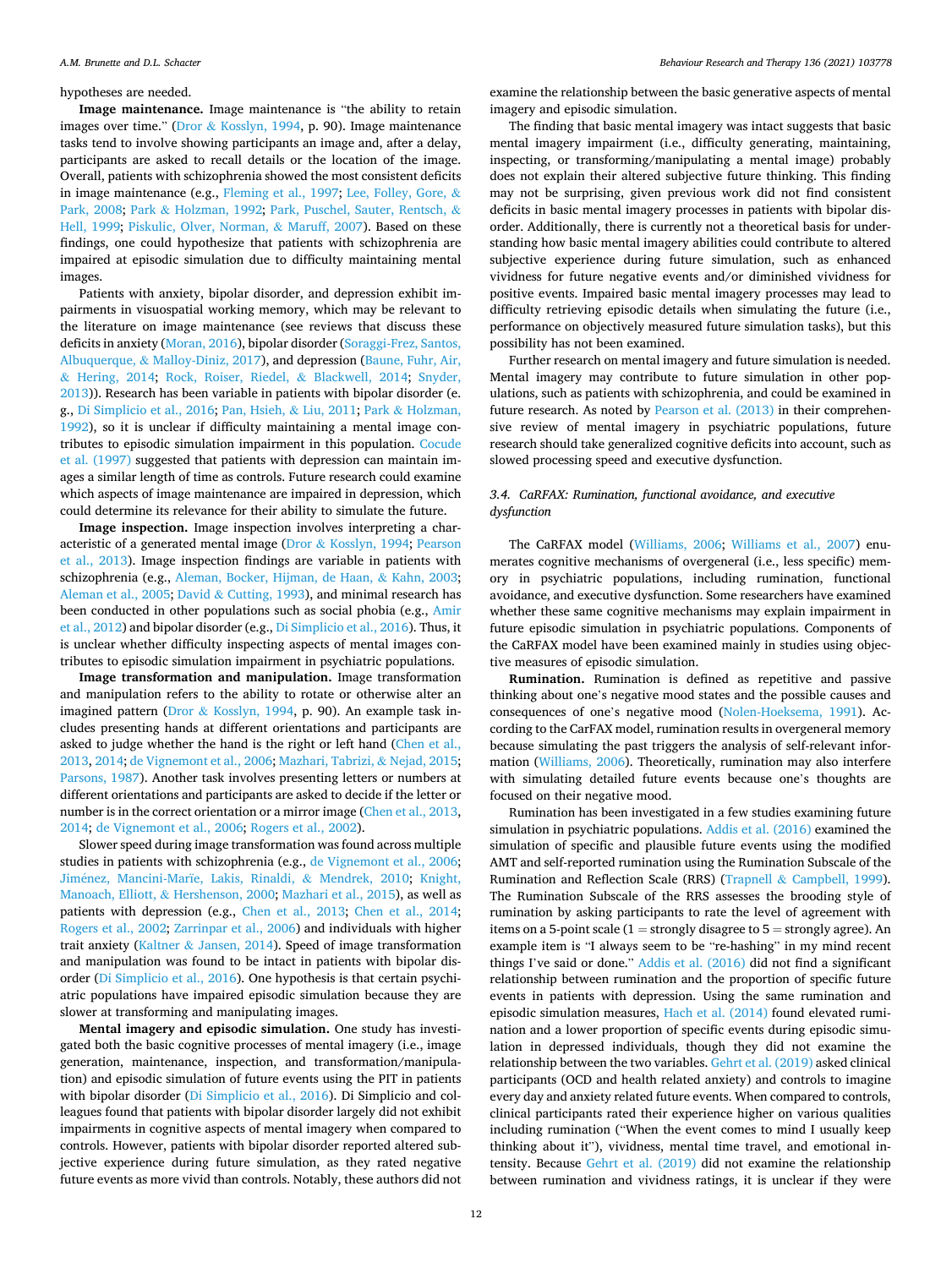#### hypotheses are needed.

**Image maintenance.** Image maintenance is "the ability to retain images over time." (Dror & [Kosslyn, 1994](#page-16-0), p. 90). Image maintenance tasks tend to involve showing participants an image and, after a delay, participants are asked to recall details or the location of the image. Overall, patients with schizophrenia showed the most consistent deficits in image maintenance (e.g., [Fleming et al., 1997](#page-16-0); [Lee, Folley, Gore,](#page-16-0) & [Park, 2008;](#page-16-0) Park & [Holzman, 1992](#page-17-0); [Park, Puschel, Sauter, Rentsch,](#page-17-0) & [Hell, 1999](#page-17-0); [Piskulic, Olver, Norman,](#page-17-0) & Maruff, 2007). Based on these findings, one could hypothesize that patients with schizophrenia are impaired at episodic simulation due to difficulty maintaining mental images.

Patients with anxiety, bipolar disorder, and depression exhibit impairments in visuospatial working memory, which may be relevant to the literature on image maintenance (see reviews that discuss these deficits in anxiety ([Moran, 2016](#page-17-0)), bipolar disorder ([Soraggi-Frez, Santos,](#page-17-0)  Albuquerque, & [Malloy-Diniz, 2017](#page-17-0)), and depression ([Baune, Fuhr, Air,](#page-15-0)  & [Hering, 2014](#page-15-0); [Rock, Roiser, Riedel,](#page-17-0) & Blackwell, 2014; [Snyder,](#page-17-0)  [2013\)](#page-17-0)). Research has been variable in patients with bipolar disorder (e. g., [Di Simplicio et al., 2016](#page-15-0); [Pan, Hsieh,](#page-17-0) & Liu, 2011; Park & [Holzman,](#page-17-0)  [1992\)](#page-17-0), so it is unclear if difficulty maintaining a mental image contributes to episodic simulation impairment in this population. [Cocude](#page-15-0)  [et al. \(1997\)](#page-15-0) suggested that patients with depression can maintain images a similar length of time as controls. Future research could examine which aspects of image maintenance are impaired in depression, which could determine its relevance for their ability to simulate the future.

**Image inspection.** Image inspection involves interpreting a characteristic of a generated mental image (Dror & [Kosslyn, 1994](#page-16-0); [Pearson](#page-17-0)  [et al., 2013\)](#page-17-0). Image inspection findings are variable in patients with schizophrenia (e.g., [Aleman, Bocker, Hijman, de Haan,](#page-15-0) & Kahn, 2003; [Aleman et al., 2005;](#page-15-0) David & [Cutting, 1993\)](#page-15-0), and minimal research has been conducted in other populations such as social phobia (e.g., [Amir](#page-15-0)  [et al., 2012](#page-15-0)) and bipolar disorder (e.g., [Di Simplicio et al., 2016\)](#page-15-0). Thus, it is unclear whether difficulty inspecting aspects of mental images contributes to episodic simulation impairment in psychiatric populations.

**Image transformation and manipulation.** Image transformation and manipulation refers to the ability to rotate or otherwise alter an imagined pattern (Dror & [Kosslyn, 1994,](#page-16-0) p. 90). An example task includes presenting hands at different orientations and participants are asked to judge whether the hand is the right or left hand ([Chen et al.,](#page-15-0)  [2013, 2014](#page-15-0); [de Vignemont et al., 2006;](#page-18-0) [Mazhari, Tabrizi,](#page-17-0) & Nejad, 2015; [Parsons, 1987](#page-17-0)). Another task involves presenting letters or numbers at different orientations and participants are asked to decide if the letter or number is in the correct orientation or a mirror image ([Chen et al., 2013](#page-15-0), [2014;](#page-15-0) [de Vignemont et al., 2006](#page-18-0); [Rogers et al., 2002](#page-17-0)).

Slower speed during image transformation was found across multiple studies in patients with schizophrenia (e.g., [de Vignemont et al., 2006](#page-18-0); Jiménez, Mancini-Marïe, Lakis, Rinaldi, & Mendrek, 2010; Knight, Manoach, Elliott, & [Hershenson, 2000](#page-16-0); [Mazhari et al., 2015\)](#page-17-0), as well as patients with depression (e.g., [Chen et al., 2013](#page-15-0); [Chen et al., 2014](#page-15-0); [Rogers et al., 2002](#page-17-0); [Zarrinpar et al., 2006](#page-18-0)) and individuals with higher trait anxiety (Kaltner & [Jansen, 2014](#page-16-0)). Speed of image transformation and manipulation was found to be intact in patients with bipolar disorder ([Di Simplicio et al., 2016](#page-15-0)). One hypothesis is that certain psychiatric populations have impaired episodic simulation because they are slower at transforming and manipulating images.

**Mental imagery and episodic simulation.** One study has investigated both the basic cognitive processes of mental imagery (i.e., image generation, maintenance, inspection, and transformation/manipulation) and episodic simulation of future events using the PIT in patients with bipolar disorder ([Di Simplicio et al., 2016\)](#page-15-0). Di Simplicio and colleagues found that patients with bipolar disorder largely did not exhibit impairments in cognitive aspects of mental imagery when compared to controls. However, patients with bipolar disorder reported altered subjective experience during future simulation, as they rated negative future events as more vivid than controls. Notably, these authors did not examine the relationship between the basic generative aspects of mental imagery and episodic simulation.

The finding that basic mental imagery was intact suggests that basic mental imagery impairment (i.e., difficulty generating, maintaining, inspecting, or transforming/manipulating a mental image) probably does not explain their altered subjective future thinking. This finding may not be surprising, given previous work did not find consistent deficits in basic mental imagery processes in patients with bipolar disorder. Additionally, there is currently not a theoretical basis for understanding how basic mental imagery abilities could contribute to altered subjective experience during future simulation, such as enhanced vividness for future negative events and/or diminished vividness for positive events. Impaired basic mental imagery processes may lead to difficulty retrieving episodic details when simulating the future (i.e., performance on objectively measured future simulation tasks), but this possibility has not been examined.

Further research on mental imagery and future simulation is needed. Mental imagery may contribute to future simulation in other populations, such as patients with schizophrenia, and could be examined in future research. As noted by [Pearson et al. \(2013\)](#page-17-0) in their comprehensive review of mental imagery in psychiatric populations, future research should take generalized cognitive deficits into account, such as slowed processing speed and executive dysfunction.

## *3.4. CaRFAX: Rumination, functional avoidance, and executive dysfunction*

The CaRFAX model ([Williams, 2006;](#page-18-0) [Williams et al., 2007](#page-18-0)) enumerates cognitive mechanisms of overgeneral (i.e., less specific) memory in psychiatric populations, including rumination, functional avoidance, and executive dysfunction. Some researchers have examined whether these same cognitive mechanisms may explain impairment in future episodic simulation in psychiatric populations. Components of the CaRFAX model have been examined mainly in studies using objective measures of episodic simulation.

**Rumination.** Rumination is defined as repetitive and passive thinking about one's negative mood states and the possible causes and consequences of one's negative mood ([Nolen-Hoeksema, 1991\)](#page-17-0). According to the CarFAX model, rumination results in overgeneral memory because simulating the past triggers the analysis of self-relevant information [\(Williams, 2006](#page-18-0)). Theoretically, rumination may also interfere with simulating detailed future events because one's thoughts are focused on their negative mood.

Rumination has been investigated in a few studies examining future simulation in psychiatric populations. [Addis et al. \(2016\)](#page-15-0) examined the simulation of specific and plausible future events using the modified AMT and self-reported rumination using the Rumination Subscale of the Rumination and Reflection Scale (RRS) (Trapnell & [Campbell, 1999](#page-17-0)). The Rumination Subscale of the RRS assesses the brooding style of rumination by asking participants to rate the level of agreement with items on a 5-point scale  $(1 =$  strongly disagree to  $5 =$  strongly agree). An example item is "I always seem to be "re-hashing" in my mind recent things I've said or done." [Addis et al. \(2016\)](#page-15-0) did not find a significant relationship between rumination and the proportion of specific future events in patients with depression. Using the same rumination and episodic simulation measures, [Hach et al. \(2014\)](#page-16-0) found elevated rumination and a lower proportion of specific events during episodic simulation in depressed individuals, though they did not examine the relationship between the two variables. [Gehrt et al. \(2019\)](#page-16-0) asked clinical participants (OCD and health related anxiety) and controls to imagine every day and anxiety related future events. When compared to controls, clinical participants rated their experience higher on various qualities including rumination ("When the event comes to mind I usually keep thinking about it"), vividness, mental time travel, and emotional intensity. Because [Gehrt et al. \(2019\)](#page-16-0) did not examine the relationship between rumination and vividness ratings, it is unclear if they were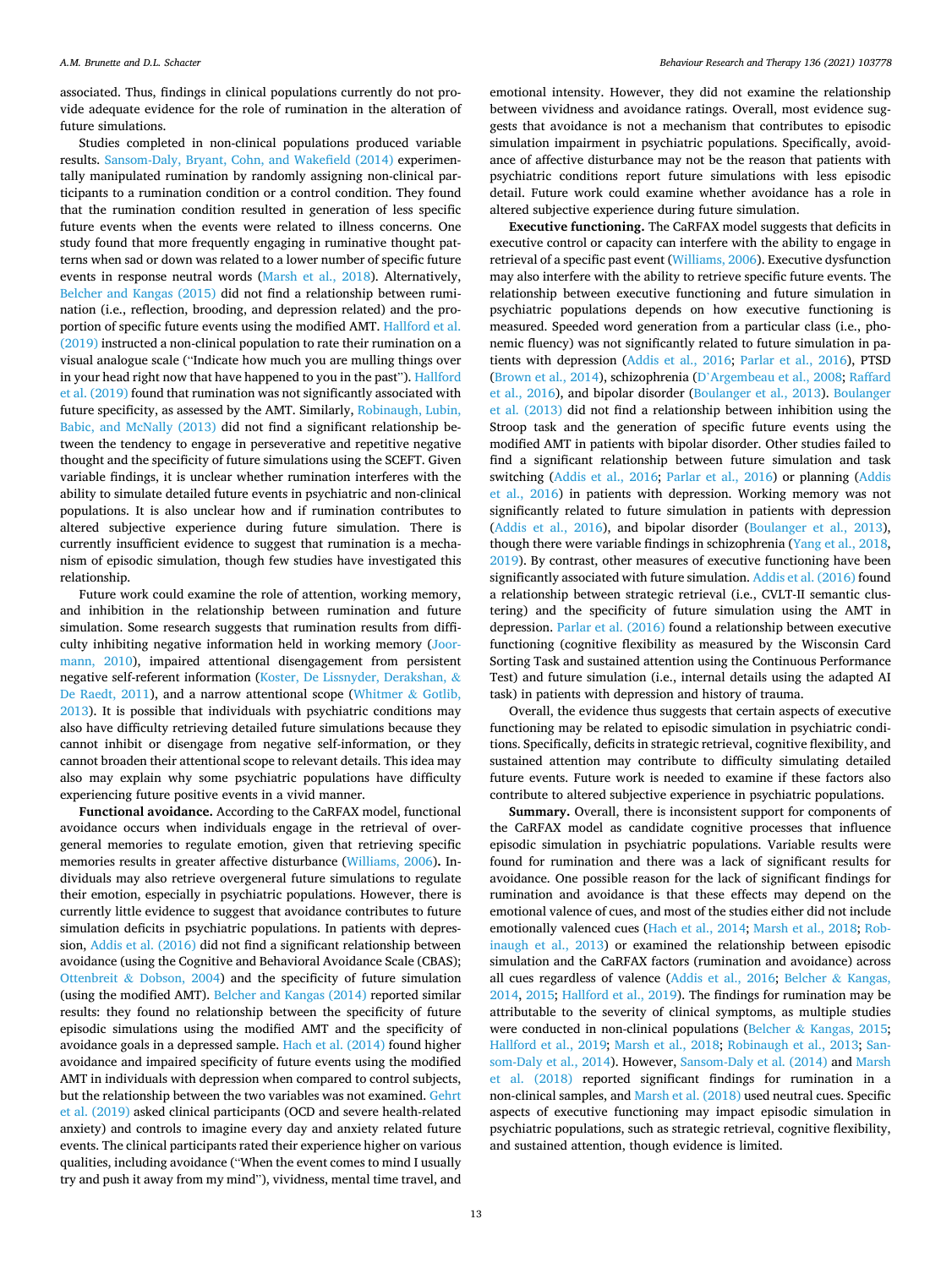associated. Thus, findings in clinical populations currently do not provide adequate evidence for the role of rumination in the alteration of future simulations.

Studies completed in non-clinical populations produced variable results. [Sansom-Daly, Bryant, Cohn, and Wakefield \(2014\)](#page-17-0) experimentally manipulated rumination by randomly assigning non-clinical participants to a rumination condition or a control condition. They found that the rumination condition resulted in generation of less specific future events when the events were related to illness concerns. One study found that more frequently engaging in ruminative thought patterns when sad or down was related to a lower number of specific future events in response neutral words [\(Marsh et al., 2018\)](#page-16-0). Alternatively, [Belcher and Kangas \(2015\)](#page-15-0) did not find a relationship between rumination (i.e., reflection, brooding, and depression related) and the proportion of specific future events using the modified AMT. [Hallford et al.](#page-16-0)  [\(2019\)](#page-16-0) instructed a non-clinical population to rate their rumination on a visual analogue scale ("Indicate how much you are mulling things over in your head right now that have happened to you in the past"). [Hallford](#page-16-0)  [et al. \(2019\)](#page-16-0) found that rumination was not significantly associated with future specificity, as assessed by the AMT. Similarly, [Robinaugh, Lubin,](#page-17-0)  [Babic, and McNally \(2013\)](#page-17-0) did not find a significant relationship between the tendency to engage in perseverative and repetitive negative thought and the specificity of future simulations using the SCEFT. Given variable findings, it is unclear whether rumination interferes with the ability to simulate detailed future events in psychiatric and non-clinical populations. It is also unclear how and if rumination contributes to altered subjective experience during future simulation. There is currently insufficient evidence to suggest that rumination is a mechanism of episodic simulation, though few studies have investigated this relationship.

Future work could examine the role of attention, working memory, and inhibition in the relationship between rumination and future simulation. Some research suggests that rumination results from difficulty inhibiting negative information held in working memory [\(Joor](#page-16-0)[mann, 2010](#page-16-0)), impaired attentional disengagement from persistent negative self-referent information ([Koster, De Lissnyder, Derakshan,](#page-16-0) & [De Raedt, 2011\)](#page-16-0), and a narrow attentional scope [\(Whitmer](#page-18-0) & Gotlib, [2013\)](#page-18-0). It is possible that individuals with psychiatric conditions may also have difficulty retrieving detailed future simulations because they cannot inhibit or disengage from negative self-information, or they cannot broaden their attentional scope to relevant details. This idea may also may explain why some psychiatric populations have difficulty experiencing future positive events in a vivid manner.

**Functional avoidance.** According to the CaRFAX model, functional avoidance occurs when individuals engage in the retrieval of overgeneral memories to regulate emotion, given that retrieving specific memories results in greater affective disturbance ([Williams, 2006\)](#page-18-0)**.** Individuals may also retrieve overgeneral future simulations to regulate their emotion, especially in psychiatric populations. However, there is currently little evidence to suggest that avoidance contributes to future simulation deficits in psychiatric populations. In patients with depression, [Addis et al. \(2016\)](#page-15-0) did not find a significant relationship between avoidance (using the Cognitive and Behavioral Avoidance Scale (CBAS); Ottenbreit & [Dobson, 2004\)](#page-17-0) and the specificity of future simulation (using the modified AMT). [Belcher and Kangas \(2014\)](#page-15-0) reported similar results: they found no relationship between the specificity of future episodic simulations using the modified AMT and the specificity of avoidance goals in a depressed sample. [Hach et al. \(2014\)](#page-16-0) found higher avoidance and impaired specificity of future events using the modified AMT in individuals with depression when compared to control subjects, but the relationship between the two variables was not examined. [Gehrt](#page-16-0)  [et al. \(2019\)](#page-16-0) asked clinical participants (OCD and severe health-related anxiety) and controls to imagine every day and anxiety related future events. The clinical participants rated their experience higher on various qualities, including avoidance ("When the event comes to mind I usually try and push it away from my mind"), vividness, mental time travel, and

emotional intensity. However, they did not examine the relationship between vividness and avoidance ratings. Overall, most evidence suggests that avoidance is not a mechanism that contributes to episodic simulation impairment in psychiatric populations. Specifically, avoidance of affective disturbance may not be the reason that patients with psychiatric conditions report future simulations with less episodic detail. Future work could examine whether avoidance has a role in altered subjective experience during future simulation.

**Executive functioning.** The CaRFAX model suggests that deficits in executive control or capacity can interfere with the ability to engage in retrieval of a specific past event ([Williams, 2006\)](#page-18-0). Executive dysfunction may also interfere with the ability to retrieve specific future events. The relationship between executive functioning and future simulation in psychiatric populations depends on how executive functioning is measured. Speeded word generation from a particular class (i.e., phonemic fluency) was not significantly related to future simulation in patients with depression [\(Addis et al., 2016;](#page-15-0) [Parlar et al., 2016](#page-17-0)), PTSD ([Brown et al., 2014\)](#page-15-0), schizophrenia (D'[Argembeau et al., 2008](#page-15-0); [Raffard](#page-17-0)  [et al., 2016\)](#page-17-0), and bipolar disorder [\(Boulanger et al., 2013\)](#page-15-0). [Boulanger](#page-15-0)  [et al. \(2013\)](#page-15-0) did not find a relationship between inhibition using the Stroop task and the generation of specific future events using the modified AMT in patients with bipolar disorder. Other studies failed to find a significant relationship between future simulation and task switching ([Addis et al., 2016;](#page-15-0) [Parlar et al., 2016\)](#page-17-0) or planning ([Addis](#page-15-0)  [et al., 2016\)](#page-15-0) in patients with depression. Working memory was not significantly related to future simulation in patients with depression ([Addis et al., 2016](#page-15-0)), and bipolar disorder ([Boulanger et al., 2013](#page-15-0)), though there were variable findings in schizophrenia [\(Yang et al., 2018](#page-18-0), [2019\)](#page-18-0). By contrast, other measures of executive functioning have been significantly associated with future simulation. [Addis et al. \(2016\)](#page-15-0) found a relationship between strategic retrieval (i.e., CVLT-II semantic clustering) and the specificity of future simulation using the AMT in depression. [Parlar et al. \(2016\)](#page-17-0) found a relationship between executive functioning (cognitive flexibility as measured by the Wisconsin Card Sorting Task and sustained attention using the Continuous Performance Test) and future simulation (i.e., internal details using the adapted AI task) in patients with depression and history of trauma.

Overall, the evidence thus suggests that certain aspects of executive functioning may be related to episodic simulation in psychiatric conditions. Specifically, deficits in strategic retrieval, cognitive flexibility, and sustained attention may contribute to difficulty simulating detailed future events. Future work is needed to examine if these factors also contribute to altered subjective experience in psychiatric populations.

**Summary.** Overall, there is inconsistent support for components of the CaRFAX model as candidate cognitive processes that influence episodic simulation in psychiatric populations. Variable results were found for rumination and there was a lack of significant results for avoidance. One possible reason for the lack of significant findings for rumination and avoidance is that these effects may depend on the emotional valence of cues, and most of the studies either did not include emotionally valenced cues ([Hach et al., 2014;](#page-16-0) [Marsh et al., 2018](#page-16-0); [Rob](#page-17-0)[inaugh et al., 2013](#page-17-0)) or examined the relationship between episodic simulation and the CaRFAX factors (rumination and avoidance) across all cues regardless of valence ([Addis et al., 2016](#page-15-0); [Belcher](#page-15-0) & Kangas, [2014, 2015](#page-15-0); [Hallford et al., 2019\)](#page-16-0). The findings for rumination may be attributable to the severity of clinical symptoms, as multiple studies were conducted in non-clinical populations (Belcher & [Kangas, 2015](#page-15-0); [Hallford et al., 2019;](#page-16-0) [Marsh et al., 2018](#page-16-0); [Robinaugh et al., 2013](#page-17-0); [San](#page-17-0)[som-Daly et al., 2014](#page-17-0)). However, [Sansom-Daly et al. \(2014\)](#page-17-0) and [Marsh](#page-16-0)  [et al. \(2018\)](#page-16-0) reported significant findings for rumination in a non-clinical samples, and [Marsh et al. \(2018\)](#page-16-0) used neutral cues. Specific aspects of executive functioning may impact episodic simulation in psychiatric populations, such as strategic retrieval, cognitive flexibility, and sustained attention, though evidence is limited.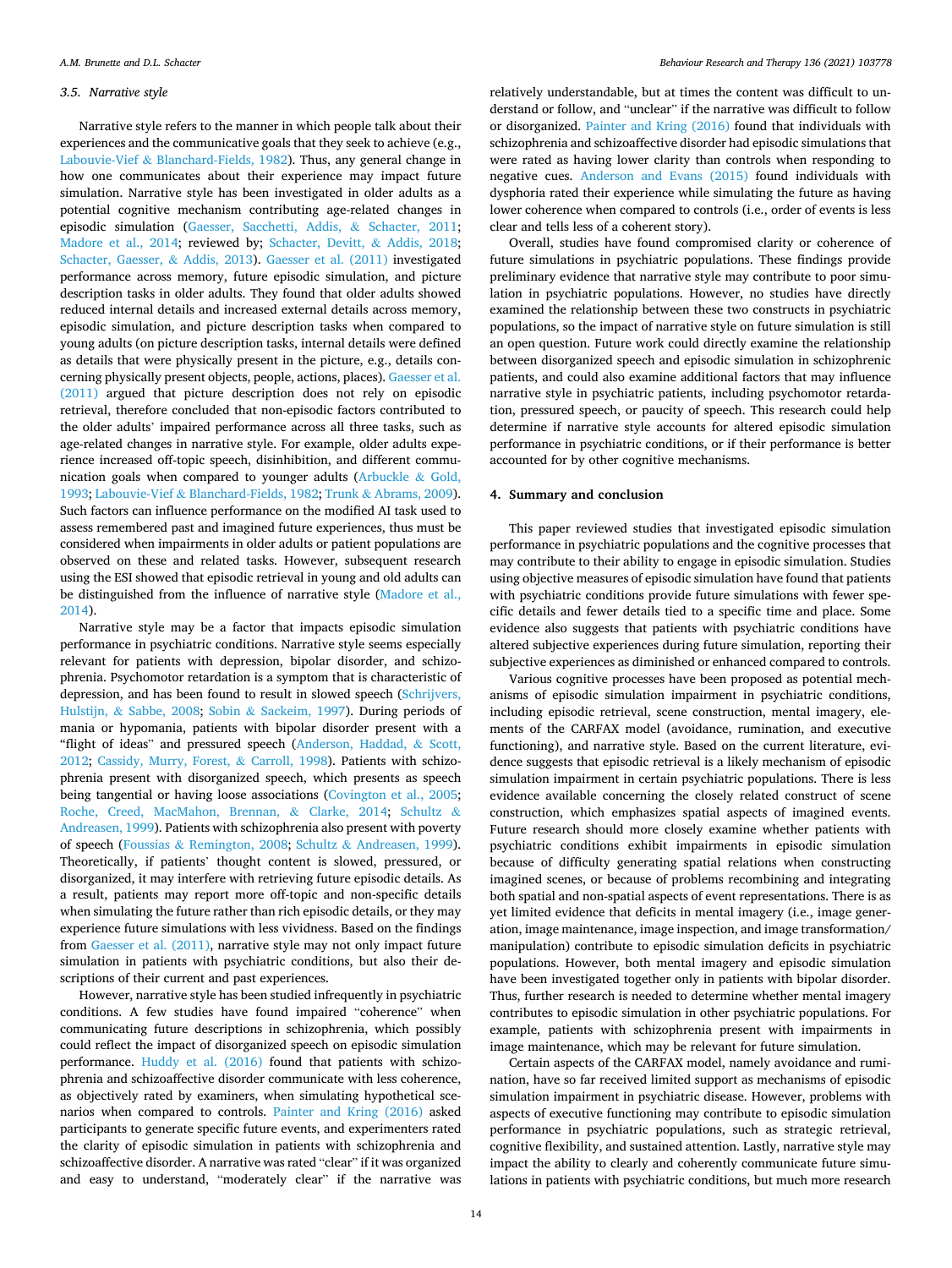#### *3.5. Narrative style*

Narrative style refers to the manner in which people talk about their experiences and the communicative goals that they seek to achieve (e.g., Labouvie-Vief & [Blanchard-Fields, 1982\)](#page-16-0). Thus, any general change in how one communicates about their experience may impact future simulation. Narrative style has been investigated in older adults as a potential cognitive mechanism contributing age-related changes in episodic simulation ([Gaesser, Sacchetti, Addis,](#page-16-0) & Schacter, 2011; [Madore et al., 2014;](#page-16-0) reviewed by; [Schacter, Devitt,](#page-17-0) & Addis, 2018; [Schacter, Gaesser,](#page-17-0) & Addis, 2013). [Gaesser et al. \(2011\)](#page-16-0) investigated performance across memory, future episodic simulation, and picture description tasks in older adults. They found that older adults showed reduced internal details and increased external details across memory, episodic simulation, and picture description tasks when compared to young adults (on picture description tasks, internal details were defined as details that were physically present in the picture, e.g., details concerning physically present objects, people, actions, places). [Gaesser et al.](#page-16-0)  [\(2011\)](#page-16-0) argued that picture description does not rely on episodic retrieval, therefore concluded that non-episodic factors contributed to the older adults' impaired performance across all three tasks, such as age-related changes in narrative style. For example, older adults experience increased off-topic speech, disinhibition, and different communication goals when compared to younger adults [\(Arbuckle](#page-15-0) & Gold, [1993;](#page-15-0) Labouvie-Vief & [Blanchard-Fields, 1982](#page-16-0); Trunk & [Abrams, 2009](#page-17-0)). Such factors can influence performance on the modified AI task used to assess remembered past and imagined future experiences, thus must be considered when impairments in older adults or patient populations are observed on these and related tasks. However, subsequent research using the ESI showed that episodic retrieval in young and old adults can be distinguished from the influence of narrative style ([Madore et al.,](#page-16-0)  [2014\)](#page-16-0).

Narrative style may be a factor that impacts episodic simulation performance in psychiatric conditions. Narrative style seems especially relevant for patients with depression, bipolar disorder, and schizophrenia. Psychomotor retardation is a symptom that is characteristic of depression, and has been found to result in slowed speech ([Schrijvers,](#page-17-0)  Hulstijn, & [Sabbe, 2008](#page-17-0); Sobin & [Sackeim, 1997](#page-17-0)). During periods of mania or hypomania, patients with bipolar disorder present with a "flight of ideas" and pressured speech ([Anderson, Haddad,](#page-15-0) & Scott, [2012;](#page-15-0) [Cassidy, Murry, Forest,](#page-15-0) & Carroll, 1998). Patients with schizophrenia present with disorganized speech, which presents as speech being tangential or having loose associations ([Covington et al., 2005](#page-15-0); [Roche, Creed, MacMahon, Brennan,](#page-17-0) & Clarke, 2014; [Schultz](#page-17-0) & [Andreasen, 1999](#page-17-0)). Patients with schizophrenia also present with poverty of speech (Foussias & [Remington, 2008](#page-16-0); Schultz & [Andreasen, 1999](#page-17-0)). Theoretically, if patients' thought content is slowed, pressured, or disorganized, it may interfere with retrieving future episodic details. As a result, patients may report more off-topic and non-specific details when simulating the future rather than rich episodic details, or they may experience future simulations with less vividness. Based on the findings from [Gaesser et al. \(2011\)](#page-16-0), narrative style may not only impact future simulation in patients with psychiatric conditions, but also their descriptions of their current and past experiences.

However, narrative style has been studied infrequently in psychiatric conditions. A few studies have found impaired "coherence" when communicating future descriptions in schizophrenia, which possibly could reflect the impact of disorganized speech on episodic simulation performance. [Huddy et al. \(2016\)](#page-16-0) found that patients with schizophrenia and schizoaffective disorder communicate with less coherence, as objectively rated by examiners, when simulating hypothetical scenarios when compared to controls. [Painter and Kring \(2016\)](#page-17-0) asked participants to generate specific future events, and experimenters rated the clarity of episodic simulation in patients with schizophrenia and schizoaffective disorder. A narrative was rated "clear" if it was organized and easy to understand, "moderately clear" if the narrative was

relatively understandable, but at times the content was difficult to understand or follow, and "unclear" if the narrative was difficult to follow or disorganized. [Painter and Kring \(2016\)](#page-17-0) found that individuals with schizophrenia and schizoaffective disorder had episodic simulations that were rated as having lower clarity than controls when responding to negative cues. [Anderson and Evans \(2015\)](#page-15-0) found individuals with dysphoria rated their experience while simulating the future as having lower coherence when compared to controls (i.e., order of events is less clear and tells less of a coherent story).

Overall, studies have found compromised clarity or coherence of future simulations in psychiatric populations. These findings provide preliminary evidence that narrative style may contribute to poor simulation in psychiatric populations. However, no studies have directly examined the relationship between these two constructs in psychiatric populations, so the impact of narrative style on future simulation is still an open question. Future work could directly examine the relationship between disorganized speech and episodic simulation in schizophrenic patients, and could also examine additional factors that may influence narrative style in psychiatric patients, including psychomotor retardation, pressured speech, or paucity of speech. This research could help determine if narrative style accounts for altered episodic simulation performance in psychiatric conditions, or if their performance is better accounted for by other cognitive mechanisms.

## **4. Summary and conclusion**

This paper reviewed studies that investigated episodic simulation performance in psychiatric populations and the cognitive processes that may contribute to their ability to engage in episodic simulation. Studies using objective measures of episodic simulation have found that patients with psychiatric conditions provide future simulations with fewer specific details and fewer details tied to a specific time and place. Some evidence also suggests that patients with psychiatric conditions have altered subjective experiences during future simulation, reporting their subjective experiences as diminished or enhanced compared to controls.

Various cognitive processes have been proposed as potential mechanisms of episodic simulation impairment in psychiatric conditions, including episodic retrieval, scene construction, mental imagery, elements of the CARFAX model (avoidance, rumination, and executive functioning), and narrative style. Based on the current literature, evidence suggests that episodic retrieval is a likely mechanism of episodic simulation impairment in certain psychiatric populations. There is less evidence available concerning the closely related construct of scene construction, which emphasizes spatial aspects of imagined events. Future research should more closely examine whether patients with psychiatric conditions exhibit impairments in episodic simulation because of difficulty generating spatial relations when constructing imagined scenes, or because of problems recombining and integrating both spatial and non-spatial aspects of event representations. There is as yet limited evidence that deficits in mental imagery (i.e., image generation, image maintenance, image inspection, and image transformation/ manipulation) contribute to episodic simulation deficits in psychiatric populations. However, both mental imagery and episodic simulation have been investigated together only in patients with bipolar disorder. Thus, further research is needed to determine whether mental imagery contributes to episodic simulation in other psychiatric populations. For example, patients with schizophrenia present with impairments in image maintenance, which may be relevant for future simulation.

Certain aspects of the CARFAX model, namely avoidance and rumination, have so far received limited support as mechanisms of episodic simulation impairment in psychiatric disease. However, problems with aspects of executive functioning may contribute to episodic simulation performance in psychiatric populations, such as strategic retrieval, cognitive flexibility, and sustained attention. Lastly, narrative style may impact the ability to clearly and coherently communicate future simulations in patients with psychiatric conditions, but much more research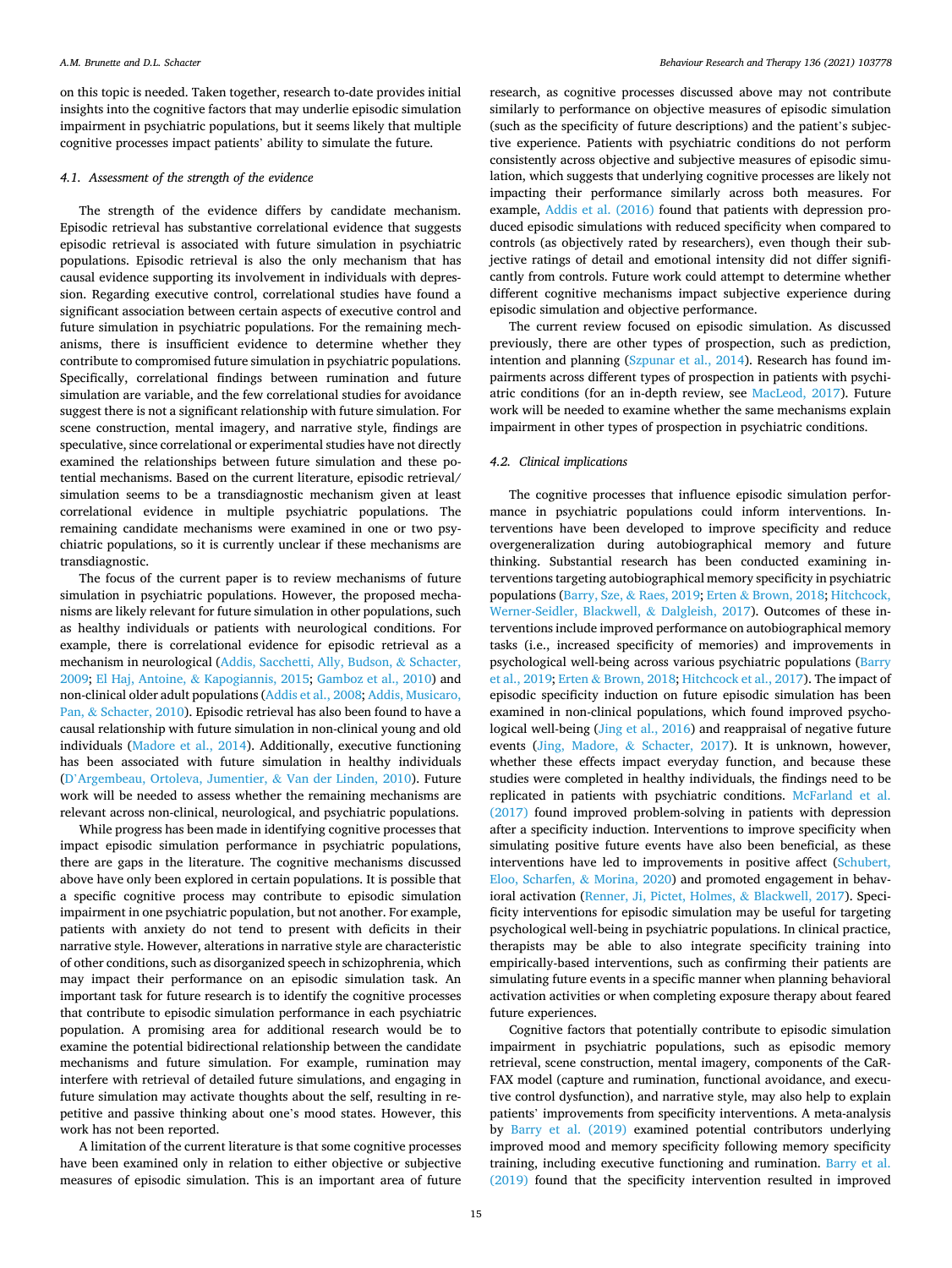on this topic is needed. Taken together, research to-date provides initial insights into the cognitive factors that may underlie episodic simulation impairment in psychiatric populations, but it seems likely that multiple cognitive processes impact patients' ability to simulate the future.

# *4.1. Assessment of the strength of the evidence*

The strength of the evidence differs by candidate mechanism. Episodic retrieval has substantive correlational evidence that suggests episodic retrieval is associated with future simulation in psychiatric populations. Episodic retrieval is also the only mechanism that has causal evidence supporting its involvement in individuals with depression. Regarding executive control, correlational studies have found a significant association between certain aspects of executive control and future simulation in psychiatric populations. For the remaining mechanisms, there is insufficient evidence to determine whether they contribute to compromised future simulation in psychiatric populations. Specifically, correlational findings between rumination and future simulation are variable, and the few correlational studies for avoidance suggest there is not a significant relationship with future simulation. For scene construction, mental imagery, and narrative style, findings are speculative, since correlational or experimental studies have not directly examined the relationships between future simulation and these potential mechanisms. Based on the current literature, episodic retrieval/ simulation seems to be a transdiagnostic mechanism given at least correlational evidence in multiple psychiatric populations. The remaining candidate mechanisms were examined in one or two psychiatric populations, so it is currently unclear if these mechanisms are transdiagnostic.

The focus of the current paper is to review mechanisms of future simulation in psychiatric populations. However, the proposed mechanisms are likely relevant for future simulation in other populations, such as healthy individuals or patients with neurological conditions. For example, there is correlational evidence for episodic retrieval as a mechanism in neurological [\(Addis, Sacchetti, Ally, Budson,](#page-15-0) & Schacter, [2009;](#page-15-0) El Haj, Antoine, & [Kapogiannis, 2015; Gamboz et al., 2010](#page-16-0)) and non-clinical older adult populations [\(Addis et al., 2008](#page-15-0); [Addis, Musicaro,](#page-15-0)  Pan, & [Schacter, 2010](#page-15-0)). Episodic retrieval has also been found to have a causal relationship with future simulation in non-clinical young and old individuals ([Madore et al., 2014](#page-16-0)). Additionally, executive functioning has been associated with future simulation in healthy individuals (D'[Argembeau, Ortoleva, Jumentier,](#page-16-0) & Van der Linden, 2010). Future work will be needed to assess whether the remaining mechanisms are relevant across non-clinical, neurological, and psychiatric populations.

While progress has been made in identifying cognitive processes that impact episodic simulation performance in psychiatric populations, there are gaps in the literature. The cognitive mechanisms discussed above have only been explored in certain populations. It is possible that a specific cognitive process may contribute to episodic simulation impairment in one psychiatric population, but not another. For example, patients with anxiety do not tend to present with deficits in their narrative style. However, alterations in narrative style are characteristic of other conditions, such as disorganized speech in schizophrenia, which may impact their performance on an episodic simulation task. An important task for future research is to identify the cognitive processes that contribute to episodic simulation performance in each psychiatric population. A promising area for additional research would be to examine the potential bidirectional relationship between the candidate mechanisms and future simulation. For example, rumination may interfere with retrieval of detailed future simulations, and engaging in future simulation may activate thoughts about the self, resulting in repetitive and passive thinking about one's mood states. However, this work has not been reported.

A limitation of the current literature is that some cognitive processes have been examined only in relation to either objective or subjective measures of episodic simulation. This is an important area of future

research, as cognitive processes discussed above may not contribute similarly to performance on objective measures of episodic simulation (such as the specificity of future descriptions) and the patient's subjective experience. Patients with psychiatric conditions do not perform consistently across objective and subjective measures of episodic simulation, which suggests that underlying cognitive processes are likely not impacting their performance similarly across both measures. For example, [Addis et al. \(2016\)](#page-15-0) found that patients with depression produced episodic simulations with reduced specificity when compared to controls (as objectively rated by researchers), even though their subjective ratings of detail and emotional intensity did not differ significantly from controls. Future work could attempt to determine whether different cognitive mechanisms impact subjective experience during episodic simulation and objective performance.

The current review focused on episodic simulation. As discussed previously, there are other types of prospection, such as prediction, intention and planning ([Szpunar et al., 2014\)](#page-17-0). Research has found impairments across different types of prospection in patients with psychiatric conditions (for an in-depth review, see [MacLeod, 2017\)](#page-16-0). Future work will be needed to examine whether the same mechanisms explain impairment in other types of prospection in psychiatric conditions.

## *4.2. Clinical implications*

The cognitive processes that influence episodic simulation performance in psychiatric populations could inform interventions. Interventions have been developed to improve specificity and reduce overgeneralization during autobiographical memory and future thinking. Substantial research has been conducted examining interventions targeting autobiographical memory specificity in psychiatric populations ([Barry, Sze,](#page-15-0) & Raes, 2019; Erten & [Brown, 2018](#page-16-0); [Hitchcock,](#page-16-0)  [Werner-Seidler, Blackwell,](#page-16-0) & Dalgleish, 2017). Outcomes of these interventions include improved performance on autobiographical memory tasks (i.e., increased specificity of memories) and improvements in psychological well-being across various psychiatric populations [\(Barry](#page-15-0)  [et al., 2019](#page-15-0); Erten & [Brown, 2018; Hitchcock et al., 2017\)](#page-16-0). The impact of episodic specificity induction on future episodic simulation has been examined in non-clinical populations, which found improved psychological well-being ([Jing et al., 2016](#page-16-0)) and reappraisal of negative future events (Jing, Madore, & [Schacter, 2017](#page-16-0)). It is unknown, however, whether these effects impact everyday function, and because these studies were completed in healthy individuals, the findings need to be replicated in patients with psychiatric conditions. [McFarland et al.](#page-17-0)  [\(2017\)](#page-17-0) found improved problem-solving in patients with depression after a specificity induction. Interventions to improve specificity when simulating positive future events have also been beneficial, as these interventions have led to improvements in positive affect [\(Schubert,](#page-17-0)  [Eloo, Scharfen,](#page-17-0) & Morina, 2020) and promoted engagement in behavioral activation [\(Renner, Ji, Pictet, Holmes,](#page-17-0) & Blackwell, 2017). Specificity interventions for episodic simulation may be useful for targeting psychological well-being in psychiatric populations. In clinical practice, therapists may be able to also integrate specificity training into empirically-based interventions, such as confirming their patients are simulating future events in a specific manner when planning behavioral activation activities or when completing exposure therapy about feared future experiences.

Cognitive factors that potentially contribute to episodic simulation impairment in psychiatric populations, such as episodic memory retrieval, scene construction, mental imagery, components of the CaR-FAX model (capture and rumination, functional avoidance, and executive control dysfunction), and narrative style, may also help to explain patients' improvements from specificity interventions. A meta-analysis by [Barry et al. \(2019\)](#page-15-0) examined potential contributors underlying improved mood and memory specificity following memory specificity training, including executive functioning and rumination. [Barry et al.](#page-15-0)  [\(2019\)](#page-15-0) found that the specificity intervention resulted in improved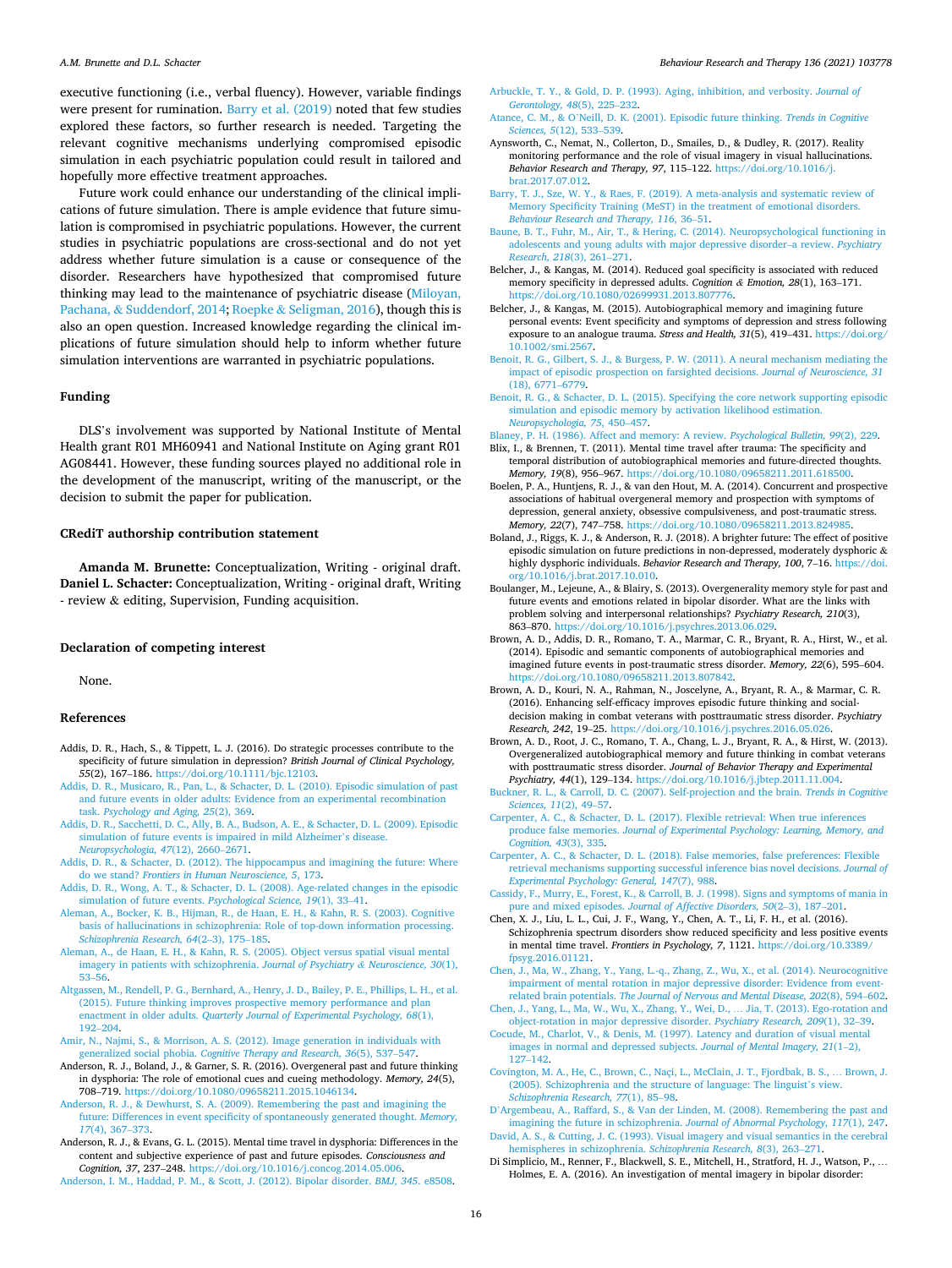<span id="page-15-0"></span>executive functioning (i.e., verbal fluency). However, variable findings were present for rumination. Barry et al. (2019) noted that few studies explored these factors, so further research is needed. Targeting the relevant cognitive mechanisms underlying compromised episodic simulation in each psychiatric population could result in tailored and hopefully more effective treatment approaches.

Future work could enhance our understanding of the clinical implications of future simulation. There is ample evidence that future simulation is compromised in psychiatric populations. However, the current studies in psychiatric populations are cross-sectional and do not yet address whether future simulation is a cause or consequence of the disorder. Researchers have hypothesized that compromised future thinking may lead to the maintenance of psychiatric disease ([Miloyan,](#page-17-0)  Pachana, & [Suddendorf, 2014](#page-17-0); Roepke & [Seligman, 2016](#page-17-0)), though this is also an open question. Increased knowledge regarding the clinical implications of future simulation should help to inform whether future simulation interventions are warranted in psychiatric populations.

#### **Funding**

DLS's involvement was supported by National Institute of Mental Health grant R01 MH60941 and National Institute on Aging grant R01 AG08441. However, these funding sources played no additional role in the development of the manuscript, writing of the manuscript, or the decision to submit the paper for publication.

### **CRediT authorship contribution statement**

**Amanda M. Brunette:** Conceptualization, Writing - original draft. **Daniel L. Schacter:** Conceptualization, Writing - original draft, Writing - review & editing, Supervision, Funding acquisition.

#### **Declaration of competing interest**

None.

## **References**

- Addis, D. R., Hach, S., & Tippett, L. J. (2016). Do strategic processes contribute to the specificity of future simulation in depression? *British Journal of Clinical Psychology, 55*(2), 167–186. <https://doi.org/10.1111/bjc.12103>.
- [Addis, D. R., Musicaro, R., Pan, L., & Schacter, D. L. \(2010\). Episodic simulation of past](http://refhub.elsevier.com/S0005-7967(20)30232-1/sref2)  [and future events in older adults: Evidence from an experimental recombination](http://refhub.elsevier.com/S0005-7967(20)30232-1/sref2) task. *[Psychology and Aging, 25](http://refhub.elsevier.com/S0005-7967(20)30232-1/sref2)*(2), 369.
- [Addis, D. R., Sacchetti, D. C., Ally, B. A., Budson, A. E., & Schacter, D. L. \(2009\). Episodic](http://refhub.elsevier.com/S0005-7967(20)30232-1/sref3)  [simulation of future events is impaired in mild Alzheimer](http://refhub.elsevier.com/S0005-7967(20)30232-1/sref3)'s disease. *[Neuropsychologia, 47](http://refhub.elsevier.com/S0005-7967(20)30232-1/sref3)*(12), 2660–2671.
- [Addis, D. R., & Schacter, D. \(2012\). The hippocampus and imagining the future: Where](http://refhub.elsevier.com/S0005-7967(20)30232-1/sref4)  do we stand? *[Frontiers in Human Neuroscience, 5](http://refhub.elsevier.com/S0005-7967(20)30232-1/sref4)*, 173.
- [Addis, D. R., Wong, A. T., & Schacter, D. L. \(2008\). Age-related changes in the episodic](http://refhub.elsevier.com/S0005-7967(20)30232-1/sref5)  [simulation of future events.](http://refhub.elsevier.com/S0005-7967(20)30232-1/sref5) *Psychological Science, 19*(1), 33–41.
- [Aleman, A., Bocker, K. B., Hijman, R., de Haan, E. H., & Kahn, R. S. \(2003\). Cognitive](http://refhub.elsevier.com/S0005-7967(20)30232-1/sref6) [basis of hallucinations in schizophrenia: Role of top-down information processing.](http://refhub.elsevier.com/S0005-7967(20)30232-1/sref6) *[Schizophrenia Research, 64](http://refhub.elsevier.com/S0005-7967(20)30232-1/sref6)*(2–3), 175–185.
- [Aleman, A., de Haan, E. H., & Kahn, R. S. \(2005\). Object versus spatial visual mental](http://refhub.elsevier.com/S0005-7967(20)30232-1/sref7) [imagery in patients with schizophrenia.](http://refhub.elsevier.com/S0005-7967(20)30232-1/sref7) *Journal of Psychiatry & Neuroscience, 30*(1), 53–[56](http://refhub.elsevier.com/S0005-7967(20)30232-1/sref7).
- [Altgassen, M., Rendell, P. G., Bernhard, A., Henry, J. D., Bailey, P. E., Phillips, L. H., et al.](http://refhub.elsevier.com/S0005-7967(20)30232-1/sref8)  [\(2015\). Future thinking improves prospective memory performance and plan](http://refhub.elsevier.com/S0005-7967(20)30232-1/sref8)  enactment in older adults. *[Quarterly Journal of Experimental Psychology, 68](http://refhub.elsevier.com/S0005-7967(20)30232-1/sref8)*(1), 192–[204](http://refhub.elsevier.com/S0005-7967(20)30232-1/sref8).
- [Amir, N., Najmi, S., & Morrison, A. S. \(2012\). Image generation in individuals with](http://refhub.elsevier.com/S0005-7967(20)30232-1/sref9)  generalized social phobia. *[Cognitive Therapy and Research, 36](http://refhub.elsevier.com/S0005-7967(20)30232-1/sref9)*(5), 537–547.
- Anderson, R. J., Boland, J., & Garner, S. R. (2016). Overgeneral past and future thinking in dysphoria: The role of emotional cues and cueing methodology. *Memory, 24*(5), 708–719. [https://doi.org/10.1080/09658211.2015.1046134.](https://doi.org/10.1080/09658211.2015.1046134)
- [Anderson, R. J., & Dewhurst, S. A. \(2009\). Remembering the past and imagining the](http://refhub.elsevier.com/S0005-7967(20)30232-1/sref11) [future: Differences in event specificity of spontaneously generated thought.](http://refhub.elsevier.com/S0005-7967(20)30232-1/sref11) *Memory, 17*[\(4\), 367](http://refhub.elsevier.com/S0005-7967(20)30232-1/sref11)–373.
- Anderson, R. J., & Evans, G. L. (2015). Mental time travel in dysphoria: Differences in the content and subjective experience of past and future episodes. *Consciousness and Cognition, 37*, 237–248.<https://doi.org/10.1016/j.concog.2014.05.006>.
- [Anderson, I. M., Haddad, P. M., & Scott, J. \(2012\). Bipolar disorder.](http://refhub.elsevier.com/S0005-7967(20)30232-1/sref13) *BMJ, 345*. e8508.
- [Arbuckle, T. Y., & Gold, D. P. \(1993\). Aging, inhibition, and verbosity.](http://refhub.elsevier.com/S0005-7967(20)30232-1/sref14) *Journal of [Gerontology, 48](http://refhub.elsevier.com/S0005-7967(20)30232-1/sref14)*(5), 225–232.
- Atance, C. M., & O'[Neill, D. K. \(2001\). Episodic future thinking.](http://refhub.elsevier.com/S0005-7967(20)30232-1/sref15) *Trends in Cognitive [Sciences, 5](http://refhub.elsevier.com/S0005-7967(20)30232-1/sref15)*(12), 533–539.
- Aynsworth, C., Nemat, N., Collerton, D., Smailes, D., & Dudley, R. (2017). Reality monitoring performance and the role of visual imagery in visual hallucinations. *Behavior Research and Therapy, 97*, 115–122. [https://doi.org/10.1016/j.](https://doi.org/10.1016/j.brat.2017.07.012) [brat.2017.07.012.](https://doi.org/10.1016/j.brat.2017.07.012)
- [Barry, T. J., Sze, W. Y., & Raes, F. \(2019\). A meta-analysis and systematic review of](http://refhub.elsevier.com/S0005-7967(20)30232-1/sref17) [Memory Specificity Training \(MeST\) in the treatment of emotional disorders.](http://refhub.elsevier.com/S0005-7967(20)30232-1/sref17)  *[Behaviour Research and Therapy, 116](http://refhub.elsevier.com/S0005-7967(20)30232-1/sref17)*, 36–51.
- [Baune, B. T., Fuhr, M., Air, T., & Hering, C. \(2014\). Neuropsychological functioning in](http://refhub.elsevier.com/S0005-7967(20)30232-1/sref18) [adolescents and young adults with major depressive disorder](http://refhub.elsevier.com/S0005-7967(20)30232-1/sref18)–a review. *Psychiatry [Research, 218](http://refhub.elsevier.com/S0005-7967(20)30232-1/sref18)*(3), 261–271.
- Belcher, J., & Kangas, M. (2014). Reduced goal specificity is associated with reduced memory specificity in depressed adults. *Cognition & Emotion, 28*(1), 163–171. [https://doi.org/10.1080/02699931.2013.807776.](https://doi.org/10.1080/02699931.2013.807776)
- Belcher, J., & Kangas, M. (2015). Autobiographical memory and imagining future personal events: Event specificity and symptoms of depression and stress following exposure to an analogue trauma. *Stress and Health, 31*(5), 419–431. [https://doi.org/](https://doi.org/10.1002/smi.2567)  [10.1002/smi.2567](https://doi.org/10.1002/smi.2567).
- [Benoit, R. G., Gilbert, S. J., & Burgess, P. W. \(2011\). A neural mechanism mediating the](http://refhub.elsevier.com/S0005-7967(20)30232-1/sref21)  [impact of episodic prospection on farsighted decisions.](http://refhub.elsevier.com/S0005-7967(20)30232-1/sref21) *Journal of Neuroscience, 31*  [\(18\), 6771](http://refhub.elsevier.com/S0005-7967(20)30232-1/sref21)–6779.
- [Benoit, R. G., & Schacter, D. L. \(2015\). Specifying the core network supporting episodic](http://refhub.elsevier.com/S0005-7967(20)30232-1/sref22)  [simulation and episodic memory by activation likelihood estimation.](http://refhub.elsevier.com/S0005-7967(20)30232-1/sref22)  *[Neuropsychologia, 75](http://refhub.elsevier.com/S0005-7967(20)30232-1/sref22)*, 450–457.
- [Blaney, P. H. \(1986\). Affect and memory: A review.](http://refhub.elsevier.com/S0005-7967(20)30232-1/sref23) *Psychological Bulletin, 99*(2), 229. Blix, I., & Brennen, T. (2011). Mental time travel after trauma: The specificity and temporal distribution of autobiographical memories and future-directed thoughts.
- *Memory, 19*(8), 956–967.<https://doi.org/10.1080/09658211.2011.618500>. Boelen, P. A., Huntjens, R. J., & van den Hout, M. A. (2014). Concurrent and prospective
- associations of habitual overgeneral memory and prospection with symptoms of depression, general anxiety, obsessive compulsiveness, and post-traumatic stress. *Memory, 22(7), 747-758. https://doi.org/10.1080/09658211.2013.82498*
- Boland, J., Riggs, K. J., & Anderson, R. J. (2018). A brighter future: The effect of positive episodic simulation on future predictions in non-depressed, moderately dysphoric & highly dysphoric individuals. *Behavior Research and Therapy, 100*, 7–16. [https://doi.](https://doi.org/10.1016/j.brat.2017.10.010)  [org/10.1016/j.brat.2017.10.010](https://doi.org/10.1016/j.brat.2017.10.010).
- Boulanger, M., Lejeune, A., & Blairy, S. (2013). Overgenerality memory style for past and future events and emotions related in bipolar disorder. What are the links with problem solving and interpersonal relationships? *Psychiatry Research, 210*(3), 863–870. [https://doi.org/10.1016/j.psychres.2013.06.029.](https://doi.org/10.1016/j.psychres.2013.06.029)
- Brown, A. D., Addis, D. R., Romano, T. A., Marmar, C. R., Bryant, R. A., Hirst, W., et al. (2014). Episodic and semantic components of autobiographical memories and imagined future events in post-traumatic stress disorder. *Memory, 22*(6), 595–604. [https://doi.org/10.1080/09658211.2013.807842.](https://doi.org/10.1080/09658211.2013.807842)
- Brown, A. D., Kouri, N. A., Rahman, N., Joscelyne, A., Bryant, R. A., & Marmar, C. R. (2016). Enhancing self-efficacy improves episodic future thinking and socialdecision making in combat veterans with posttraumatic stress disorder. *Psychiatry Research, 242*, 19–25. [https://doi.org/10.1016/j.psychres.2016.05.026.](https://doi.org/10.1016/j.psychres.2016.05.026)
- Brown, A. D., Root, J. C., Romano, T. A., Chang, L. J., Bryant, R. A., & Hirst, W. (2013). Overgeneralized autobiographical memory and future thinking in combat veterans with posttraumatic stress disorder. *Journal of Behavior Therapy and Experimental Psychiatry, 44*(1), 129–134. [https://doi.org/10.1016/j.jbtep.2011.11.004.](https://doi.org/10.1016/j.jbtep.2011.11.004)
- [Buckner, R. L., & Carroll, D. C. \(2007\). Self-projection and the brain.](http://refhub.elsevier.com/S0005-7967(20)30232-1/sref31) *Trends in Cognitive [Sciences, 11](http://refhub.elsevier.com/S0005-7967(20)30232-1/sref31)*(2), 49–57.
- [Carpenter, A. C., & Schacter, D. L. \(2017\). Flexible retrieval: When true inferences](http://refhub.elsevier.com/S0005-7967(20)30232-1/sref32) produce false memories. *[Journal of Experimental Psychology: Learning, Memory, and](http://refhub.elsevier.com/S0005-7967(20)30232-1/sref32) [Cognition, 43](http://refhub.elsevier.com/S0005-7967(20)30232-1/sref32)*(3), 335.
- [Carpenter, A. C., & Schacter, D. L. \(2018\). False memories, false preferences: Flexible](http://refhub.elsevier.com/S0005-7967(20)30232-1/sref33)  [retrieval mechanisms supporting successful inference bias novel decisions.](http://refhub.elsevier.com/S0005-7967(20)30232-1/sref33) *Journal of [Experimental Psychology: General, 147](http://refhub.elsevier.com/S0005-7967(20)30232-1/sref33)*(7), 988.
- [Cassidy, F., Murry, E., Forest, K., & Carroll, B. J. \(1998\). Signs and symptoms of mania in](http://refhub.elsevier.com/S0005-7967(20)30232-1/sref34)  pure and mixed episodes. *[Journal of Affective Disorders, 50](http://refhub.elsevier.com/S0005-7967(20)30232-1/sref34)*(2–3), 187–201.
- Chen, X. J., Liu, L. L., Cui, J. F., Wang, Y., Chen, A. T., Li, F. H., et al. (2016). Schizophrenia spectrum disorders show reduced specificity and less positive events in mental time travel. *Frontiers in Psychology, 7*, 1121. [https://doi.org/10.3389/](https://doi.org/10.3389/fpsyg.2016.01121) [fpsyg.2016.01121](https://doi.org/10.3389/fpsyg.2016.01121).
- [Chen, J., Ma, W., Zhang, Y., Yang, L.-q., Zhang, Z., Wu, X., et al. \(2014\). Neurocognitive](http://refhub.elsevier.com/S0005-7967(20)30232-1/sref36)  [impairment of mental rotation in major depressive disorder: Evidence from event](http://refhub.elsevier.com/S0005-7967(20)30232-1/sref36)related brain potentials. *[The Journal of Nervous and Mental Disease, 202](http://refhub.elsevier.com/S0005-7967(20)30232-1/sref36)*(8), 594–602.
- [Chen, J., Yang, L., Ma, W., Wu, X., Zhang, Y., Wei, D.,](http://refhub.elsevier.com/S0005-7967(20)30232-1/sref37) … Jia, T. (2013). Ego-rotation and [object-rotation in major depressive disorder.](http://refhub.elsevier.com/S0005-7967(20)30232-1/sref37) *Psychiatry Research, 209*(1), 32–39.
- [Cocude, M., Charlot, V., & Denis, M. \(1997\). Latency and duration of visual mental](http://refhub.elsevier.com/S0005-7967(20)30232-1/sref38)  [images in normal and depressed subjects.](http://refhub.elsevier.com/S0005-7967(20)30232-1/sref38) *Journal of Mental Imagery, 21*(1–2), 127–[142](http://refhub.elsevier.com/S0005-7967(20)30232-1/sref38).
- [Covington, M. A., He, C., Brown, C., Naçi, L., McClain, J. T., Fjordbak, B. S.,](http://refhub.elsevier.com/S0005-7967(20)30232-1/sref39) … Brown, J. [\(2005\). Schizophrenia and the structure of language: The linguist](http://refhub.elsevier.com/S0005-7967(20)30232-1/sref39)'s view. *[Schizophrenia Research, 77](http://refhub.elsevier.com/S0005-7967(20)30232-1/sref39)*(1), 85–98.
- D'[Argembeau, A., Raffard, S., & Van der Linden, M. \(2008\). Remembering the past and](http://refhub.elsevier.com/S0005-7967(20)30232-1/sref40)  [imagining the future in schizophrenia.](http://refhub.elsevier.com/S0005-7967(20)30232-1/sref40) *Journal of Abnormal Psychology, 117*(1), 247. [David, A. S., & Cutting, J. C. \(1993\). Visual imagery and visual semantics in the cerebral](http://refhub.elsevier.com/S0005-7967(20)30232-1/sref41)
- [hemispheres in schizophrenia.](http://refhub.elsevier.com/S0005-7967(20)30232-1/sref41) *Schizophrenia Research, 8*(3), 263–271.
- Di Simplicio, M., Renner, F., Blackwell, S. E., Mitchell, H., Stratford, H. J., Watson, P., … Holmes, E. A. (2016). An investigation of mental imagery in bipolar disorder: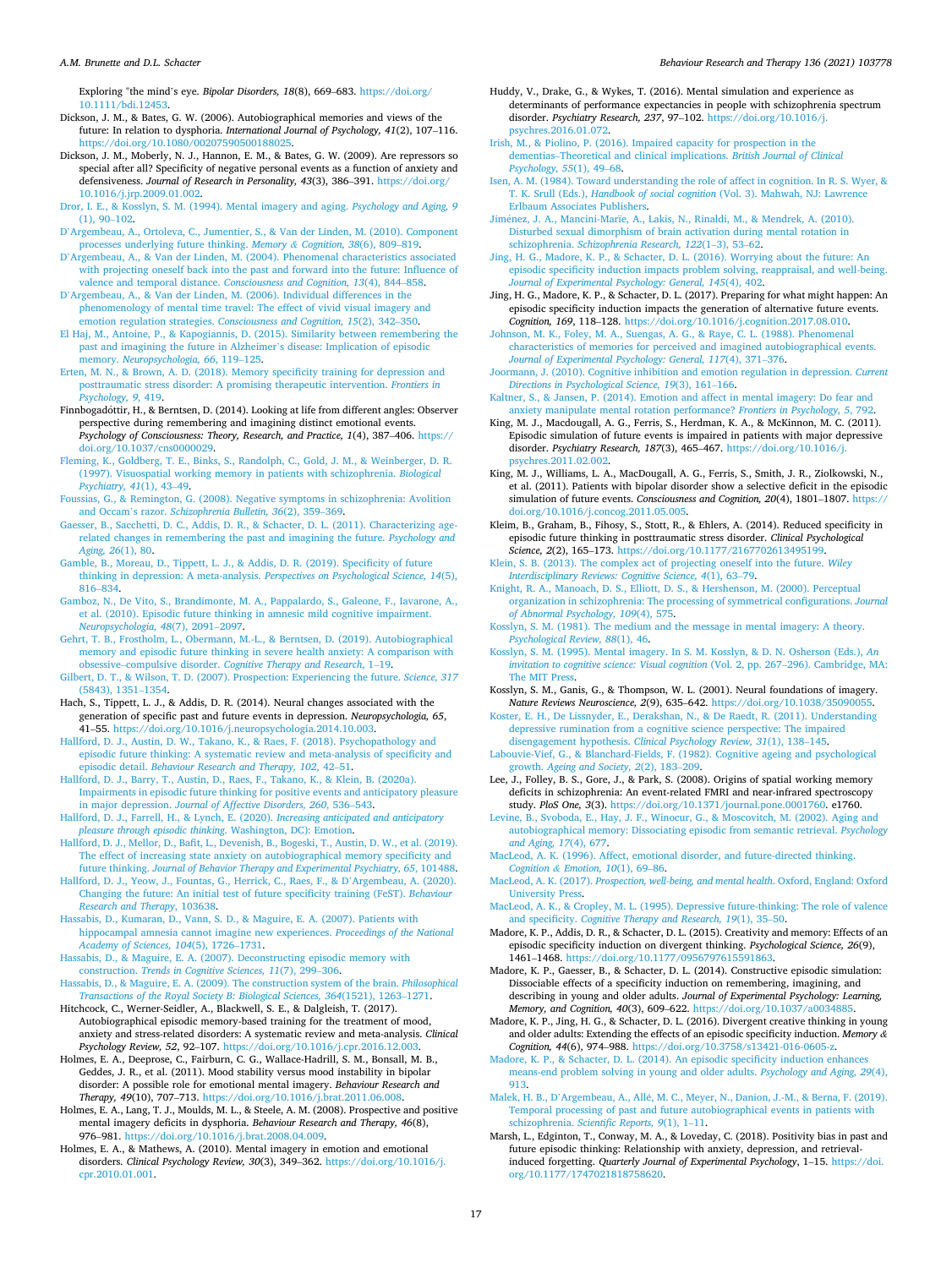<span id="page-16-0"></span>Exploring "the mind's eye. *Bipolar Disorders, 18*(8), 669–683. [https://doi.org/](https://doi.org/10.1111/bdi.12453)  [10.1111/bdi.12453.](https://doi.org/10.1111/bdi.12453)

Dickson, J. M., & Bates, G. W. (2006). Autobiographical memories and views of the future: In relation to dysphoria. *International Journal of Psychology, 41*(2), 107–116. <https://doi.org/10.1080/00207590500188025>.

Dickson, J. M., Moberly, N. J., Hannon, E. M., & Bates, G. W. (2009). Are repressors so special after all? Specificity of negative personal events as a function of anxiety and defensiveness. *Journal of Research in Personality, 43*(3), 386–391. [https://doi.org/](https://doi.org/10.1016/j.jrp.2009.01.002)  [10.1016/j.jrp.2009.01.002](https://doi.org/10.1016/j.jrp.2009.01.002).

[Dror, I. E., & Kosslyn, S. M. \(1994\). Mental imagery and aging.](http://refhub.elsevier.com/S0005-7967(20)30232-1/sref45) *Psychology and Aging, 9*  [\(1\), 90](http://refhub.elsevier.com/S0005-7967(20)30232-1/sref45)–102.

- D'[Argembeau, A., Ortoleva, C., Jumentier, S., & Van der Linden, M. \(2010\). Component](http://refhub.elsevier.com/S0005-7967(20)30232-1/sref46)  [processes underlying future thinking.](http://refhub.elsevier.com/S0005-7967(20)30232-1/sref46) *Memory & Cognition, 38*(6), 809–819.
- D'[Argembeau, A., & Van der Linden, M. \(2004\). Phenomenal characteristics associated](http://refhub.elsevier.com/S0005-7967(20)30232-1/sref47)  with projecting oneself back into the past and forward into the future: Influence of [valence and temporal distance.](http://refhub.elsevier.com/S0005-7967(20)30232-1/sref47) *Consciousness and Cognition, 13*(4), 844–858.
- D'[Argembeau, A., & Van der Linden, M. \(2006\). Individual differences in the](http://refhub.elsevier.com/S0005-7967(20)30232-1/sref48)  [phenomenology of mental time travel: The effect of vivid visual imagery and](http://refhub.elsevier.com/S0005-7967(20)30232-1/sref48)  emotion regulation strategies. *[Consciousness and Cognition, 15](http://refhub.elsevier.com/S0005-7967(20)30232-1/sref48)*(2), 342–350.
- [El Haj, M., Antoine, P., & Kapogiannis, D. \(2015\). Similarity between remembering the](http://refhub.elsevier.com/S0005-7967(20)30232-1/sref49)  [past and imagining the future in Alzheimer](http://refhub.elsevier.com/S0005-7967(20)30232-1/sref49)'s disease: Implication of episodic memory. *[Neuropsychologia, 66](http://refhub.elsevier.com/S0005-7967(20)30232-1/sref49)*, 119–125.
- [Erten, M. N., & Brown, A. D. \(2018\). Memory specificity training for depression and](http://refhub.elsevier.com/S0005-7967(20)30232-1/sref50) [posttraumatic stress disorder: A promising therapeutic intervention.](http://refhub.elsevier.com/S0005-7967(20)30232-1/sref50) *Frontiers in [Psychology, 9](http://refhub.elsevier.com/S0005-7967(20)30232-1/sref50)*, 419.
- Finnbogadóttir, H., & Berntsen, D. (2014). Looking at life from different angles: Observer perspective during remembering and imagining distinct emotional events. *Psychology of Consciousness: Theory, Research, and Practice, 1*(4), 387–406. [https://](https://doi.org/10.1037/cns0000029)  [doi.org/10.1037/cns0000029](https://doi.org/10.1037/cns0000029).
- [Fleming, K., Goldberg, T. E., Binks, S., Randolph, C., Gold, J. M., & Weinberger, D. R.](http://refhub.elsevier.com/S0005-7967(20)30232-1/sref52) [\(1997\). Visuospatial working memory in patients with schizophrenia.](http://refhub.elsevier.com/S0005-7967(20)30232-1/sref52) *Biological [Psychiatry, 41](http://refhub.elsevier.com/S0005-7967(20)30232-1/sref52)*(1), 43–49.
- [Foussias, G., & Remington, G. \(2008\). Negative symptoms in schizophrenia: Avolition](http://refhub.elsevier.com/S0005-7967(20)30232-1/sref53) and Occam's razor. *[Schizophrenia Bulletin, 36](http://refhub.elsevier.com/S0005-7967(20)30232-1/sref53)*(2), 359–369.
- [Gaesser, B., Sacchetti, D. C., Addis, D. R., & Schacter, D. L. \(2011\). Characterizing age](http://refhub.elsevier.com/S0005-7967(20)30232-1/sref54)[related changes in remembering the past and imagining the future.](http://refhub.elsevier.com/S0005-7967(20)30232-1/sref54) *Psychology and [Aging, 26](http://refhub.elsevier.com/S0005-7967(20)30232-1/sref54)*(1), 80.
- [Gamble, B., Moreau, D., Tippett, L. J., & Addis, D. R. \(2019\). Specificity of future](http://refhub.elsevier.com/S0005-7967(20)30232-1/sref55)  [thinking in depression: A meta-analysis.](http://refhub.elsevier.com/S0005-7967(20)30232-1/sref55) *Perspectives on Psychological Science, 14*(5), 816–[834](http://refhub.elsevier.com/S0005-7967(20)30232-1/sref55).
- [Gamboz, N., De Vito, S., Brandimonte, M. A., Pappalardo, S., Galeone, F., Iavarone, A.,](http://refhub.elsevier.com/S0005-7967(20)30232-1/sref56)  [et al. \(2010\). Episodic future thinking in amnesic mild cognitive impairment.](http://refhub.elsevier.com/S0005-7967(20)30232-1/sref56) *[Neuropsychologia, 48](http://refhub.elsevier.com/S0005-7967(20)30232-1/sref56)*(7), 2091–2097.
- [Gehrt, T. B., Frostholm, L., Obermann, M.-L., & Berntsen, D. \(2019\). Autobiographical](http://refhub.elsevier.com/S0005-7967(20)30232-1/sref57)  [memory and episodic future thinking in severe health anxiety: A comparison with](http://refhub.elsevier.com/S0005-7967(20)30232-1/sref57)  obsessive–compulsive disorder. *[Cognitive Therapy and Research](http://refhub.elsevier.com/S0005-7967(20)30232-1/sref57)*, 1–19.
- [Gilbert, D. T., & Wilson, T. D. \(2007\). Prospection: Experiencing the future.](http://refhub.elsevier.com/S0005-7967(20)30232-1/sref58) *Science, 317*  [\(5843\), 1351](http://refhub.elsevier.com/S0005-7967(20)30232-1/sref58)–1354.
- Hach, S., Tippett, L. J., & Addis, D. R. (2014). Neural changes associated with the generation of specific past and future events in depression. *Neuropsychologia, 65*, 41–55. [https://doi.org/10.1016/j.neuropsychologia.2014.10.003.](https://doi.org/10.1016/j.neuropsychologia.2014.10.003)
- [Hallford, D. J., Austin, D. W., Takano, K., & Raes, F. \(2018\). Psychopathology and](http://refhub.elsevier.com/S0005-7967(20)30232-1/sref60)  [episodic future thinking: A systematic review and meta-analysis of specificity and](http://refhub.elsevier.com/S0005-7967(20)30232-1/sref60)  episodic detail. *[Behaviour Research and Therapy, 102](http://refhub.elsevier.com/S0005-7967(20)30232-1/sref60)*, 42–51.
- [Hallford, D. J., Barry, T., Austin, D., Raes, F., Takano, K., & Klein, B. \(2020a\).](http://refhub.elsevier.com/S0005-7967(20)30232-1/sref61)  [Impairments in episodic future thinking for positive events and anticipatory pleasure](http://refhub.elsevier.com/S0005-7967(20)30232-1/sref61)  in major depression. *[Journal of Affective Disorders, 260](http://refhub.elsevier.com/S0005-7967(20)30232-1/sref61)*, 536–543.
- [Hallford, D. J., Farrell, H., & Lynch, E. \(2020\).](http://refhub.elsevier.com/S0005-7967(20)30232-1/sref62) *Increasing anticipated and anticipatory [pleasure through episodic thinking](http://refhub.elsevier.com/S0005-7967(20)30232-1/sref62)*. Washington, DC): Emotion.
- [Hallford, D. J., Mellor, D., Bafit, L., Devenish, B., Bogeski, T., Austin, D. W., et al. \(2019\).](http://refhub.elsevier.com/S0005-7967(20)30232-1/sref63)  [The effect of increasing state anxiety on autobiographical memory specificity and](http://refhub.elsevier.com/S0005-7967(20)30232-1/sref63)  future thinking. *[Journal of Behavior Therapy and Experimental Psychiatry, 65](http://refhub.elsevier.com/S0005-7967(20)30232-1/sref63)*, 101488.
- [Hallford, D. J., Yeow, J., Fountas, G., Herrick, C., Raes, F., & D](http://refhub.elsevier.com/S0005-7967(20)30232-1/sref64)'Argembeau, A. (2020). [Changing the future: An initial test of future specificity training \(FeST\).](http://refhub.elsevier.com/S0005-7967(20)30232-1/sref64) *Behaviour [Research and Therapy](http://refhub.elsevier.com/S0005-7967(20)30232-1/sref64)*, 103638.
- [Hassabis, D., Kumaran, D., Vann, S. D., & Maguire, E. A. \(2007\). Patients with](http://refhub.elsevier.com/S0005-7967(20)30232-1/sref65)  [hippocampal amnesia cannot imagine new experiences.](http://refhub.elsevier.com/S0005-7967(20)30232-1/sref65) *Proceedings of the National [Academy of Sciences, 104](http://refhub.elsevier.com/S0005-7967(20)30232-1/sref65)*(5), 1726–1731.
- [Hassabis, D., & Maguire, E. A. \(2007\). Deconstructing episodic memory with](http://refhub.elsevier.com/S0005-7967(20)30232-1/sref66)  construction. *[Trends in Cognitive Sciences, 11](http://refhub.elsevier.com/S0005-7967(20)30232-1/sref66)*(7), 299–306.
- [Hassabis, D., & Maguire, E. A. \(2009\). The construction system of the brain.](http://refhub.elsevier.com/S0005-7967(20)30232-1/sref67) *Philosophical [Transactions of the Royal Society B: Biological Sciences, 364](http://refhub.elsevier.com/S0005-7967(20)30232-1/sref67)*(1521), 1263–1271.
- Hitchcock, C., Werner-Seidler, A., Blackwell, S. E., & Dalgleish, T. (2017). Autobiographical episodic memory-based training for the treatment of mood, anxiety and stress-related disorders: A systematic review and meta-analysis. *Clinical Psychology Review, 52*, 92–107. [https://doi.org/10.1016/j.cpr.2016.12.003.](https://doi.org/10.1016/j.cpr.2016.12.003)
- Holmes, E. A., Deeprose, C., Fairburn, C. G., Wallace-Hadrill, S. M., Bonsall, M. B., Geddes, J. R., et al. (2011). Mood stability versus mood instability in bipolar disorder: A possible role for emotional mental imagery. *Behaviour Research and Therapy, 49*(10), 707–713. <https://doi.org/10.1016/j.brat.2011.06.008>.
- Holmes, E. A., Lang, T. J., Moulds, M. L., & Steele, A. M. (2008). Prospective and positive mental imagery deficits in dysphoria. *Behaviour Research and Therapy, 46*(8), 976–981. [https://doi.org/10.1016/j.brat.2008.04.009.](https://doi.org/10.1016/j.brat.2008.04.009)
- Holmes, E. A., & Mathews, A. (2010). Mental imagery in emotion and emotional disorders. *Clinical Psychology Review, 30*(3), 349–362. [https://doi.org/10.1016/j.](https://doi.org/10.1016/j.cpr.2010.01.001) [cpr.2010.01.001](https://doi.org/10.1016/j.cpr.2010.01.001).
- Huddy, V., Drake, G., & Wykes, T. (2016). Mental simulation and experience as determinants of performance expectancies in people with schizophrenia spectrum disorder. *Psychiatry Research, 237*, 97–102. [https://doi.org/10.1016/j.](https://doi.org/10.1016/j.psychres.2016.01.072) [psychres.2016.01.072](https://doi.org/10.1016/j.psychres.2016.01.072).
- [Irish, M., & Piolino, P. \(2016\). Impaired capacity for prospection in the](http://refhub.elsevier.com/S0005-7967(20)30232-1/sref73)  dementias–[Theoretical and clinical implications.](http://refhub.elsevier.com/S0005-7967(20)30232-1/sref73) *British Journal of Clinical [Psychology, 55](http://refhub.elsevier.com/S0005-7967(20)30232-1/sref73)*(1), 49–68.
- [Isen, A. M. \(1984\). Toward understanding the role of affect in cognition. In R. S. Wyer, &](http://refhub.elsevier.com/S0005-7967(20)30232-1/sref74)  T. K. Srull (Eds.), *Handbook of social cognition* [\(Vol. 3\). Mahwah, NJ: Lawrence](http://refhub.elsevier.com/S0005-7967(20)30232-1/sref74) [Erlbaum Associates Publishers.](http://refhub.elsevier.com/S0005-7967(20)30232-1/sref74)
- Jiménez, J. A., Mancini-Marïe, A., Lakis, N., Rinaldi, M., & Mendrek, A. (2010). [Disturbed sexual dimorphism of brain activation during mental rotation in](http://refhub.elsevier.com/S0005-7967(20)30232-1/sref75) schizophrenia. *[Schizophrenia Research, 122](http://refhub.elsevier.com/S0005-7967(20)30232-1/sref75)*(1–3), 53–62.
- [Jing, H. G., Madore, K. P., & Schacter, D. L. \(2016\). Worrying about the future: An](http://refhub.elsevier.com/S0005-7967(20)30232-1/sref76) [episodic specificity induction impacts problem solving, reappraisal, and well-being.](http://refhub.elsevier.com/S0005-7967(20)30232-1/sref76)  *[Journal of Experimental Psychology: General, 145](http://refhub.elsevier.com/S0005-7967(20)30232-1/sref76)*(4), 402.
- Jing, H. G., Madore, K. P., & Schacter, D. L. (2017). Preparing for what might happen: An episodic specificity induction impacts the generation of alternative future events. *Cognition, 169*, 118–128. [https://doi.org/10.1016/j.cognition.2017.08.010.](https://doi.org/10.1016/j.cognition.2017.08.010)
- [Johnson, M. K., Foley, M. A., Suengas, A. G., & Raye, C. L. \(1988\). Phenomenal](http://refhub.elsevier.com/S0005-7967(20)30232-1/sref78)  [characteristics of memories for perceived and imagined autobiographical events.](http://refhub.elsevier.com/S0005-7967(20)30232-1/sref78)  *[Journal of Experimental Psychology: General, 117](http://refhub.elsevier.com/S0005-7967(20)30232-1/sref78)*(4), 371–376.
- [Joormann, J. \(2010\). Cognitive inhibition and emotion regulation in depression.](http://refhub.elsevier.com/S0005-7967(20)30232-1/sref79) *Current [Directions in Psychological Science, 19](http://refhub.elsevier.com/S0005-7967(20)30232-1/sref79)*(3), 161–166.
- [Kaltner, S., & Jansen, P. \(2014\). Emotion and affect in mental imagery: Do fear and](http://refhub.elsevier.com/S0005-7967(20)30232-1/sref80) [anxiety manipulate mental rotation performance?](http://refhub.elsevier.com/S0005-7967(20)30232-1/sref80) *Frontiers in Psychology, 5*, 792.
- King, M. J., Macdougall, A. G., Ferris, S., Herdman, K. A., & McKinnon, M. C. (2011). Episodic simulation of future events is impaired in patients with major depressive disorder. *Psychiatry Research, 187*(3), 465–467. [https://doi.org/10.1016/j.](https://doi.org/10.1016/j.psychres.2011.02.002) [psychres.2011.02.002](https://doi.org/10.1016/j.psychres.2011.02.002).
- King, M. J., Williams, L. A., MacDougall, A. G., Ferris, S., Smith, J. R., Ziolkowski, N., et al. (2011). Patients with bipolar disorder show a selective deficit in the episodic simulation of future events. *Consciousness and Cognition, 20*(4), 1801–1807. [https://](https://doi.org/10.1016/j.concog.2011.05.005)  [doi.org/10.1016/j.concog.2011.05.005](https://doi.org/10.1016/j.concog.2011.05.005).
- Kleim, B., Graham, B., Fihosy, S., Stott, R., & Ehlers, A. (2014). Reduced specificity in episodic future thinking in posttraumatic stress disorder. *Clinical Psychological Science, 2*(2), 165–173. [https://doi.org/10.1177/2167702613495199.](https://doi.org/10.1177/2167702613495199)
- [Klein, S. B. \(2013\). The complex act of projecting oneself into the future.](http://refhub.elsevier.com/S0005-7967(20)30232-1/sref84) *Wiley [Interdisciplinary Reviews: Cognitive Science, 4](http://refhub.elsevier.com/S0005-7967(20)30232-1/sref84)*(1), 63–79.
- [Knight, R. A., Manoach, D. S., Elliott, D. S., & Hershenson, M. \(2000\). Perceptual](http://refhub.elsevier.com/S0005-7967(20)30232-1/sref85)  [organization in schizophrenia: The processing of symmetrical configurations.](http://refhub.elsevier.com/S0005-7967(20)30232-1/sref85) *Journal [of Abnormal Psychology, 109](http://refhub.elsevier.com/S0005-7967(20)30232-1/sref85)*(4), 575.
- [Kosslyn, S. M. \(1981\). The medium and the message in mental imagery: A theory.](http://refhub.elsevier.com/S0005-7967(20)30232-1/sref86)  *[Psychological Review, 88](http://refhub.elsevier.com/S0005-7967(20)30232-1/sref86)*(1), 46.
- [Kosslyn, S. M. \(1995\). Mental imagery. In S. M. Kosslyn, & D. N. Osherson \(Eds.\),](http://refhub.elsevier.com/S0005-7967(20)30232-1/sref87) *An invitation to cognitive science: Visual cognition* (Vol. 2, pp. 267-296). Cambridge, MA: [The MIT Press](http://refhub.elsevier.com/S0005-7967(20)30232-1/sref87).
- Kosslyn, S. M., Ganis, G., & Thompson, W. L. (2001). Neural foundations of imagery. *Nature Reviews Neuroscience, 2*(9), 635-642. https://doi.org/10.1038/350900.
- [Koster, E. H., De Lissnyder, E., Derakshan, N., & De Raedt, R. \(2011\). Understanding](http://refhub.elsevier.com/S0005-7967(20)30232-1/sref89)  [depressive rumination from a cognitive science perspective: The impaired](http://refhub.elsevier.com/S0005-7967(20)30232-1/sref89) disengagement hypothesis. *[Clinical Psychology Review, 31](http://refhub.elsevier.com/S0005-7967(20)30232-1/sref89)*(1), 138–145.
- [Labouvie-Vief, G., & Blanchard-Fields, F. \(1982\). Cognitive ageing and psychological](http://refhub.elsevier.com/S0005-7967(20)30232-1/sref90)  growth. *[Ageing and Society, 2](http://refhub.elsevier.com/S0005-7967(20)30232-1/sref90)*(2), 183–209.
- Lee, J., Folley, B. S., Gore, J., & Park, S. (2008). Origins of spatial working memory deficits in schizophrenia: An event-related FMRI and near-infrared spectroscopy study. *PloS One, 3*(3). [https://doi.org/10.1371/journal.pone.0001760.](https://doi.org/10.1371/journal.pone.0001760) e1760.
- [Levine, B., Svoboda, E., Hay, J. F., Winocur, G., & Moscovitch, M. \(2002\). Aging and](http://refhub.elsevier.com/S0005-7967(20)30232-1/sref92)  [autobiographical memory: Dissociating episodic from semantic retrieval.](http://refhub.elsevier.com/S0005-7967(20)30232-1/sref92) *Psychology [and Aging, 17](http://refhub.elsevier.com/S0005-7967(20)30232-1/sref92)*(4), 677.
- [MacLeod, A. K. \(1996\). Affect, emotional disorder, and future-directed thinking.](http://refhub.elsevier.com/S0005-7967(20)30232-1/sref93)  *Cognition & [Emotion, 10](http://refhub.elsevier.com/S0005-7967(20)30232-1/sref93)*(1), 69–86.
- MacLeod, A. K. (2017). *[Prospection, well-being, and mental health](http://refhub.elsevier.com/S0005-7967(20)30232-1/sref94)*. Oxford, England: Oxford [University Press](http://refhub.elsevier.com/S0005-7967(20)30232-1/sref94).
- [MacLeod, A. K., & Cropley, M. L. \(1995\). Depressive future-thinking: The role of valence](http://refhub.elsevier.com/S0005-7967(20)30232-1/sref95)  and specificity. *[Cognitive Therapy and Research, 19](http://refhub.elsevier.com/S0005-7967(20)30232-1/sref95)*(1), 35–50.
- Madore, K. P., Addis, D. R., & Schacter, D. L. (2015). Creativity and memory: Effects of an episodic specificity induction on divergent thinking. *Psychological Science, 26*(9), 1461–1468. [https://doi.org/10.1177/0956797615591863.](https://doi.org/10.1177/0956797615591863)
- Madore, K. P., Gaesser, B., & Schacter, D. L. (2014). Constructive episodic simulation: Dissociable effects of a specificity induction on remembering, imagining, and describing in young and older adults. *Journal of Experimental Psychology: Learning, Memory, and Cognition, 40*(3), 609-622. https://doi.org/10.1037/a003488
- Madore, K. P., Jing, H. G., & Schacter, D. L. (2016). Divergent creative thinking in young and older adults: Extending the effects of an episodic specificity induction. *Memory & Cognition, 44*(6), 974–988. <https://doi.org/10.3758/s13421-016-0605-z>.
- [Madore, K. P., & Schacter, D. L. \(2014\). An episodic specificity induction enhances](http://refhub.elsevier.com/S0005-7967(20)30232-1/sref99) [means-end problem solving in young and older adults.](http://refhub.elsevier.com/S0005-7967(20)30232-1/sref99) *Psychology and Aging, 29*(4), [913](http://refhub.elsevier.com/S0005-7967(20)30232-1/sref99).
- Malek, H. B., D'Argembeau, A., Allé, M. C., Meyer, N., Danion, J.-M., & Berna, F. (2019). [Temporal processing of past and future autobiographical events in patients with](http://refhub.elsevier.com/S0005-7967(20)30232-1/sref100) schizophrenia. *[Scientific Reports, 9](http://refhub.elsevier.com/S0005-7967(20)30232-1/sref100)*(1), 1–11.
- Marsh, L., Edginton, T., Conway, M. A., & Loveday, C. (2018). Positivity bias in past and future episodic thinking: Relationship with anxiety, depression, and retrievalinduced forgetting. *Quarterly Journal of Experimental Psychology*, 1–15. [https://doi.](https://doi.org/10.1177/1747021818758620) [org/10.1177/1747021818758620.](https://doi.org/10.1177/1747021818758620)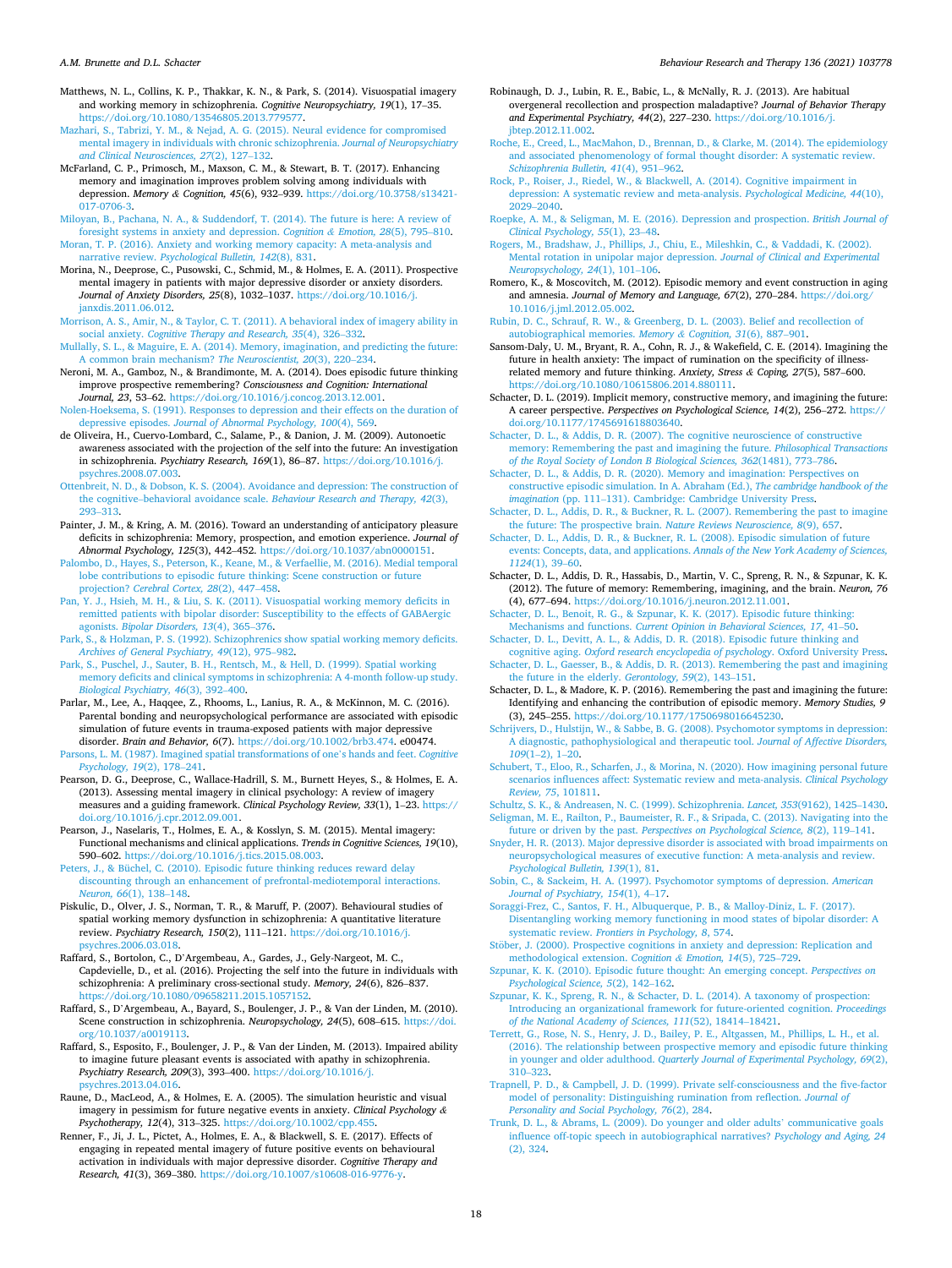<span id="page-17-0"></span>Matthews, N. L., Collins, K. P., Thakkar, K. N., & Park, S. (2014). Visuospatial imagery and working memory in schizophrenia. *Cognitive Neuropsychiatry, 19*(1), 17–35. [https://doi.org/10.1080/13546805.2013.779577.](https://doi.org/10.1080/13546805.2013.779577)

[Mazhari, S., Tabrizi, Y. M., & Nejad, A. G. \(2015\). Neural evidence for compromised](http://refhub.elsevier.com/S0005-7967(20)30232-1/sref103) [mental imagery in individuals with chronic schizophrenia.](http://refhub.elsevier.com/S0005-7967(20)30232-1/sref103) *Journal of Neuropsychiatry [and Clinical Neurosciences, 27](http://refhub.elsevier.com/S0005-7967(20)30232-1/sref103)*(2), 127–132.

- McFarland, C. P., Primosch, M., Maxson, C. M., & Stewart, B. T. (2017). Enhancing memory and imagination improves problem solving among individuals with depression. *Memory & Cognition, 45*(6), 932–939. [https://doi.org/10.3758/s13421-](https://doi.org/10.3758/s13421-017-0706-3) [017-0706-3](https://doi.org/10.3758/s13421-017-0706-3).
- [Miloyan, B., Pachana, N. A., & Suddendorf, T. \(2014\). The future is here: A review of](http://refhub.elsevier.com/S0005-7967(20)30232-1/sref105) [foresight systems in anxiety and depression.](http://refhub.elsevier.com/S0005-7967(20)30232-1/sref105) *Cognition & Emotion, 28*(5), 795–810.

[Moran, T. P. \(2016\). Anxiety and working memory capacity: A meta-analysis and](http://refhub.elsevier.com/S0005-7967(20)30232-1/sref106) narrative review. *[Psychological Bulletin, 142](http://refhub.elsevier.com/S0005-7967(20)30232-1/sref106)*(8), 831.

- Morina, N., Deeprose, C., Pusowski, C., Schmid, M., & Holmes, E. A. (2011). Prospective mental imagery in patients with major depressive disorder or anxiety disorders. *Journal of Anxiety Disorders, 25*(8), 1032–1037. [https://doi.org/10.1016/j.](https://doi.org/10.1016/j.janxdis.2011.06.012)  [janxdis.2011.06.012](https://doi.org/10.1016/j.janxdis.2011.06.012).
- [Morrison, A. S., Amir, N., & Taylor, C. T. \(2011\). A behavioral index of imagery ability in](http://refhub.elsevier.com/S0005-7967(20)30232-1/sref108)  social anxiety. *[Cognitive Therapy and Research, 35](http://refhub.elsevier.com/S0005-7967(20)30232-1/sref108)*(4), 326–332.
- [Mullally, S. L., & Maguire, E. A. \(2014\). Memory, imagination, and predicting the future:](http://refhub.elsevier.com/S0005-7967(20)30232-1/sref109)  [A common brain mechanism?](http://refhub.elsevier.com/S0005-7967(20)30232-1/sref109) *The Neuroscientist, 20*(3), 220–234.
- Neroni, M. A., Gamboz, N., & Brandimonte, M. A. (2014). Does episodic future thinking improve prospective remembering? *Consciousness and Cognition: International Journal, 23*, 53–62.<https://doi.org/10.1016/j.concog.2013.12.001>.
- [Nolen-Hoeksema, S. \(1991\). Responses to depression and their effects on the duration of](http://refhub.elsevier.com/S0005-7967(20)30232-1/sref111)  depressive episodes. *[Journal of Abnormal Psychology, 100](http://refhub.elsevier.com/S0005-7967(20)30232-1/sref111)*(4), 569.
- de Oliveira, H., Cuervo-Lombard, C., Salame, P., & Danion, J. M. (2009). Autonoetic awareness associated with the projection of the self into the future: An investigation in schizophrenia. *Psychiatry Research, 169*(1), 86–87. [https://doi.org/10.1016/j.](https://doi.org/10.1016/j.psychres.2008.07.003)  [psychres.2008.07.003.](https://doi.org/10.1016/j.psychres.2008.07.003)
- [Ottenbreit, N. D., & Dobson, K. S. \(2004\). Avoidance and depression: The construction of](http://refhub.elsevier.com/S0005-7967(20)30232-1/sref113)  the cognitive–behavioral avoidance scale. *[Behaviour Research and Therapy, 42](http://refhub.elsevier.com/S0005-7967(20)30232-1/sref113)*(3), 293–[313](http://refhub.elsevier.com/S0005-7967(20)30232-1/sref113).
- Painter, J. M., & Kring, A. M. (2016). Toward an understanding of anticipatory pleasure deficits in schizophrenia: Memory, prospection, and emotion experience. *Journal of Abnormal Psychology, 125*(3), 442–452. <https://doi.org/10.1037/abn0000151>.
- [Palombo, D., Hayes, S., Peterson, K., Keane, M., & Verfaellie, M. \(2016\). Medial temporal](http://refhub.elsevier.com/S0005-7967(20)30232-1/sref115)  [lobe contributions to episodic future thinking: Scene construction or future](http://refhub.elsevier.com/S0005-7967(20)30232-1/sref115)  projection? *[Cerebral Cortex, 28](http://refhub.elsevier.com/S0005-7967(20)30232-1/sref115)*(2), 447–458.
- [Pan, Y. J., Hsieh, M. H., & Liu, S. K. \(2011\). Visuospatial working memory deficits in](http://refhub.elsevier.com/S0005-7967(20)30232-1/sref116)  [remitted patients with bipolar disorder: Susceptibility to the effects of GABAergic](http://refhub.elsevier.com/S0005-7967(20)30232-1/sref116) agonists. *[Bipolar Disorders, 13](http://refhub.elsevier.com/S0005-7967(20)30232-1/sref116)*(4), 365–376.
- [Park, S., & Holzman, P. S. \(1992\). Schizophrenics show spatial working memory deficits.](http://refhub.elsevier.com/S0005-7967(20)30232-1/sref117)
- *[Archives of General Psychiatry, 49](http://refhub.elsevier.com/S0005-7967(20)30232-1/sref117)*(12), 975–982. [Park, S., Puschel, J., Sauter, B. H., Rentsch, M., & Hell, D. \(1999\). Spatial working](http://refhub.elsevier.com/S0005-7967(20)30232-1/sref118) [memory deficits and clinical symptoms in schizophrenia: A 4-month follow-up study.](http://refhub.elsevier.com/S0005-7967(20)30232-1/sref118)  *[Biological Psychiatry, 46](http://refhub.elsevier.com/S0005-7967(20)30232-1/sref118)*(3), 392–400.
- Parlar, M., Lee, A., Haqqee, Z., Rhooms, L., Lanius, R. A., & McKinnon, M. C. (2016). Parental bonding and neuropsychological performance are associated with episodic simulation of future events in trauma-exposed patients with major depressive disorder. *Brain and Behavior, 6*(7). [https://doi.org/10.1002/brb3.474.](https://doi.org/10.1002/brb3.474) e00474.
- [Parsons, L. M. \(1987\). Imagined spatial transformations of one](http://refhub.elsevier.com/S0005-7967(20)30232-1/sref120)'s hands and feet. *Cognitive [Psychology, 19](http://refhub.elsevier.com/S0005-7967(20)30232-1/sref120)*(2), 178–241.
- Pearson, D. G., Deeprose, C., Wallace-Hadrill, S. M., Burnett Heyes, S., & Holmes, E. A. (2013). Assessing mental imagery in clinical psychology: A review of imagery measures and a guiding framework. *Clinical Psychology Review, 33*(1), 1–23. [https://](https://doi.org/10.1016/j.cpr.2012.09.001)  [doi.org/10.1016/j.cpr.2012.09.001.](https://doi.org/10.1016/j.cpr.2012.09.001)
- Pearson, J., Naselaris, T., Holmes, E. A., & Kosslyn, S. M. (2015). Mental imagery: Functional mechanisms and clinical applications. *Trends in Cognitive Sciences, 19*(10), 590–602. [https://doi.org/10.1016/j.tics.2015.08.003.](https://doi.org/10.1016/j.tics.2015.08.003)
- [Peters, J., & Büchel, C. \(2010\). Episodic future thinking reduces reward delay](http://refhub.elsevier.com/S0005-7967(20)30232-1/sref123)  [discounting through an enhancement of prefrontal-mediotemporal interactions.](http://refhub.elsevier.com/S0005-7967(20)30232-1/sref123)  *[Neuron, 66](http://refhub.elsevier.com/S0005-7967(20)30232-1/sref123)*(1), 138–148.
- Piskulic, D., Olver, J. S., Norman, T. R., & Maruff, P. (2007). Behavioural studies of spatial working memory dysfunction in schizophrenia: A quantitative literature review. *Psychiatry Research, 150*(2), 111–121. [https://doi.org/10.1016/j.](https://doi.org/10.1016/j.psychres.2006.03.018) [psychres.2006.03.018.](https://doi.org/10.1016/j.psychres.2006.03.018)
- Raffard, S., Bortolon, C., D'Argembeau, A., Gardes, J., Gely-Nargeot, M. C., Capdevielle, D., et al. (2016). Projecting the self into the future in individuals with schizophrenia: A preliminary cross-sectional study. *Memory, 24*(6), 826–837. //doi.org/10.1080/09658211.2015.1057152
- Raffard, S., D'Argembeau, A., Bayard, S., Boulenger, J. P., & Van der Linden, M. (2010). Scene construction in schizophrenia. *Neuropsychology, 24*(5), 608–615. [https://doi.](https://doi.org/10.1037/a0019113)  [org/10.1037/a0019113.](https://doi.org/10.1037/a0019113)
- Raffard, S., Esposito, F., Boulenger, J. P., & Van der Linden, M. (2013). Impaired ability to imagine future pleasant events is associated with apathy in schizophrenia. *Psychiatry Research, 209*(3), 393–400. [https://doi.org/10.1016/j.](https://doi.org/10.1016/j.psychres.2013.04.016) [psychres.2013.04.016.](https://doi.org/10.1016/j.psychres.2013.04.016)
- Raune, D., MacLeod, A., & Holmes, E. A. (2005). The simulation heuristic and visual imagery in pessimism for future negative events in anxiety. *Clinical Psychology & Psychotherapy, 12*(4), 313–325. <https://doi.org/10.1002/cpp.455>.
- Renner, F., Ji, J. L., Pictet, A., Holmes, E. A., & Blackwell, S. E. (2017). Effects of engaging in repeated mental imagery of future positive events on behavioural activation in individuals with major depressive disorder. *Cognitive Therapy and Research, 41*(3), 369–380.<https://doi.org/10.1007/s10608-016-9776-y>.
- Robinaugh, D. J., Lubin, R. E., Babic, L., & McNally, R. J. (2013). Are habitual overgeneral recollection and prospection maladaptive? *Journal of Behavior Therapy and Experimental Psychiatry, 44*(2), 227–230. [https://doi.org/10.1016/j.](https://doi.org/10.1016/j.jbtep.2012.11.002)  [jbtep.2012.11.002](https://doi.org/10.1016/j.jbtep.2012.11.002).
- [Roche, E., Creed, L., MacMahon, D., Brennan, D., & Clarke, M. \(2014\). The epidemiology](http://refhub.elsevier.com/S0005-7967(20)30232-1/sref131)  [and associated phenomenology of formal thought disorder: A systematic review.](http://refhub.elsevier.com/S0005-7967(20)30232-1/sref131)  *[Schizophrenia Bulletin, 41](http://refhub.elsevier.com/S0005-7967(20)30232-1/sref131)*(4), 951–962.
- [Rock, P., Roiser, J., Riedel, W., & Blackwell, A. \(2014\). Cognitive impairment in](http://refhub.elsevier.com/S0005-7967(20)30232-1/sref132) [depression: A systematic review and meta-analysis.](http://refhub.elsevier.com/S0005-7967(20)30232-1/sref132) *Psychological Medicine, 44*(10), [2029](http://refhub.elsevier.com/S0005-7967(20)30232-1/sref132)–2040.
- [Roepke, A. M., & Seligman, M. E. \(2016\). Depression and prospection.](http://refhub.elsevier.com/S0005-7967(20)30232-1/sref133) *British Journal of [Clinical Psychology, 55](http://refhub.elsevier.com/S0005-7967(20)30232-1/sref133)*(1), 23–48.
- [Rogers, M., Bradshaw, J., Phillips, J., Chiu, E., Mileshkin, C., & Vaddadi, K. \(2002\).](http://refhub.elsevier.com/S0005-7967(20)30232-1/sref134)  [Mental rotation in unipolar major depression.](http://refhub.elsevier.com/S0005-7967(20)30232-1/sref134) *Journal of Clinical and Experimental [Neuropsychology, 24](http://refhub.elsevier.com/S0005-7967(20)30232-1/sref134)*(1), 101–106.
- Romero, K., & Moscovitch, M. (2012). Episodic memory and event construction in aging and amnesia. *Journal of Memory and Language, 67*(2), 270–284. [https://doi.org/](https://doi.org/10.1016/j.jml.2012.05.002)  [10.1016/j.jml.2012.05.002](https://doi.org/10.1016/j.jml.2012.05.002).
- [Rubin, D. C., Schrauf, R. W., & Greenberg, D. L. \(2003\). Belief and recollection of](http://refhub.elsevier.com/S0005-7967(20)30232-1/sref136) [autobiographical memories.](http://refhub.elsevier.com/S0005-7967(20)30232-1/sref136) *Memory & Cognition, 31*(6), 887–901.
- Sansom-Daly, U. M., Bryant, R. A., Cohn, R. J., & Wakefield, C. E. (2014). Imagining the future in health anxiety: The impact of rumination on the specificity of illnessrelated memory and future thinking. *Anxiety, Stress & Coping, 27*(5), 587–600. [https://doi.org/10.1080/10615806.2014.880111.](https://doi.org/10.1080/10615806.2014.880111)
- Schacter, D. L. (2019). Implicit memory, constructive memory, and imagining the future: A career perspective. *Perspectives on Psychological Science, 14*(2), 256–272. [https://](https://doi.org/10.1177/1745691618803640) [doi.org/10.1177/1745691618803640.](https://doi.org/10.1177/1745691618803640)
- [Schacter, D. L., & Addis, D. R. \(2007\). The cognitive neuroscience of constructive](http://refhub.elsevier.com/S0005-7967(20)30232-1/sref139) [memory: Remembering the past and imagining the future.](http://refhub.elsevier.com/S0005-7967(20)30232-1/sref139) *Philosophical Transactions [of the Royal Society of London B Biological Sciences, 362](http://refhub.elsevier.com/S0005-7967(20)30232-1/sref139)*(1481), 773–786.
- [Schacter, D. L., & Addis, D. R. \(2020\). Memory and imagination: Perspectives on](http://refhub.elsevier.com/S0005-7967(20)30232-1/sref140)  [constructive episodic simulation. In A. Abraham \(Ed.\),](http://refhub.elsevier.com/S0005-7967(20)30232-1/sref140) *The cambridge handbook of the imagination* (pp. 111–[131\). Cambridge: Cambridge University Press.](http://refhub.elsevier.com/S0005-7967(20)30232-1/sref140)
- Schacter, D. L., Addis, D. R., & Buckner, R. L. (2007). Remembering the past to imagine [the future: The prospective brain.](http://refhub.elsevier.com/S0005-7967(20)30232-1/sref141) *Nature Reviews Neuroscience, 8*(9), 657.
- [Schacter, D. L., Addis, D. R., & Buckner, R. L. \(2008\). Episodic simulation of future](http://refhub.elsevier.com/S0005-7967(20)30232-1/sref142)  events: Concepts, data, and applications. *[Annals of the New York Academy of Sciences,](http://refhub.elsevier.com/S0005-7967(20)30232-1/sref142)  1124*[\(1\), 39](http://refhub.elsevier.com/S0005-7967(20)30232-1/sref142)–60.
- Schacter, D. L., Addis, D. R., Hassabis, D., Martin, V. C., Spreng, R. N., & Szpunar, K. K. (2012). The future of memory: Remembering, imagining, and the brain. *Neuron, 76*  (4), 677–694. [https://doi.org/10.1016/j.neuron.2012.11.001.](https://doi.org/10.1016/j.neuron.2012.11.001)
- [Schacter, D. L., Benoit, R. G., & Szpunar, K. K. \(2017\). Episodic future thinking:](http://refhub.elsevier.com/S0005-7967(20)30232-1/sref144) Mechanisms and functions. *[Current Opinion in Behavioral Sciences, 17](http://refhub.elsevier.com/S0005-7967(20)30232-1/sref144)*, 41–50.
- [Schacter, D. L., Devitt, A. L., & Addis, D. R. \(2018\). Episodic future thinking and](http://refhub.elsevier.com/S0005-7967(20)30232-1/sref145)  cognitive aging. *[Oxford research encyclopedia of psychology](http://refhub.elsevier.com/S0005-7967(20)30232-1/sref145)*. Oxford University Press.
- Schacter, D. L., Gaesser, B., & Addis, D. R. (2013). Remembering the past and imagining [the future in the elderly.](http://refhub.elsevier.com/S0005-7967(20)30232-1/sref146) *Gerontology, 59*(2), 143–151.
- Schacter, D. L., & Madore, K. P. (2016). Remembering the past and imagining the future: Identifying and enhancing the contribution of episodic memory. *Memory Studies, 9*  (3), 245–255. [https://doi.org/10.1177/1750698016645230.](https://doi.org/10.1177/1750698016645230)
- [Schrijvers, D., Hulstijn, W., & Sabbe, B. G. \(2008\). Psychomotor symptoms in depression:](http://refhub.elsevier.com/S0005-7967(20)30232-1/sref148)  [A diagnostic, pathophysiological and therapeutic tool.](http://refhub.elsevier.com/S0005-7967(20)30232-1/sref148) *Journal of Affective Disorders, 109*(1–[2\), 1](http://refhub.elsevier.com/S0005-7967(20)30232-1/sref148)–20.
- [Schubert, T., Eloo, R., Scharfen, J., & Morina, N. \(2020\). How imagining personal future](http://refhub.elsevier.com/S0005-7967(20)30232-1/sref149)  [scenarios influences affect: Systematic review and meta-analysis.](http://refhub.elsevier.com/S0005-7967(20)30232-1/sref149) *Clinical Psychology [Review, 75](http://refhub.elsevier.com/S0005-7967(20)30232-1/sref149)*, 101811.
- [Schultz, S. K., & Andreasen, N. C. \(1999\). Schizophrenia.](http://refhub.elsevier.com/S0005-7967(20)30232-1/sref150) *Lancet, 353*(9162), 1425–1430. [Seligman, M. E., Railton, P., Baumeister, R. F., & Sripada, C. \(2013\). Navigating into the](http://refhub.elsevier.com/S0005-7967(20)30232-1/sref151)
- future or driven by the past. *[Perspectives on Psychological Science, 8](http://refhub.elsevier.com/S0005-7967(20)30232-1/sref151)*(2), 119–141. [Snyder, H. R. \(2013\). Major depressive disorder is associated with broad impairments on](http://refhub.elsevier.com/S0005-7967(20)30232-1/sref152)
- [neuropsychological measures of executive function: A meta-analysis and review.](http://refhub.elsevier.com/S0005-7967(20)30232-1/sref152)  *[Psychological Bulletin, 139](http://refhub.elsevier.com/S0005-7967(20)30232-1/sref152)*(1), 81.
- [Sobin, C., & Sackeim, H. A. \(1997\). Psychomotor symptoms of depression.](http://refhub.elsevier.com/S0005-7967(20)30232-1/sref153) *American [Journal of Psychiatry, 154](http://refhub.elsevier.com/S0005-7967(20)30232-1/sref153)*(1), 4–17.
- [Soraggi-Frez, C., Santos, F. H., Albuquerque, P. B., & Malloy-Diniz, L. F. \(2017\).](http://refhub.elsevier.com/S0005-7967(20)30232-1/sref154) [Disentangling working memory functioning in mood states of bipolar disorder: A](http://refhub.elsevier.com/S0005-7967(20)30232-1/sref154)  systematic review. *[Frontiers in Psychology, 8](http://refhub.elsevier.com/S0005-7967(20)30232-1/sref154)*, 574.
- Stöber, [J. \(2000\). Prospective cognitions in anxiety and depression: Replication and](http://refhub.elsevier.com/S0005-7967(20)30232-1/sref155) [methodological extension.](http://refhub.elsevier.com/S0005-7967(20)30232-1/sref155) *Cognition & Emotion, 14*(5), 725–729.
- [Szpunar, K. K. \(2010\). Episodic future thought: An emerging concept.](http://refhub.elsevier.com/S0005-7967(20)30232-1/sref156) *Perspectives on [Psychological Science, 5](http://refhub.elsevier.com/S0005-7967(20)30232-1/sref156)*(2), 142–162.
- [Szpunar, K. K., Spreng, R. N., & Schacter, D. L. \(2014\). A taxonomy of prospection:](http://refhub.elsevier.com/S0005-7967(20)30232-1/sref157)  [Introducing an organizational framework for future-oriented cognition.](http://refhub.elsevier.com/S0005-7967(20)30232-1/sref157) *Proceedings [of the National Academy of Sciences, 111](http://refhub.elsevier.com/S0005-7967(20)30232-1/sref157)*(52), 18414–18421.
- [Terrett, G., Rose, N. S., Henry, J. D., Bailey, P. E., Altgassen, M., Phillips, L. H., et al.](http://refhub.elsevier.com/S0005-7967(20)30232-1/sref158) [\(2016\). The relationship between prospective memory and episodic future thinking](http://refhub.elsevier.com/S0005-7967(20)30232-1/sref158)  in younger and older adulthood. *[Quarterly Journal of Experimental Psychology, 69](http://refhub.elsevier.com/S0005-7967(20)30232-1/sref158)*(2), 310–[323](http://refhub.elsevier.com/S0005-7967(20)30232-1/sref158).
- [Trapnell, P. D., & Campbell, J. D. \(1999\). Private self-consciousness and the five-factor](http://refhub.elsevier.com/S0005-7967(20)30232-1/sref159)  [model of personality: Distinguishing rumination from reflection.](http://refhub.elsevier.com/S0005-7967(20)30232-1/sref159) *Journal of [Personality and Social Psychology, 76](http://refhub.elsevier.com/S0005-7967(20)30232-1/sref159)*(2), 284.
- [Trunk, D. L., & Abrams, L. \(2009\). Do younger and older adults](http://refhub.elsevier.com/S0005-7967(20)30232-1/sref160)' communicative goals [influence off-topic speech in autobiographical narratives?](http://refhub.elsevier.com/S0005-7967(20)30232-1/sref160) *Psychology and Aging, 24*  [\(2\), 324.](http://refhub.elsevier.com/S0005-7967(20)30232-1/sref160)